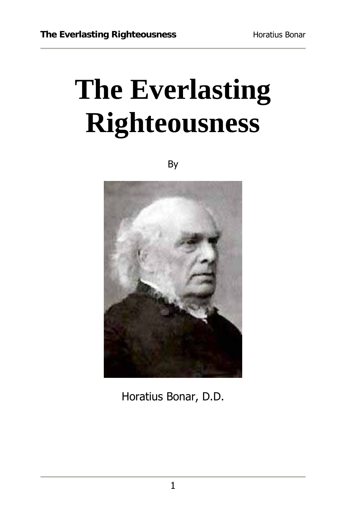# **The Everlasting Righteousness**

By



Horatius Bonar, D.D.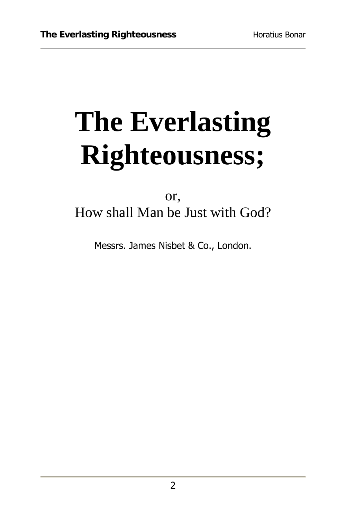# **The Everlasting Righteousness;**

or, How shall Man be Just with God?

Messrs. James Nisbet & Co., London.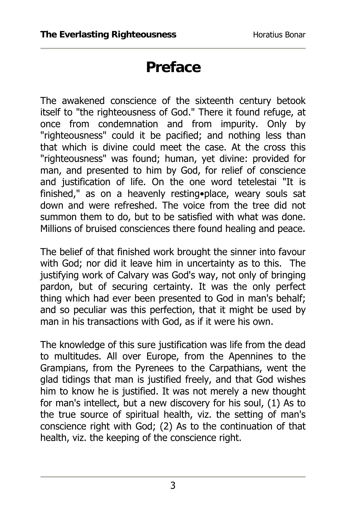## **Preface**

The awakened conscience of the sixteenth century betook itself to "the righteousness of God." There it found refuge, at once from condemnation and from impurity. Only by "righteousness" could it be pacified; and nothing less than that which is divine could meet the case. At the cross this "righteousness" was found; human, yet divine: provided for man, and presented to him by God, for relief of conscience and justification of life. On the one word tetelestai "It is finished," as on a heavenly resting•place, weary souls sat down and were refreshed. The voice from the tree did not summon them to do, but to be satisfied with what was done. Millions of bruised consciences there found healing and peace.

The belief of that finished work brought the sinner into favour with God; nor did it leave him in uncertainty as to this. The justifying work of Calvary was God's way, not only of bringing pardon, but of securing certainty. It was the only perfect thing which had ever been presented to God in man's behalf; and so peculiar was this perfection, that it might be used by man in his transactions with God, as if it were his own.

The knowledge of this sure justification was life from the dead to multitudes. All over Europe, from the Apennines to the Grampians, from the Pyrenees to the Carpathians, went the glad tidings that man is justified freely, and that God wishes him to know he is justified. It was not merely a new thought for man's intellect, but a new discovery for his soul, (1) As to the true source of spiritual health, viz. the setting of man's conscience right with God; (2) As to the continuation of that health, viz. the keeping of the conscience right.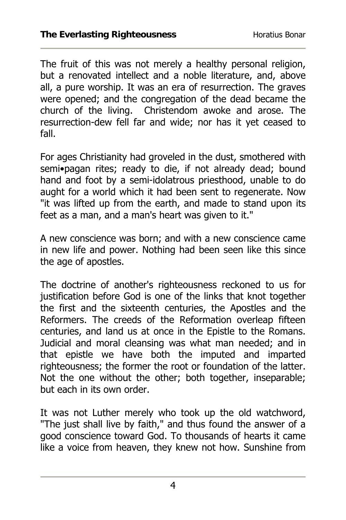The fruit of this was not merely a healthy personal religion, but a renovated intellect and a noble literature, and, above all, a pure worship. It was an era of resurrection. The graves were opened; and the congregation of the dead became the church of the living. Christendom awoke and arose. The resurrection-dew fell far and wide; nor has it yet ceased to fall.

For ages Christianity had groveled in the dust, smothered with semi•pagan rites; ready to die, if not already dead; bound hand and foot by a semi-idolatrous priesthood, unable to do aught for a world which it had been sent to regenerate. Now "it was lifted up from the earth, and made to stand upon its feet as a man, and a man's heart was given to it."

A new conscience was born; and with a new conscience came in new life and power. Nothing had been seen like this since the age of apostles.

The doctrine of another's righteousness reckoned to us for justification before God is one of the links that knot together the first and the sixteenth centuries, the Apostles and the Reformers. The creeds of the Reformation overleap fifteen centuries, and land us at once in the Epistle to the Romans. Judicial and moral cleansing was what man needed; and in that epistle we have both the imputed and imparted righteousness; the former the root or foundation of the latter. Not the one without the other; both together, inseparable; but each in its own order.

It was not Luther merely who took up the old watchword, "The just shall live by faith," and thus found the answer of a good conscience toward God. To thousands of hearts it came like a voice from heaven, they knew not how. Sunshine from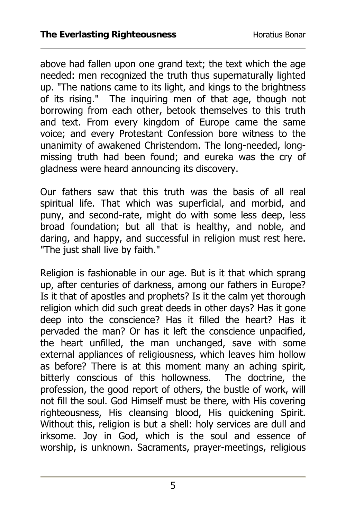above had fallen upon one grand text; the text which the age needed: men recognized the truth thus supernaturally lighted up. "The nations came to its light, and kings to the brightness of its rising." The inquiring men of that age, though not borrowing from each other, betook themselves to this truth and text. From every kingdom of Europe came the same voice; and every Protestant Confession bore witness to the unanimity of awakened Christendom. The long-needed, longmissing truth had been found; and eureka was the cry of gladness were heard announcing its discovery.

Our fathers saw that this truth was the basis of all real spiritual life. That which was superficial, and morbid, and puny, and second-rate, might do with some less deep, less broad foundation; but all that is healthy, and noble, and daring, and happy, and successful in religion must rest here. "The just shall live by faith."

Religion is fashionable in our age. But is it that which sprang up, after centuries of darkness, among our fathers in Europe? Is it that of apostles and prophets? Is it the calm yet thorough religion which did such great deeds in other days? Has it gone deep into the conscience? Has it filled the heart? Has it pervaded the man? Or has it left the conscience unpacified, the heart unfilled, the man unchanged, save with some external appliances of religiousness, which leaves him hollow as before? There is at this moment many an aching spirit, bitterly conscious of this hollowness. The doctrine, the profession, the good report of others, the bustle of work, will not fill the soul. God Himself must be there, with His covering righteousness, His cleansing blood, His quickening Spirit. Without this, religion is but a shell: holy services are dull and irksome. Joy in God, which is the soul and essence of worship, is unknown. Sacraments, prayer-meetings, religious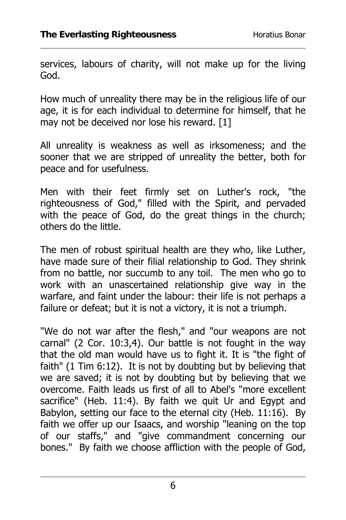services, labours of charity, will not make up for the living God.

How much of unreality there may be in the religious life of our age, it is for each individual to determine for himself, that he may not be deceived nor lose his reward. [1]

All unreality is weakness as well as irksomeness; and the sooner that we are stripped of unreality the better, both for peace and for usefulness.

Men with their feet firmly set on Luther's rock, "the righteousness of God," filled with the Spirit, and pervaded with the peace of God, do the great things in the church; others do the little.

The men of robust spiritual health are they who, like Luther, have made sure of their filial relationship to God. They shrink from no battle, nor succumb to any toil. The men who go to work with an unascertained relationship give way in the warfare, and faint under the labour: their life is not perhaps a failure or defeat; but it is not a victory, it is not a triumph.

"We do not war after the flesh," and "our weapons are not carnal" (2 Cor. 10:3,4). Our battle is not fought in the way that the old man would have us to fight it. It is "the fight of faith" (1 Tim 6:12). It is not by doubting but by believing that we are saved; it is not by doubting but by believing that we overcome. Faith leads us first of all to Abel's "more excellent sacrifice" (Heb. 11:4). By faith we quit Ur and Egypt and Babylon, setting our face to the eternal city (Heb. 11:16). By faith we offer up our Isaacs, and worship "leaning on the top of our staffs," and "give commandment concerning our bones." By faith we choose affliction with the people of God,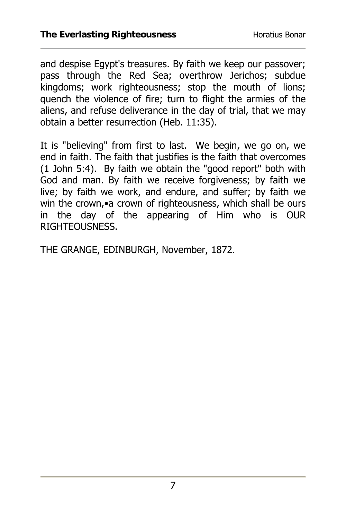and despise Egypt's treasures. By faith we keep our passover; pass through the Red Sea; overthrow Jerichos; subdue kingdoms; work righteousness; stop the mouth of lions; quench the violence of fire; turn to flight the armies of the aliens, and refuse deliverance in the day of trial, that we may obtain a better resurrection (Heb. 11:35).

It is "believing" from first to last. We begin, we go on, we end in faith. The faith that justifies is the faith that overcomes (1 John 5:4). By faith we obtain the "good report" both with God and man. By faith we receive forgiveness; by faith we live; by faith we work, and endure, and suffer; by faith we win the crown,•a crown of righteousness, which shall be ours in the day of the appearing of Him who is OUR RIGHTEOUSNESS.

THE GRANGE, EDINBURGH, November, 1872.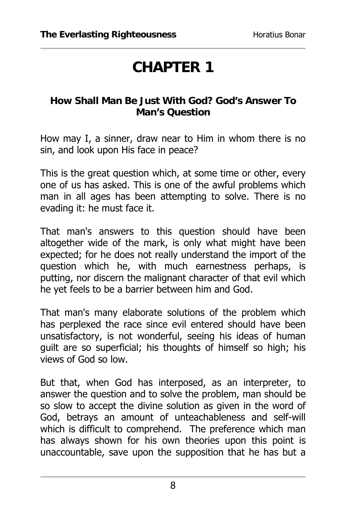## **CHAPTER 1**

#### **How Shall Man Be Just With God? God's Answer To Man's Question**

How may I, a sinner, draw near to Him in whom there is no sin, and look upon His face in peace?

This is the great question which, at some time or other, every one of us has asked. This is one of the awful problems which man in all ages has been attempting to solve. There is no evading it: he must face it.

That man's answers to this question should have been altogether wide of the mark, is only what might have been expected; for he does not really understand the import of the question which he, with much earnestness perhaps, is putting, nor discern the malignant character of that evil which he yet feels to be a barrier between him and God.

That man's many elaborate solutions of the problem which has perplexed the race since evil entered should have been unsatisfactory, is not wonderful, seeing his ideas of human guilt are so superficial; his thoughts of himself so high; his views of God so low.

But that, when God has interposed, as an interpreter, to answer the question and to solve the problem, man should be so slow to accept the divine solution as given in the word of God, betrays an amount of unteachableness and self-will which is difficult to comprehend. The preference which man has always shown for his own theories upon this point is unaccountable, save upon the supposition that he has but a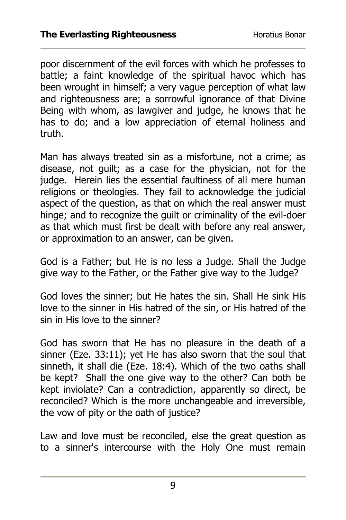poor discernment of the evil forces with which he professes to battle; a faint knowledge of the spiritual havoc which has been wrought in himself; a very vague perception of what law and righteousness are; a sorrowful ignorance of that Divine Being with whom, as lawgiver and judge, he knows that he has to do; and a low appreciation of eternal holiness and truth.

Man has always treated sin as a misfortune, not a crime; as disease, not guilt; as a case for the physician, not for the judge. Herein lies the essential faultiness of all mere human religions or theologies. They fail to acknowledge the judicial aspect of the question, as that on which the real answer must hinge; and to recognize the guilt or criminality of the evil-doer as that which must first be dealt with before any real answer, or approximation to an answer, can be given.

God is a Father; but He is no less a Judge. Shall the Judge give way to the Father, or the Father give way to the Judge?

God loves the sinner; but He hates the sin. Shall He sink His love to the sinner in His hatred of the sin, or His hatred of the sin in His love to the sinner?

God has sworn that He has no pleasure in the death of a sinner (Eze. 33:11); yet He has also sworn that the soul that sinneth, it shall die (Eze. 18:4). Which of the two oaths shall be kept? Shall the one give way to the other? Can both be kept inviolate? Can a contradiction, apparently so direct, be reconciled? Which is the more unchangeable and irreversible, the vow of pity or the oath of justice?

Law and love must be reconciled, else the great question as to a sinner's intercourse with the Holy One must remain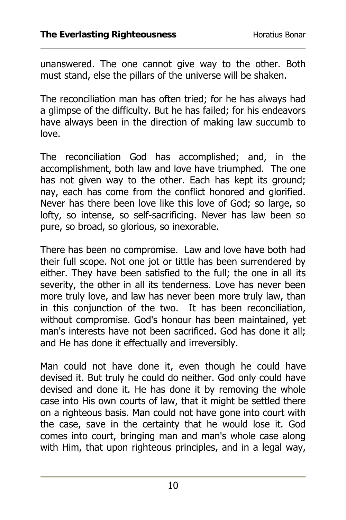unanswered. The one cannot give way to the other. Both must stand, else the pillars of the universe will be shaken.

The reconciliation man has often tried; for he has always had a glimpse of the difficulty. But he has failed; for his endeavors have always been in the direction of making law succumb to love.

The reconciliation God has accomplished; and, in the accomplishment, both law and love have triumphed. The one has not given way to the other. Each has kept its ground; nay, each has come from the conflict honored and glorified. Never has there been love like this love of God; so large, so lofty, so intense, so self-sacrificing. Never has law been so pure, so broad, so glorious, so inexorable.

There has been no compromise. Law and love have both had their full scope. Not one jot or tittle has been surrendered by either. They have been satisfied to the full; the one in all its severity, the other in all its tenderness. Love has never been more truly love, and law has never been more truly law, than in this conjunction of the two. It has been reconciliation, without compromise. God's honour has been maintained, yet man's interests have not been sacrificed. God has done it all; and He has done it effectually and irreversibly.

Man could not have done it, even though he could have devised it. But truly he could do neither. God only could have devised and done it. He has done it by removing the whole case into His own courts of law, that it might be settled there on a righteous basis. Man could not have gone into court with the case, save in the certainty that he would lose it. God comes into court, bringing man and man's whole case along with Him, that upon righteous principles, and in a legal way,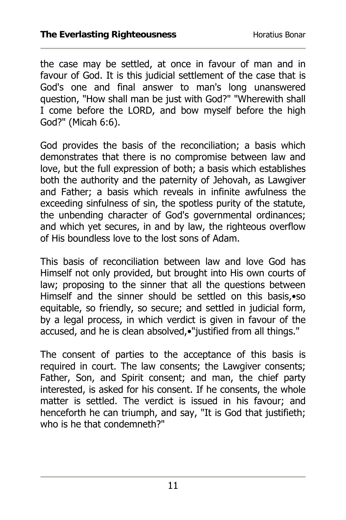the case may be settled, at once in favour of man and in favour of God. It is this judicial settlement of the case that is God's one and final answer to man's long unanswered question, "How shall man be just with God?" "Wherewith shall I come before the LORD, and bow myself before the high God?" (Micah 6:6).

God provides the basis of the reconciliation; a basis which demonstrates that there is no compromise between law and love, but the full expression of both; a basis which establishes both the authority and the paternity of Jehovah, as Lawgiver and Father; a basis which reveals in infinite awfulness the exceeding sinfulness of sin, the spotless purity of the statute, the unbending character of God's governmental ordinances; and which yet secures, in and by law, the righteous overflow of His boundless love to the lost sons of Adam.

This basis of reconciliation between law and love God has Himself not only provided, but brought into His own courts of law; proposing to the sinner that all the questions between Himself and the sinner should be settled on this basis,•so equitable, so friendly, so secure; and settled in judicial form, by a legal process, in which verdict is given in favour of the accused, and he is clean absolved,•"justified from all things."

The consent of parties to the acceptance of this basis is required in court. The law consents; the Lawgiver consents; Father, Son, and Spirit consent; and man, the chief party interested, is asked for his consent. If he consents, the whole matter is settled. The verdict is issued in his favour; and henceforth he can triumph, and say, "It is God that justifieth; who is he that condemneth?"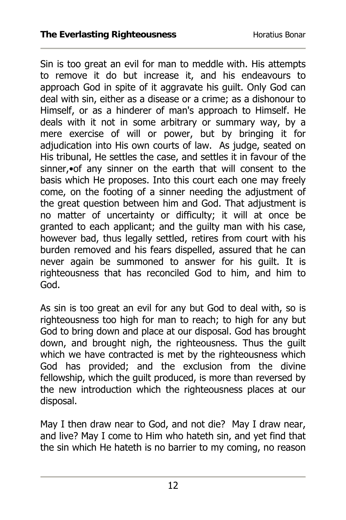Sin is too great an evil for man to meddle with. His attempts to remove it do but increase it, and his endeavours to approach God in spite of it aggravate his guilt. Only God can deal with sin, either as a disease or a crime; as a dishonour to Himself, or as a hinderer of man's approach to Himself. He deals with it not in some arbitrary or summary way, by a mere exercise of will or power, but by bringing it for adjudication into His own courts of law. As judge, seated on His tribunal, He settles the case, and settles it in favour of the sinner,•of any sinner on the earth that will consent to the basis which He proposes. Into this court each one may freely come, on the footing of a sinner needing the adjustment of the great question between him and God. That adjustment is no matter of uncertainty or difficulty; it will at once be granted to each applicant; and the guilty man with his case, however bad, thus legally settled, retires from court with his burden removed and his fears dispelled, assured that he can never again be summoned to answer for his guilt. It is righteousness that has reconciled God to him, and him to God.

As sin is too great an evil for any but God to deal with, so is righteousness too high for man to reach; to high for any but God to bring down and place at our disposal. God has brought down, and brought nigh, the righteousness. Thus the guilt which we have contracted is met by the righteousness which God has provided; and the exclusion from the divine fellowship, which the guilt produced, is more than reversed by the new introduction which the righteousness places at our disposal.

May I then draw near to God, and not die? May I draw near, and live? May I come to Him who hateth sin, and yet find that the sin which He hateth is no barrier to my coming, no reason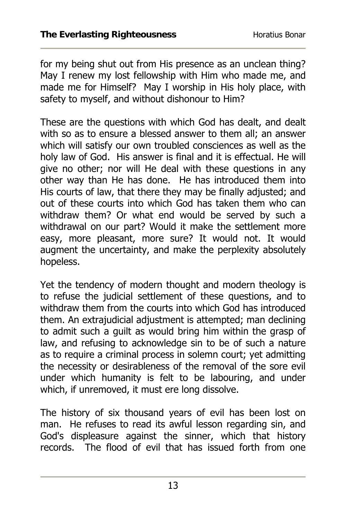for my being shut out from His presence as an unclean thing? May I renew my lost fellowship with Him who made me, and made me for Himself? May I worship in His holy place, with safety to myself, and without dishonour to Him?

These are the questions with which God has dealt, and dealt with so as to ensure a blessed answer to them all; an answer which will satisfy our own troubled consciences as well as the holy law of God. His answer is final and it is effectual. He will give no other; nor will He deal with these questions in any other way than He has done. He has introduced them into His courts of law, that there they may be finally adjusted; and out of these courts into which God has taken them who can withdraw them? Or what end would be served by such a withdrawal on our part? Would it make the settlement more easy, more pleasant, more sure? It would not. It would augment the uncertainty, and make the perplexity absolutely hopeless.

Yet the tendency of modern thought and modern theology is to refuse the judicial settlement of these questions, and to withdraw them from the courts into which God has introduced them. An extrajudicial adjustment is attempted; man declining to admit such a guilt as would bring him within the grasp of law, and refusing to acknowledge sin to be of such a nature as to require a criminal process in solemn court; yet admitting the necessity or desirableness of the removal of the sore evil under which humanity is felt to be labouring, and under which, if unremoved, it must ere long dissolve.

The history of six thousand years of evil has been lost on man. He refuses to read its awful lesson regarding sin, and God's displeasure against the sinner, which that history records. The flood of evil that has issued forth from one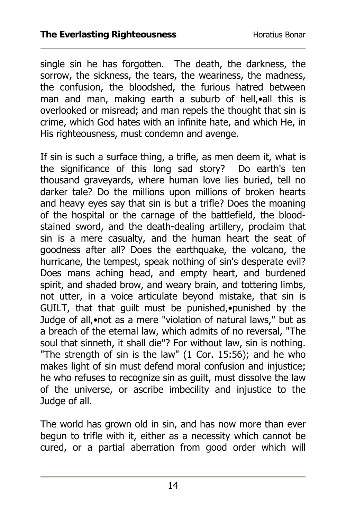single sin he has forgotten. The death, the darkness, the sorrow, the sickness, the tears, the weariness, the madness, the confusion, the bloodshed, the furious hatred between man and man, making earth a suburb of hell,•all this is overlooked or misread; and man repels the thought that sin is crime, which God hates with an infinite hate, and which He, in His righteousness, must condemn and avenge.

If sin is such a surface thing, a trifle, as men deem it, what is the significance of this long sad story? Do earth's ten thousand graveyards, where human love lies buried, tell no darker tale? Do the millions upon millions of broken hearts and heavy eyes say that sin is but a trifle? Does the moaning of the hospital or the carnage of the battlefield, the bloodstained sword, and the death-dealing artillery, proclaim that sin is a mere casualty, and the human heart the seat of goodness after all? Does the earthquake, the volcano, the hurricane, the tempest, speak nothing of sin's desperate evil? Does mans aching head, and empty heart, and burdened spirit, and shaded brow, and weary brain, and tottering limbs, not utter, in a voice articulate beyond mistake, that sin is GUILT, that that guilt must be punished,•punished by the Judge of all,•not as a mere "violation of natural laws," but as a breach of the eternal law, which admits of no reversal, "The soul that sinneth, it shall die"? For without law, sin is nothing. "The strength of sin is the law" (1 Cor. 15:56); and he who makes light of sin must defend moral confusion and injustice; he who refuses to recognize sin as guilt, must dissolve the law of the universe, or ascribe imbecility and injustice to the Judge of all.

The world has grown old in sin, and has now more than ever begun to trifle with it, either as a necessity which cannot be cured, or a partial aberration from good order which will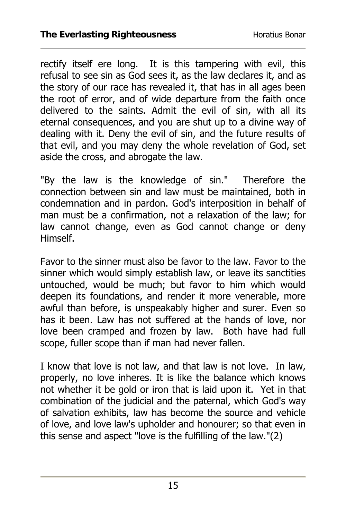rectify itself ere long. It is this tampering with evil, this refusal to see sin as God sees it, as the law declares it, and as the story of our race has revealed it, that has in all ages been the root of error, and of wide departure from the faith once delivered to the saints. Admit the evil of sin, with all its eternal consequences, and you are shut up to a divine way of dealing with it. Deny the evil of sin, and the future results of that evil, and you may deny the whole revelation of God, set aside the cross, and abrogate the law.

"By the law is the knowledge of sin." Therefore the connection between sin and law must be maintained, both in condemnation and in pardon. God's interposition in behalf of man must be a confirmation, not a relaxation of the law; for law cannot change, even as God cannot change or deny Himself.

Favor to the sinner must also be favor to the law. Favor to the sinner which would simply establish law, or leave its sanctities untouched, would be much; but favor to him which would deepen its foundations, and render it more venerable, more awful than before, is unspeakably higher and surer. Even so has it been. Law has not suffered at the hands of love, nor love been cramped and frozen by law. Both have had full scope, fuller scope than if man had never fallen.

I know that love is not law, and that law is not love. In law, properly, no love inheres. It is like the balance which knows not whether it be gold or iron that is laid upon it. Yet in that combination of the judicial and the paternal, which God's way of salvation exhibits, law has become the source and vehicle of love, and love law's upholder and honourer; so that even in this sense and aspect "love is the fulfilling of the law."(2)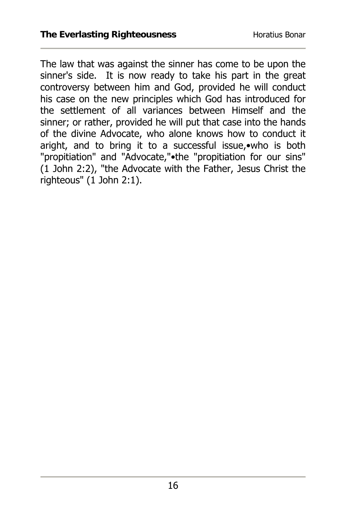The law that was against the sinner has come to be upon the sinner's side. It is now ready to take his part in the great controversy between him and God, provided he will conduct his case on the new principles which God has introduced for the settlement of all variances between Himself and the sinner; or rather, provided he will put that case into the hands of the divine Advocate, who alone knows how to conduct it aright, and to bring it to a successful issue,•who is both "propitiation" and "Advocate,"•the "propitiation for our sins" (1 John 2:2), "the Advocate with the Father, Jesus Christ the righteous" (1 John 2:1).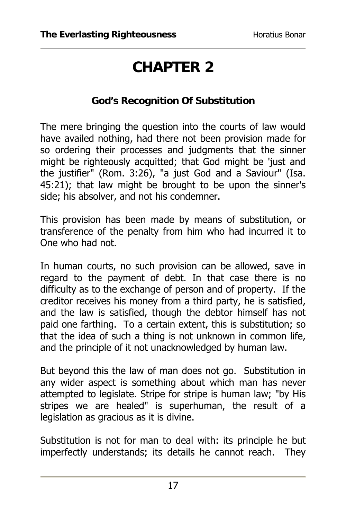## **CHAPTER 2**

### **God's Recognition Of Substitution**

The mere bringing the question into the courts of law would have availed nothing, had there not been provision made for so ordering their processes and judgments that the sinner might be righteously acquitted; that God might be 'just and the justifier" (Rom. 3:26), "a just God and a Saviour" (Isa. 45:21); that law might be brought to be upon the sinner's side; his absolver, and not his condemner.

This provision has been made by means of substitution, or transference of the penalty from him who had incurred it to One who had not.

In human courts, no such provision can be allowed, save in regard to the payment of debt. In that case there is no difficulty as to the exchange of person and of property. If the creditor receives his money from a third party, he is satisfied, and the law is satisfied, though the debtor himself has not paid one farthing. To a certain extent, this is substitution; so that the idea of such a thing is not unknown in common life, and the principle of it not unacknowledged by human law.

But beyond this the law of man does not go. Substitution in any wider aspect is something about which man has never attempted to legislate. Stripe for stripe is human law; "by His stripes we are healed" is superhuman, the result of a legislation as gracious as it is divine.

Substitution is not for man to deal with: its principle he but imperfectly understands; its details he cannot reach. They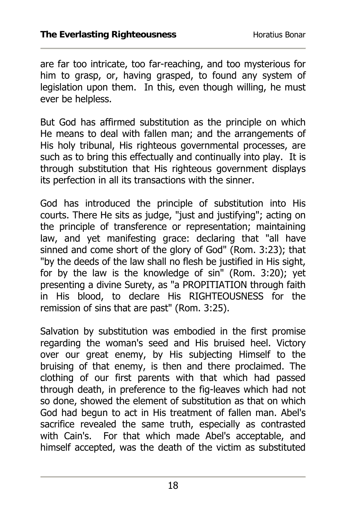are far too intricate, too far-reaching, and too mysterious for him to grasp, or, having grasped, to found any system of legislation upon them. In this, even though willing, he must ever be helpless.

But God has affirmed substitution as the principle on which He means to deal with fallen man; and the arrangements of His holy tribunal, His righteous governmental processes, are such as to bring this effectually and continually into play. It is through substitution that His righteous government displays its perfection in all its transactions with the sinner.

God has introduced the principle of substitution into His courts. There He sits as judge, "just and justifying"; acting on the principle of transference or representation; maintaining law, and yet manifesting grace: declaring that "all have sinned and come short of the glory of God" (Rom. 3:23); that "by the deeds of the law shall no flesh be justified in His sight, for by the law is the knowledge of sin" (Rom. 3:20); yet presenting a divine Surety, as "a PROPITIATION through faith in His blood, to declare His RIGHTEOUSNESS for the remission of sins that are past" (Rom. 3:25).

Salvation by substitution was embodied in the first promise regarding the woman's seed and His bruised heel. Victory over our great enemy, by His subjecting Himself to the bruising of that enemy, is then and there proclaimed. The clothing of our first parents with that which had passed through death, in preference to the fig-leaves which had not so done, showed the element of substitution as that on which God had begun to act in His treatment of fallen man. Abel's sacrifice revealed the same truth, especially as contrasted with Cain's. For that which made Abel's acceptable, and himself accepted, was the death of the victim as substituted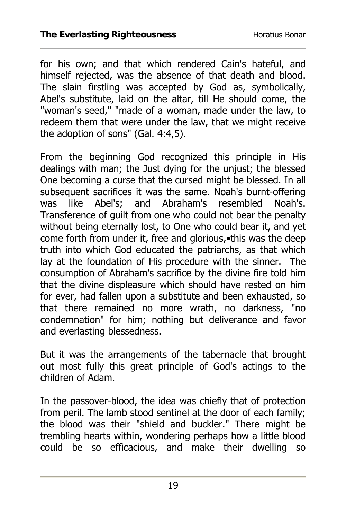for his own; and that which rendered Cain's hateful, and himself rejected, was the absence of that death and blood. The slain firstling was accepted by God as, symbolically, Abel's substitute, laid on the altar, till He should come, the "woman's seed," "made of a woman, made under the law, to redeem them that were under the law, that we might receive the adoption of sons" (Gal. 4:4,5).

From the beginning God recognized this principle in His dealings with man; the Just dying for the unjust; the blessed One becoming a curse that the cursed might be blessed. In all subsequent sacrifices it was the same. Noah's burnt-offering was like Abel's; and Abraham's resembled Noah's. Transference of guilt from one who could not bear the penalty without being eternally lost, to One who could bear it, and yet come forth from under it, free and glorious,•this was the deep truth into which God educated the patriarchs, as that which lay at the foundation of His procedure with the sinner. The consumption of Abraham's sacrifice by the divine fire told him that the divine displeasure which should have rested on him for ever, had fallen upon a substitute and been exhausted, so that there remained no more wrath, no darkness, "no condemnation" for him; nothing but deliverance and favor and everlasting blessedness.

But it was the arrangements of the tabernacle that brought out most fully this great principle of God's actings to the children of Adam.

In the passover-blood, the idea was chiefly that of protection from peril. The lamb stood sentinel at the door of each family; the blood was their "shield and buckler." There might be trembling hearts within, wondering perhaps how a little blood could be so efficacious, and make their dwelling so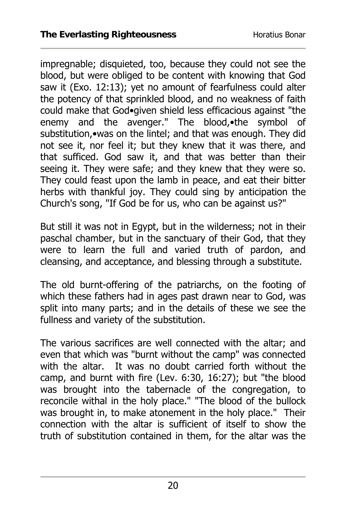impregnable; disquieted, too, because they could not see the blood, but were obliged to be content with knowing that God saw it (Exo. 12:13); yet no amount of fearfulness could alter the potency of that sprinkled blood, and no weakness of faith could make that God•given shield less efficacious against "the enemy and the avenger." The blood,•the symbol of substitution,•was on the lintel; and that was enough. They did not see it, nor feel it; but they knew that it was there, and that sufficed. God saw it, and that was better than their seeing it. They were safe; and they knew that they were so. They could feast upon the lamb in peace, and eat their bitter herbs with thankful joy. They could sing by anticipation the Church's song, "If God be for us, who can be against us?"

But still it was not in Egypt, but in the wilderness; not in their paschal chamber, but in the sanctuary of their God, that they were to learn the full and varied truth of pardon, and cleansing, and acceptance, and blessing through a substitute.

The old burnt-offering of the patriarchs, on the footing of which these fathers had in ages past drawn near to God, was split into many parts; and in the details of these we see the fullness and variety of the substitution.

The various sacrifices are well connected with the altar; and even that which was "burnt without the camp" was connected with the altar. It was no doubt carried forth without the camp, and burnt with fire (Lev. 6:30, 16:27); but "the blood was brought into the tabernacle of the congregation, to reconcile withal in the holy place." "The blood of the bullock was brought in, to make atonement in the holy place." Their connection with the altar is sufficient of itself to show the truth of substitution contained in them, for the altar was the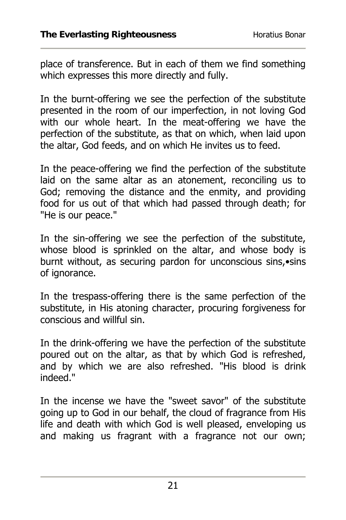place of transference. But in each of them we find something which expresses this more directly and fully.

In the burnt-offering we see the perfection of the substitute presented in the room of our imperfection, in not loving God with our whole heart. In the meat-offering we have the perfection of the substitute, as that on which, when laid upon the altar, God feeds, and on which He invites us to feed.

In the peace-offering we find the perfection of the substitute laid on the same altar as an atonement, reconciling us to God; removing the distance and the enmity, and providing food for us out of that which had passed through death; for "He is our peace."

In the sin-offering we see the perfection of the substitute, whose blood is sprinkled on the altar, and whose body is burnt without, as securing pardon for unconscious sins, sins of ignorance.

In the trespass-offering there is the same perfection of the substitute, in His atoning character, procuring forgiveness for conscious and willful sin.

In the drink-offering we have the perfection of the substitute poured out on the altar, as that by which God is refreshed, and by which we are also refreshed. "His blood is drink indeed."

In the incense we have the "sweet savor" of the substitute going up to God in our behalf, the cloud of fragrance from His life and death with which God is well pleased, enveloping us and making us fragrant with a fragrance not our own;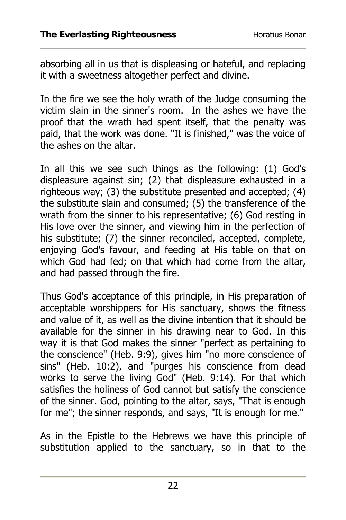absorbing all in us that is displeasing or hateful, and replacing it with a sweetness altogether perfect and divine.

In the fire we see the holy wrath of the Judge consuming the victim slain in the sinner's room. In the ashes we have the proof that the wrath had spent itself, that the penalty was paid, that the work was done. "It is finished," was the voice of the ashes on the altar.

In all this we see such things as the following: (1) God's displeasure against sin; (2) that displeasure exhausted in a righteous way; (3) the substitute presented and accepted; (4) the substitute slain and consumed; (5) the transference of the wrath from the sinner to his representative; (6) God resting in His love over the sinner, and viewing him in the perfection of his substitute; (7) the sinner reconciled, accepted, complete, enjoying God's favour, and feeding at His table on that on which God had fed; on that which had come from the altar, and had passed through the fire.

Thus God's acceptance of this principle, in His preparation of acceptable worshippers for His sanctuary, shows the fitness and value of it, as well as the divine intention that it should be available for the sinner in his drawing near to God. In this way it is that God makes the sinner "perfect as pertaining to the conscience" (Heb. 9:9), gives him "no more conscience of sins" (Heb. 10:2), and "purges his conscience from dead works to serve the living God" (Heb. 9:14). For that which satisfies the holiness of God cannot but satisfy the conscience of the sinner. God, pointing to the altar, says, "That is enough for me"; the sinner responds, and says, "It is enough for me."

As in the Epistle to the Hebrews we have this principle of substitution applied to the sanctuary, so in that to the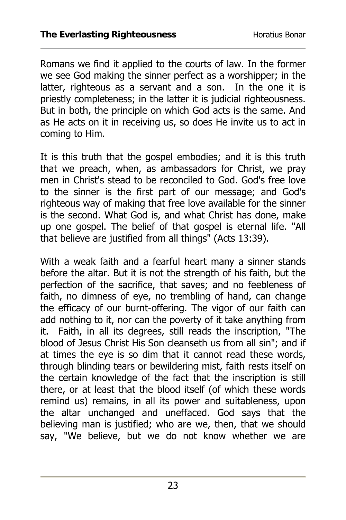Romans we find it applied to the courts of law. In the former we see God making the sinner perfect as a worshipper; in the latter, righteous as a servant and a son. In the one it is priestly completeness; in the latter it is judicial righteousness. But in both, the principle on which God acts is the same. And as He acts on it in receiving us, so does He invite us to act in coming to Him.

It is this truth that the gospel embodies; and it is this truth that we preach, when, as ambassadors for Christ, we pray men in Christ's stead to be reconciled to God. God's free love to the sinner is the first part of our message; and God's righteous way of making that free love available for the sinner is the second. What God is, and what Christ has done, make up one gospel. The belief of that gospel is eternal life. "All that believe are justified from all things" (Acts 13:39).

With a weak faith and a fearful heart many a sinner stands before the altar. But it is not the strength of his faith, but the perfection of the sacrifice, that saves; and no feebleness of faith, no dimness of eye, no trembling of hand, can change the efficacy of our burnt-offering. The vigor of our faith can add nothing to it, nor can the poverty of it take anything from it. Faith, in all its degrees, still reads the inscription, "The blood of Jesus Christ His Son cleanseth us from all sin"; and if at times the eye is so dim that it cannot read these words, through blinding tears or bewildering mist, faith rests itself on the certain knowledge of the fact that the inscription is still there, or at least that the blood itself (of which these words remind us) remains, in all its power and suitableness, upon the altar unchanged and uneffaced. God says that the believing man is justified; who are we, then, that we should say, "We believe, but we do not know whether we are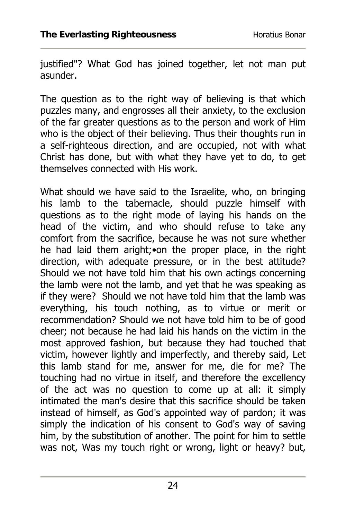justified"? What God has joined together, let not man put asunder.

The question as to the right way of believing is that which puzzles many, and engrosses all their anxiety, to the exclusion of the far greater questions as to the person and work of Him who is the object of their believing. Thus their thoughts run in a self-righteous direction, and are occupied, not with what Christ has done, but with what they have yet to do, to get themselves connected with His work.

What should we have said to the Israelite, who, on bringing his lamb to the tabernacle, should puzzle himself with questions as to the right mode of laying his hands on the head of the victim, and who should refuse to take any comfort from the sacrifice, because he was not sure whether he had laid them aright;•on the proper place, in the right direction, with adequate pressure, or in the best attitude? Should we not have told him that his own actings concerning the lamb were not the lamb, and yet that he was speaking as if they were? Should we not have told him that the lamb was everything, his touch nothing, as to virtue or merit or recommendation? Should we not have told him to be of good cheer; not because he had laid his hands on the victim in the most approved fashion, but because they had touched that victim, however lightly and imperfectly, and thereby said, Let this lamb stand for me, answer for me, die for me? The touching had no virtue in itself, and therefore the excellency of the act was no question to come up at all: it simply intimated the man's desire that this sacrifice should be taken instead of himself, as God's appointed way of pardon; it was simply the indication of his consent to God's way of saving him, by the substitution of another. The point for him to settle was not, Was my touch right or wrong, light or heavy? but,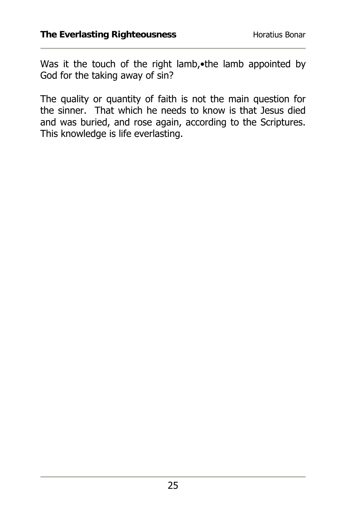Was it the touch of the right lamb, the lamb appointed by God for the taking away of sin?

The quality or quantity of faith is not the main question for the sinner. That which he needs to know is that Jesus died and was buried, and rose again, according to the Scriptures. This knowledge is life everlasting.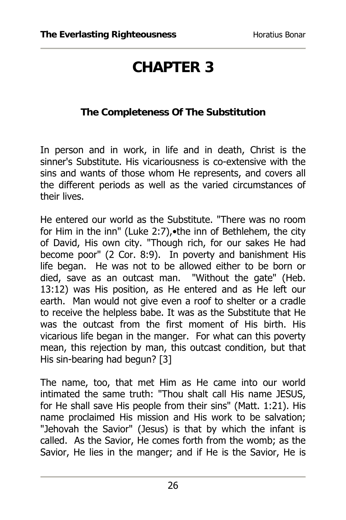## **CHAPTER 3**

### **The Completeness Of The Substitution**

In person and in work, in life and in death, Christ is the sinner's Substitute. His vicariousness is co-extensive with the sins and wants of those whom He represents, and covers all the different periods as well as the varied circumstances of their lives.

He entered our world as the Substitute. "There was no room for Him in the inn" (Luke 2:7),•the inn of Bethlehem, the city of David, His own city. "Though rich, for our sakes He had become poor" (2 Cor. 8:9). In poverty and banishment His life began. He was not to be allowed either to be born or died, save as an outcast man. "Without the gate" (Heb. 13:12) was His position, as He entered and as He left our earth. Man would not give even a roof to shelter or a cradle to receive the helpless babe. It was as the Substitute that He was the outcast from the first moment of His birth. His vicarious life began in the manger. For what can this poverty mean, this rejection by man, this outcast condition, but that His sin-bearing had begun? [3]

The name, too, that met Him as He came into our world intimated the same truth: "Thou shalt call His name JESUS, for He shall save His people from their sins" (Matt. 1:21). His name proclaimed His mission and His work to be salvation; "Jehovah the Savior" (Jesus) is that by which the infant is called. As the Savior, He comes forth from the womb; as the Savior, He lies in the manger; and if He is the Savior, He is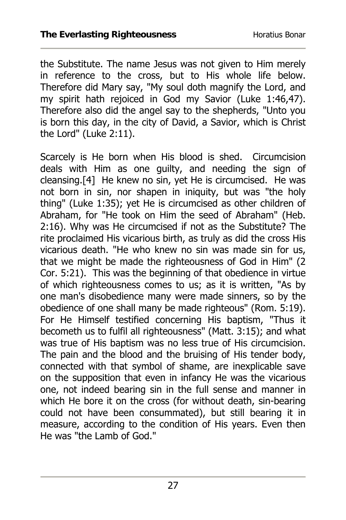the Substitute. The name Jesus was not given to Him merely in reference to the cross, but to His whole life below. Therefore did Mary say, "My soul doth magnify the Lord, and my spirit hath rejoiced in God my Savior (Luke 1:46,47). Therefore also did the angel say to the shepherds, "Unto you is born this day, in the city of David, a Savior, which is Christ the Lord" (Luke 2:11).

Scarcely is He born when His blood is shed. Circumcision deals with Him as one guilty, and needing the sign of cleansing.[4] He knew no sin, yet He is circumcised. He was not born in sin, nor shapen in iniquity, but was "the holy thing" (Luke 1:35); yet He is circumcised as other children of Abraham, for "He took on Him the seed of Abraham" (Heb. 2:16). Why was He circumcised if not as the Substitute? The rite proclaimed His vicarious birth, as truly as did the cross His vicarious death. "He who knew no sin was made sin for us, that we might be made the righteousness of God in Him" (2 Cor. 5:21). This was the beginning of that obedience in virtue of which righteousness comes to us; as it is written, "As by one man's disobedience many were made sinners, so by the obedience of one shall many be made righteous" (Rom. 5:19). For He Himself testified concerning His baptism, "Thus it becometh us to fulfil all righteousness" (Matt. 3:15); and what was true of His baptism was no less true of His circumcision. The pain and the blood and the bruising of His tender body, connected with that symbol of shame, are inexplicable save on the supposition that even in infancy He was the vicarious one, not indeed bearing sin in the full sense and manner in which He bore it on the cross (for without death, sin-bearing could not have been consummated), but still bearing it in measure, according to the condition of His years. Even then He was "the Lamb of God."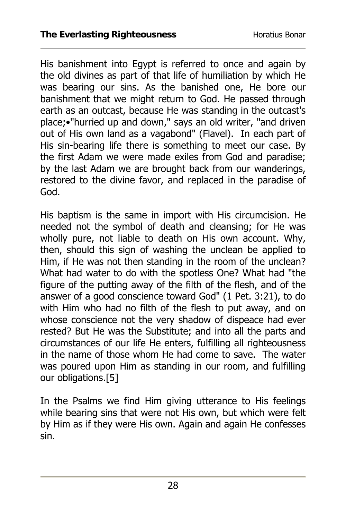His banishment into Egypt is referred to once and again by the old divines as part of that life of humiliation by which He was bearing our sins. As the banished one, He bore our banishment that we might return to God. He passed through earth as an outcast, because He was standing in the outcast's place;•"hurried up and down," says an old writer, "and driven out of His own land as a vagabond" (Flavel). In each part of His sin-bearing life there is something to meet our case. By the first Adam we were made exiles from God and paradise; by the last Adam we are brought back from our wanderings, restored to the divine favor, and replaced in the paradise of God.

His baptism is the same in import with His circumcision. He needed not the symbol of death and cleansing; for He was wholly pure, not liable to death on His own account. Why, then, should this sign of washing the unclean be applied to Him, if He was not then standing in the room of the unclean? What had water to do with the spotless One? What had "the figure of the putting away of the filth of the flesh, and of the answer of a good conscience toward God" (1 Pet. 3:21), to do with Him who had no filth of the flesh to put away, and on whose conscience not the very shadow of dispeace had ever rested? But He was the Substitute; and into all the parts and circumstances of our life He enters, fulfilling all righteousness in the name of those whom He had come to save. The water was poured upon Him as standing in our room, and fulfilling our obligations.[5]

In the Psalms we find Him giving utterance to His feelings while bearing sins that were not His own, but which were felt by Him as if they were His own. Again and again He confesses sin.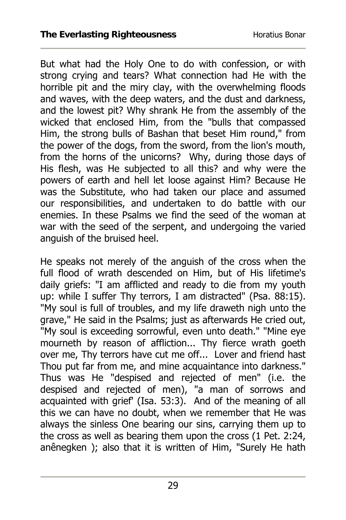But what had the Holy One to do with confession, or with strong crying and tears? What connection had He with the horrible pit and the miry clay, with the overwhelming floods and waves, with the deep waters, and the dust and darkness, and the lowest pit? Why shrank He from the assembly of the wicked that enclosed Him, from the "bulls that compassed Him, the strong bulls of Bashan that beset Him round," from the power of the dogs, from the sword, from the lion's mouth, from the horns of the unicorns? Why, during those days of His flesh, was He subjected to all this? and why were the powers of earth and hell let loose against Him? Because He was the Substitute, who had taken our place and assumed our responsibilities, and undertaken to do battle with our enemies. In these Psalms we find the seed of the woman at war with the seed of the serpent, and undergoing the varied anguish of the bruised heel.

He speaks not merely of the anguish of the cross when the full flood of wrath descended on Him, but of His lifetime's daily griefs: "I am afflicted and ready to die from my youth up: while I suffer Thy terrors, I am distracted" (Psa. 88:15). "My soul is full of troubles, and my life draweth nigh unto the grave," He said in the Psalms; just as afterwards He cried out, "My soul is exceeding sorrowful, even unto death." "Mine eye mourneth by reason of affliction... Thy fierce wrath goeth over me, Thy terrors have cut me off... Lover and friend hast Thou put far from me, and mine acquaintance into darkness." Thus was He "despised and rejected of men" (i.e. the despised and rejected of men), "a man of sorrows and acquainted with grief' (Isa. 53:3). And of the meaning of all this we can have no doubt, when we remember that He was always the sinless One bearing our sins, carrying them up to the cross as well as bearing them upon the cross (1 Pet. 2:24, anênegken ); also that it is written of Him, "Surely He hath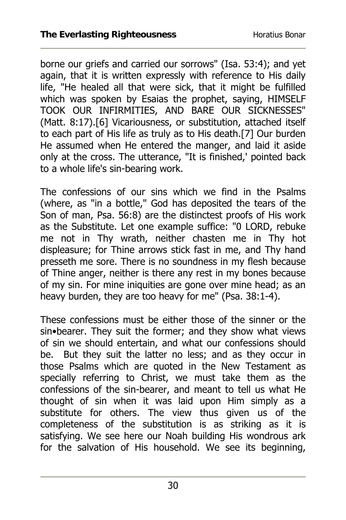borne our griefs and carried our sorrows" (Isa. 53:4); and yet again, that it is written expressly with reference to His daily life, "He healed all that were sick, that it might be fulfilled which was spoken by Esaias the prophet, saying, HIMSELF TOOK OUR INFIRMITIES, AND BARE OUR SICKNESSES" (Matt. 8:17).[6] Vicariousness, or substitution, attached itself to each part of His life as truly as to His death.[7] Our burden He assumed when He entered the manger, and laid it aside only at the cross. The utterance, "It is finished,' pointed back to a whole life's sin-bearing work.

The confessions of our sins which we find in the Psalms (where, as "in a bottle," God has deposited the tears of the Son of man, Psa. 56:8) are the distinctest proofs of His work as the Substitute. Let one example suffice: "0 LORD, rebuke me not in Thy wrath, neither chasten me in Thy hot displeasure; for Thine arrows stick fast in me, and Thy hand presseth me sore. There is no soundness in my flesh because of Thine anger, neither is there any rest in my bones because of my sin. For mine iniquities are gone over mine head; as an heavy burden, they are too heavy for me" (Psa. 38:1-4).

These confessions must be either those of the sinner or the sin•bearer. They suit the former; and they show what views of sin we should entertain, and what our confessions should be. But they suit the latter no less; and as they occur in those Psalms which are quoted in the New Testament as specially referring to Christ, we must take them as the confessions of the sin-bearer, and meant to tell us what He thought of sin when it was laid upon Him simply as a substitute for others. The view thus given us of the completeness of the substitution is as striking as it is satisfying. We see here our Noah building His wondrous ark for the salvation of His household. We see its beginning,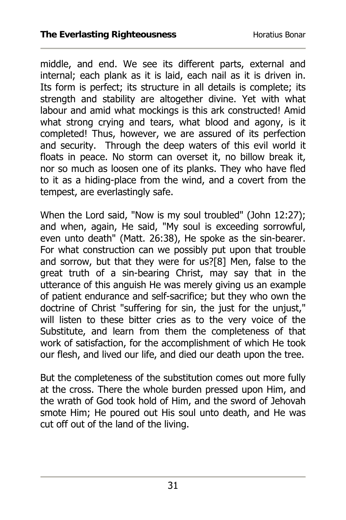middle, and end. We see its different parts, external and internal; each plank as it is laid, each nail as it is driven in. Its form is perfect; its structure in all details is complete; its strength and stability are altogether divine. Yet with what labour and amid what mockings is this ark constructed! Amid what strong crying and tears, what blood and agony, is it completed! Thus, however, we are assured of its perfection and security. Through the deep waters of this evil world it floats in peace. No storm can overset it, no billow break it, nor so much as loosen one of its planks. They who have fled to it as a hiding-place from the wind, and a covert from the tempest, are everlastingly safe.

When the Lord said, "Now is my soul troubled" (John 12:27); and when, again, He said, "My soul is exceeding sorrowful, even unto death" (Matt. 26:38), He spoke as the sin-bearer. For what construction can we possibly put upon that trouble and sorrow, but that they were for us?[8] Men, false to the great truth of a sin-bearing Christ, may say that in the utterance of this anguish He was merely giving us an example of patient endurance and self-sacrifice; but they who own the doctrine of Christ "suffering for sin, the just for the unjust," will listen to these bitter cries as to the very voice of the Substitute, and learn from them the completeness of that work of satisfaction, for the accomplishment of which He took our flesh, and lived our life, and died our death upon the tree.

But the completeness of the substitution comes out more fully at the cross. There the whole burden pressed upon Him, and the wrath of God took hold of Him, and the sword of Jehovah smote Him; He poured out His soul unto death, and He was cut off out of the land of the living.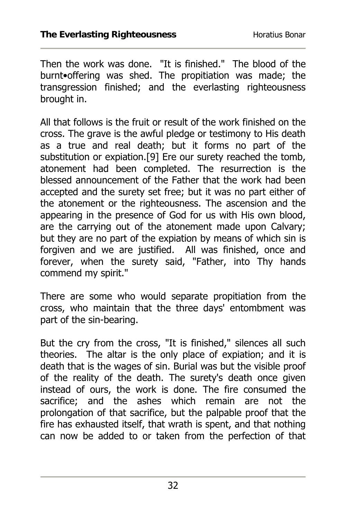Then the work was done. "It is finished." The blood of the burnt•offering was shed. The propitiation was made; the transgression finished; and the everlasting righteousness brought in.

All that follows is the fruit or result of the work finished on the cross. The grave is the awful pledge or testimony to His death as a true and real death; but it forms no part of the substitution or expiation.[9] Ere our surety reached the tomb, atonement had been completed. The resurrection is the blessed announcement of the Father that the work had been accepted and the surety set free; but it was no part either of the atonement or the righteousness. The ascension and the appearing in the presence of God for us with His own blood, are the carrying out of the atonement made upon Calvary; but they are no part of the expiation by means of which sin is forgiven and we are justified. All was finished, once and forever, when the surety said, "Father, into Thy hands commend my spirit."

There are some who would separate propitiation from the cross, who maintain that the three days' entombment was part of the sin-bearing.

But the cry from the cross, "It is finished," silences all such theories. The altar is the only place of expiation; and it is death that is the wages of sin. Burial was but the visible proof of the reality of the death. The surety's death once given instead of ours, the work is done. The fire consumed the sacrifice; and the ashes which remain are not the prolongation of that sacrifice, but the palpable proof that the fire has exhausted itself, that wrath is spent, and that nothing can now be added to or taken from the perfection of that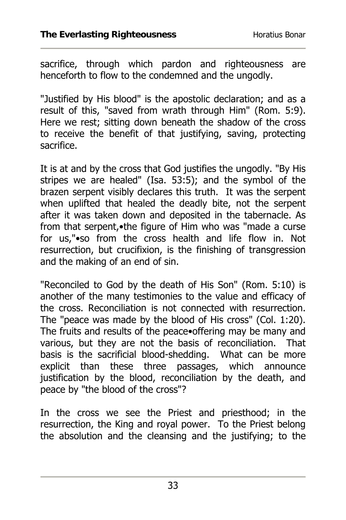sacrifice, through which pardon and righteousness are henceforth to flow to the condemned and the ungodly.

"Justified by His blood" is the apostolic declaration; and as a result of this, "saved from wrath through Him" (Rom. 5:9). Here we rest; sitting down beneath the shadow of the cross to receive the benefit of that justifying, saving, protecting sacrifice.

It is at and by the cross that God justifies the ungodly. "By His stripes we are healed" (Isa. 53:5); and the symbol of the brazen serpent visibly declares this truth. It was the serpent when uplifted that healed the deadly bite, not the serpent after it was taken down and deposited in the tabernacle. As from that serpent,•the figure of Him who was "made a curse for us,"•so from the cross health and life flow in. Not resurrection, but crucifixion, is the finishing of transgression and the making of an end of sin.

"Reconciled to God by the death of His Son" (Rom. 5:10) is another of the many testimonies to the value and efficacy of the cross. Reconciliation is not connected with resurrection. The "peace was made by the blood of His cross" (Col. 1:20). The fruits and results of the peace•offering may be many and various, but they are not the basis of reconciliation. That basis is the sacrificial blood-shedding. What can be more explicit than these three passages, which announce justification by the blood, reconciliation by the death, and peace by "the blood of the cross"?

In the cross we see the Priest and priesthood; in the resurrection, the King and royal power. To the Priest belong the absolution and the cleansing and the justifying; to the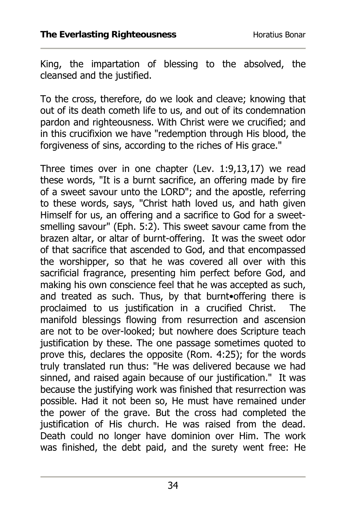King, the impartation of blessing to the absolved, the cleansed and the justified.

To the cross, therefore, do we look and cleave; knowing that out of its death cometh life to us, and out of its condemnation pardon and righteousness. With Christ were we crucified; and in this crucifixion we have "redemption through His blood, the forgiveness of sins, according to the riches of His grace."

Three times over in one chapter (Lev. 1:9,13,17) we read these words, "It is a burnt sacrifice, an offering made by fire of a sweet savour unto the LORD"; and the apostle, referring to these words, says, "Christ hath loved us, and hath given Himself for us, an offering and a sacrifice to God for a sweetsmelling savour" (Eph. 5:2). This sweet savour came from the brazen altar, or altar of burnt-offering. It was the sweet odor of that sacrifice that ascended to God, and that encompassed the worshipper, so that he was covered all over with this sacrificial fragrance, presenting him perfect before God, and making his own conscience feel that he was accepted as such, and treated as such. Thus, by that burnt•offering there is proclaimed to us justification in a crucified Christ. The manifold blessings flowing from resurrection and ascension are not to be over-looked; but nowhere does Scripture teach justification by these. The one passage sometimes quoted to prove this, declares the opposite (Rom. 4:25); for the words truly translated run thus: "He was delivered because we had sinned, and raised again because of our justification." It was because the justifying work was finished that resurrection was possible. Had it not been so, He must have remained under the power of the grave. But the cross had completed the justification of His church. He was raised from the dead. Death could no longer have dominion over Him. The work was finished, the debt paid, and the surety went free: He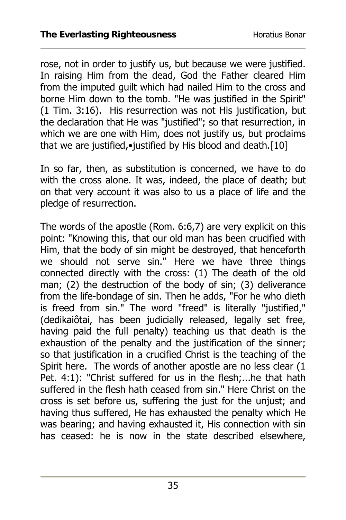rose, not in order to justify us, but because we were justified. In raising Him from the dead, God the Father cleared Him from the imputed guilt which had nailed Him to the cross and borne Him down to the tomb. "He was justified in the Spirit" (1 Tim. 3:16). His resurrection was not His justification, but the declaration that He was "justified"; so that resurrection, in which we are one with Him, does not justify us, but proclaims that we are justified,•justified by His blood and death.[10]

In so far, then, as substitution is concerned, we have to do with the cross alone. It was, indeed, the place of death; but on that very account it was also to us a place of life and the pledge of resurrection.

The words of the apostle (Rom. 6:6,7) are very explicit on this point: "Knowing this, that our old man has been crucified with Him, that the body of sin might be destroyed, that henceforth we should not serve sin." Here we have three things connected directly with the cross: (1) The death of the old man; (2) the destruction of the body of sin; (3) deliverance from the life-bondage of sin. Then he adds, "For he who dieth is freed from sin." The word "freed" is literally "justified," (dedikaiôtai, has been judicially released, legally set free, having paid the full penalty) teaching us that death is the exhaustion of the penalty and the justification of the sinner; so that justification in a crucified Christ is the teaching of the Spirit here. The words of another apostle are no less clear (1 Pet. 4:1): "Christ suffered for us in the flesh;...he that hath suffered in the flesh hath ceased from sin." Here Christ on the cross is set before us, suffering the just for the unjust; and having thus suffered, He has exhausted the penalty which He was bearing; and having exhausted it, His connection with sin has ceased: he is now in the state described elsewhere,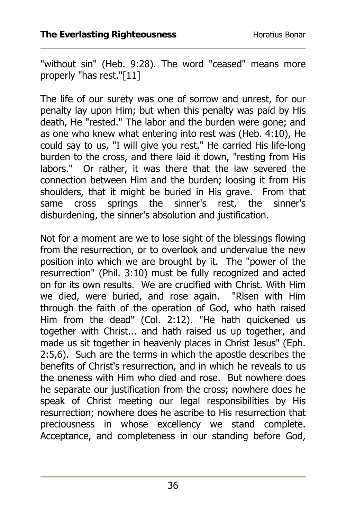"without sin" (Heb. 9:28). The word "ceased" means more properly "has rest."[11]

The life of our surety was one of sorrow and unrest, for our penalty lay upon Him; but when this penalty was paid by His death, He "rested." The labor and the burden were gone; and as one who knew what entering into rest was (Heb. 4:10), He could say to us, "I will give you rest." He carried His life-long burden to the cross, and there laid it down, "resting from His labors." Or rather, it was there that the law severed the connection between Him and the burden; loosing it from His shoulders, that it might be buried in His grave. From that same cross springs the sinner's rest, the sinner's disburdening, the sinner's absolution and justification.

Not for a moment are we to lose sight of the blessings flowing from the resurrection, or to overlook and undervalue the new position into which we are brought by it. The "power of the resurrection" (Phil. 3:10) must be fully recognized and acted on for its own results. We are crucified with Christ. With Him we died, were buried, and rose again. "Risen with Him through the faith of the operation of God, who hath raised Him from the dead" (Col. 2:12). "He hath quickened us together with Christ... and hath raised us up together, and made us sit together in heavenly places in Christ Jesus" (Eph. 2:5,6). Such are the terms in which the apostle describes the benefits of Christ's resurrection, and in which he reveals to us the oneness with Him who died and rose. But nowhere does he separate our justification from the cross; nowhere does he speak of Christ meeting our legal responsibilities by His resurrection; nowhere does he ascribe to His resurrection that preciousness in whose excellency we stand complete. Acceptance, and completeness in our standing before God,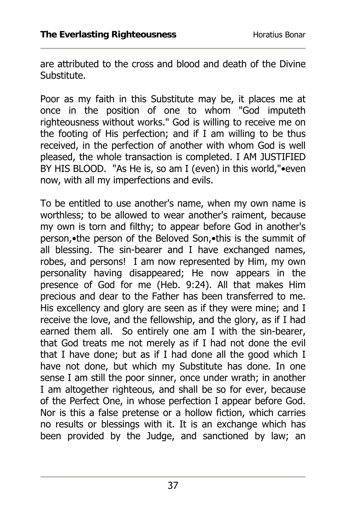are attributed to the cross and blood and death of the Divine Substitute.

Poor as my faith in this Substitute may be, it places me at once in the position of one to whom "God imputeth righteousness without works." God is willing to receive me on the footing of His perfection; and if I am willing to be thus received, in the perfection of another with whom God is well pleased, the whole transaction is completed. I AM JUSTIFIED BY HIS BLOOD. "As He is, so am I (even) in this world,"•even now, with all my imperfections and evils.

To be entitled to use another's name, when my own name is worthless; to be allowed to wear another's raiment, because my own is torn and filthy; to appear before God in another's person,•the person of the Beloved Son,•this is the summit of all blessing. The sin-bearer and I have exchanged names, robes, and persons! I am now represented by Him, my own personality having disappeared; He now appears in the presence of God for me (Heb. 9:24). All that makes Him precious and dear to the Father has been transferred to me. His excellency and glory are seen as if they were mine; and I receive the love, and the fellowship, and the glory, as if I had earned them all. So entirely one am I with the sin-bearer, that God treats me not merely as if I had not done the evil that I have done; but as if I had done all the good which I have not done, but which my Substitute has done. In one sense I am still the poor sinner, once under wrath; in another I am altogether righteous, and shall be so for ever, because of the Perfect One, in whose perfection I appear before God. Nor is this a false pretense or a hollow fiction, which carries no results or blessings with it. It is an exchange which has been provided by the Judge, and sanctioned by law; an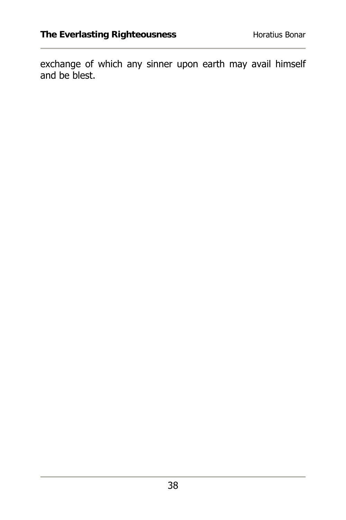exchange of which any sinner upon earth may avail himself and be blest.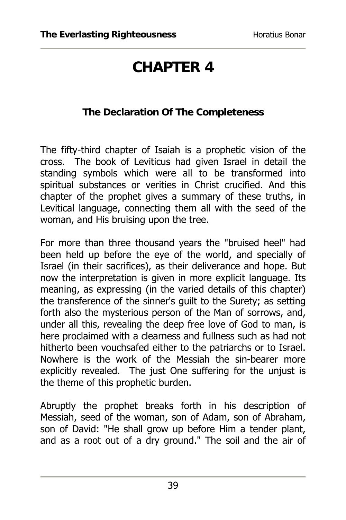### **CHAPTER 4**

#### **The Declaration Of The Completeness**

The fifty-third chapter of Isaiah is a prophetic vision of the cross. The book of Leviticus had given Israel in detail the standing symbols which were all to be transformed into spiritual substances or verities in Christ crucified. And this chapter of the prophet gives a summary of these truths, in Levitical language, connecting them all with the seed of the woman, and His bruising upon the tree.

For more than three thousand years the "bruised heel" had been held up before the eye of the world, and specially of Israel (in their sacrifices), as their deliverance and hope. But now the interpretation is given in more explicit language. Its meaning, as expressing (in the varied details of this chapter) the transference of the sinner's guilt to the Surety; as setting forth also the mysterious person of the Man of sorrows, and, under all this, revealing the deep free love of God to man, is here proclaimed with a clearness and fullness such as had not hitherto been vouchsafed either to the patriarchs or to Israel. Nowhere is the work of the Messiah the sin-bearer more explicitly revealed. The just One suffering for the unjust is the theme of this prophetic burden.

Abruptly the prophet breaks forth in his description of Messiah, seed of the woman, son of Adam, son of Abraham, son of David: "He shall grow up before Him a tender plant, and as a root out of a dry ground." The soil and the air of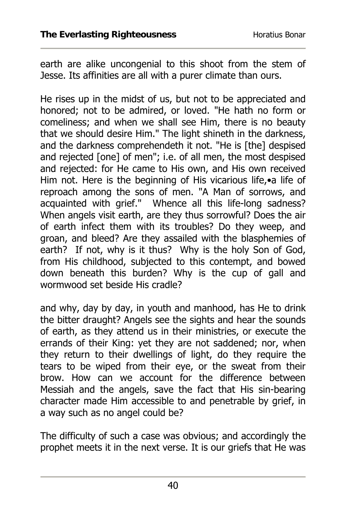earth are alike uncongenial to this shoot from the stem of Jesse. Its affinities are all with a purer climate than ours.

He rises up in the midst of us, but not to be appreciated and honored; not to be admired, or loved. "He hath no form or comeliness; and when we shall see Him, there is no beauty that we should desire Him." The light shineth in the darkness, and the darkness comprehendeth it not. "He is [the] despised and rejected [one] of men"; i.e. of all men, the most despised and rejected: for He came to His own, and His own received Him not. Here is the beginning of His vicarious life,•a life of reproach among the sons of men. "A Man of sorrows, and acquainted with grief." Whence all this life-long sadness? When angels visit earth, are they thus sorrowful? Does the air of earth infect them with its troubles? Do they weep, and groan, and bleed? Are they assailed with the blasphemies of earth? If not, why is it thus? Why is the holy Son of God, from His childhood, subjected to this contempt, and bowed down beneath this burden? Why is the cup of gall and wormwood set beside His cradle?

and why, day by day, in youth and manhood, has He to drink the bitter draught? Angels see the sights and hear the sounds of earth, as they attend us in their ministries, or execute the errands of their King: yet they are not saddened; nor, when they return to their dwellings of light, do they require the tears to be wiped from their eye, or the sweat from their brow. How can we account for the difference between Messiah and the angels, save the fact that His sin-bearing character made Him accessible to and penetrable by grief, in a way such as no angel could be?

The difficulty of such a case was obvious; and accordingly the prophet meets it in the next verse. It is our griefs that He was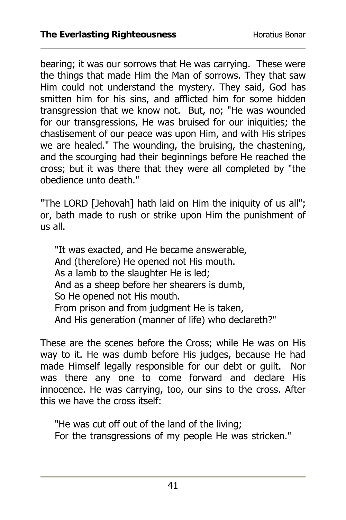bearing; it was our sorrows that He was carrying. These were the things that made Him the Man of sorrows. They that saw Him could not understand the mystery. They said, God has smitten him for his sins, and afflicted him for some hidden transgression that we know not. But, no; "He was wounded for our transgressions, He was bruised for our iniquities; the chastisement of our peace was upon Him, and with His stripes we are healed." The wounding, the bruising, the chastening, and the scourging had their beginnings before He reached the cross; but it was there that they were all completed by "the obedience unto death."

"The LORD [Jehovah] hath laid on Him the iniquity of us all"; or, bath made to rush or strike upon Him the punishment of us all.

"It was exacted, and He became answerable, And (therefore) He opened not His mouth. As a lamb to the slaughter He is led; And as a sheep before her shearers is dumb, So He opened not His mouth. From prison and from judgment He is taken, And His generation (manner of life) who declareth?"

These are the scenes before the Cross; while He was on His way to it. He was dumb before His judges, because He had made Himself legally responsible for our debt or guilt. Nor was there any one to come forward and declare His innocence. He was carrying, too, our sins to the cross. After this we have the cross itself:

"He was cut off out of the land of the living; For the transgressions of my people He was stricken."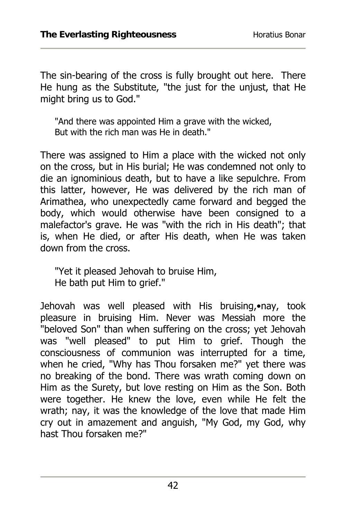The sin-bearing of the cross is fully brought out here. There He hung as the Substitute, "the just for the unjust, that He might bring us to God."

"And there was appointed Him a grave with the wicked, But with the rich man was He in death."

There was assigned to Him a place with the wicked not only on the cross, but in His burial; He was condemned not only to die an ignominious death, but to have a like sepulchre. From this latter, however, He was delivered by the rich man of Arimathea, who unexpectedly came forward and begged the body, which would otherwise have been consigned to a malefactor's grave. He was "with the rich in His death"; that is, when He died, or after His death, when He was taken down from the cross.

"Yet it pleased Jehovah to bruise Him, He bath put Him to grief."

Jehovah was well pleased with His bruising,•nay, took pleasure in bruising Him. Never was Messiah more the "beloved Son" than when suffering on the cross; yet Jehovah was "well pleased" to put Him to grief. Though the consciousness of communion was interrupted for a time, when he cried, "Why has Thou forsaken me?" yet there was no breaking of the bond. There was wrath coming down on Him as the Surety, but love resting on Him as the Son. Both were together. He knew the love, even while He felt the wrath; nay, it was the knowledge of the love that made Him cry out in amazement and anguish, "My God, my God, why hast Thou forsaken me?"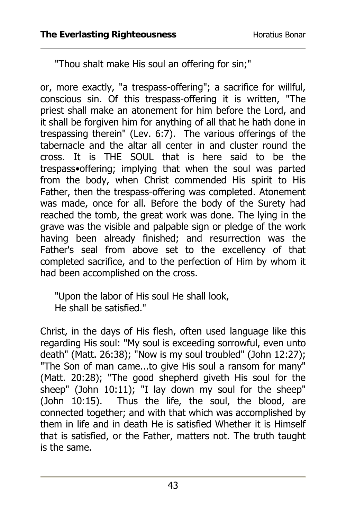"Thou shalt make His soul an offering for sin;"

or, more exactly, "a trespass-offering"; a sacrifice for willful, conscious sin. Of this trespass-offering it is written, "The priest shall make an atonement for him before the Lord, and it shall be forgiven him for anything of all that he hath done in trespassing therein" (Lev. 6:7). The various offerings of the tabernacle and the altar all center in and cluster round the cross. It is THE SOUL that is here said to be the trespass•offering; implying that when the soul was parted from the body, when Christ commended His spirit to His Father, then the trespass-offering was completed. Atonement was made, once for all. Before the body of the Surety had reached the tomb, the great work was done. The lying in the grave was the visible and palpable sign or pledge of the work having been already finished; and resurrection was the Father's seal from above set to the excellency of that completed sacrifice, and to the perfection of Him by whom it had been accomplished on the cross.

"Upon the labor of His soul He shall look, He shall be satisfied."

Christ, in the days of His flesh, often used language like this regarding His soul: "My soul is exceeding sorrowful, even unto death" (Matt. 26:38); "Now is my soul troubled" (John 12:27); "The Son of man came...to give His soul a ransom for many" (Matt. 20:28); "The good shepherd giveth His soul for the sheep" (John 10:11); "I lay down my soul for the sheep" (John 10:15). Thus the life, the soul, the blood, are connected together; and with that which was accomplished by them in life and in death He is satisfied Whether it is Himself that is satisfied, or the Father, matters not. The truth taught is the same.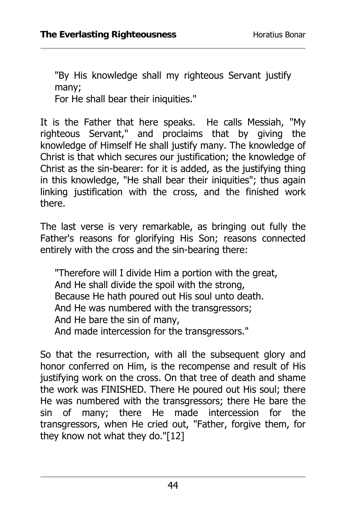"By His knowledge shall my righteous Servant justify many; For He shall bear their iniquities."

It is the Father that here speaks. He calls Messiah, "My righteous Servant," and proclaims that by giving the knowledge of Himself He shall justify many. The knowledge of Christ is that which secures our justification; the knowledge of Christ as the sin-bearer: for it is added, as the justifying thing in this knowledge, "He shall bear their iniquities"; thus again linking justification with the cross, and the finished work there.

The last verse is very remarkable, as bringing out fully the Father's reasons for glorifying His Son; reasons connected entirely with the cross and the sin-bearing there:

"Therefore will I divide Him a portion with the great, And He shall divide the spoil with the strong, Because He hath poured out His soul unto death. And He was numbered with the transgressors; And He bare the sin of many, And made intercession for the transgressors."

So that the resurrection, with all the subsequent glory and honor conferred on Him, is the recompense and result of His justifying work on the cross. On that tree of death and shame the work was FINISHED. There He poured out His soul; there He was numbered with the transgressors; there He bare the sin of many; there He made intercession for the transgressors, when He cried out, "Father, forgive them, for they know not what they do."[12]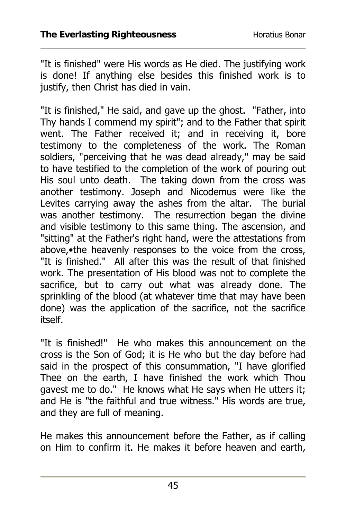"It is finished" were His words as He died. The justifying work is done! If anything else besides this finished work is to justify, then Christ has died in vain.

"It is finished," He said, and gave up the ghost. "Father, into Thy hands I commend my spirit"; and to the Father that spirit went. The Father received it; and in receiving it, bore testimony to the completeness of the work. The Roman soldiers, "perceiving that he was dead already," may be said to have testified to the completion of the work of pouring out His soul unto death. The taking down from the cross was another testimony. Joseph and Nicodemus were like the Levites carrying away the ashes from the altar. The burial was another testimony. The resurrection began the divine and visible testimony to this same thing. The ascension, and "sitting" at the Father's right hand, were the attestations from above,•the heavenly responses to the voice from the cross, "It is finished." All after this was the result of that finished work. The presentation of His blood was not to complete the sacrifice, but to carry out what was already done. The sprinkling of the blood (at whatever time that may have been done) was the application of the sacrifice, not the sacrifice itself.

"It is finished!" He who makes this announcement on the cross is the Son of God; it is He who but the day before had said in the prospect of this consummation, "I have glorified Thee on the earth, I have finished the work which Thou gavest me to do." He knows what He says when He utters it; and He is "the faithful and true witness." His words are true, and they are full of meaning.

He makes this announcement before the Father, as if calling on Him to confirm it. He makes it before heaven and earth,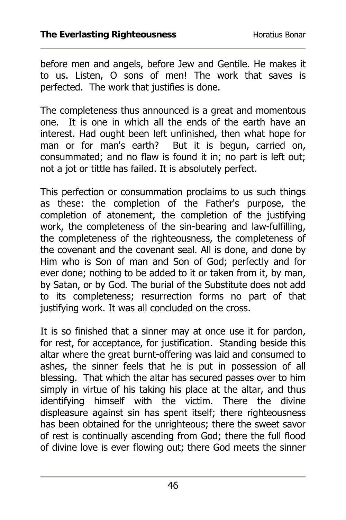before men and angels, before Jew and Gentile. He makes it to us. Listen, O sons of men! The work that saves is perfected. The work that justifies is done.

The completeness thus announced is a great and momentous one. It is one in which all the ends of the earth have an interest. Had ought been left unfinished, then what hope for man or for man's earth? But it is begun, carried on, consummated; and no flaw is found it in; no part is left out; not a jot or tittle has failed. It is absolutely perfect.

This perfection or consummation proclaims to us such things as these: the completion of the Father's purpose, the completion of atonement, the completion of the justifying work, the completeness of the sin-bearing and law-fulfilling, the completeness of the righteousness, the completeness of the covenant and the covenant seal. All is done, and done by Him who is Son of man and Son of God; perfectly and for ever done; nothing to be added to it or taken from it, by man, by Satan, or by God. The burial of the Substitute does not add to its completeness; resurrection forms no part of that justifying work. It was all concluded on the cross.

It is so finished that a sinner may at once use it for pardon, for rest, for acceptance, for justification. Standing beside this altar where the great burnt-offering was laid and consumed to ashes, the sinner feels that he is put in possession of all blessing. That which the altar has secured passes over to him simply in virtue of his taking his place at the altar, and thus identifying himself with the victim. There the divine displeasure against sin has spent itself; there righteousness has been obtained for the unrighteous; there the sweet savor of rest is continually ascending from God; there the full flood of divine love is ever flowing out; there God meets the sinner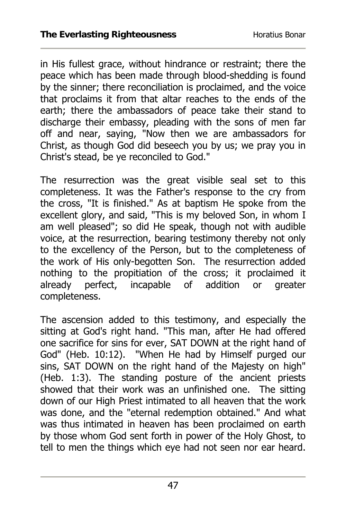in His fullest grace, without hindrance or restraint; there the peace which has been made through blood-shedding is found by the sinner; there reconciliation is proclaimed, and the voice that proclaims it from that altar reaches to the ends of the earth; there the ambassadors of peace take their stand to discharge their embassy, pleading with the sons of men far off and near, saying, "Now then we are ambassadors for Christ, as though God did beseech you by us; we pray you in Christ's stead, be ye reconciled to God."

The resurrection was the great visible seal set to this completeness. It was the Father's response to the cry from the cross, "It is finished." As at baptism He spoke from the excellent glory, and said, "This is my beloved Son, in whom I am well pleased"; so did He speak, though not with audible voice, at the resurrection, bearing testimony thereby not only to the excellency of the Person, but to the completeness of the work of His only-begotten Son. The resurrection added nothing to the propitiation of the cross; it proclaimed it already perfect, incapable of addition or greater completeness.

The ascension added to this testimony, and especially the sitting at God's right hand. "This man, after He had offered one sacrifice for sins for ever, SAT DOWN at the right hand of God" (Heb. 10:12). "When He had by Himself purged our sins, SAT DOWN on the right hand of the Majesty on high" (Heb. 1:3). The standing posture of the ancient priests showed that their work was an unfinished one. The sitting down of our High Priest intimated to all heaven that the work was done, and the "eternal redemption obtained." And what was thus intimated in heaven has been proclaimed on earth by those whom God sent forth in power of the Holy Ghost, to tell to men the things which eye had not seen nor ear heard.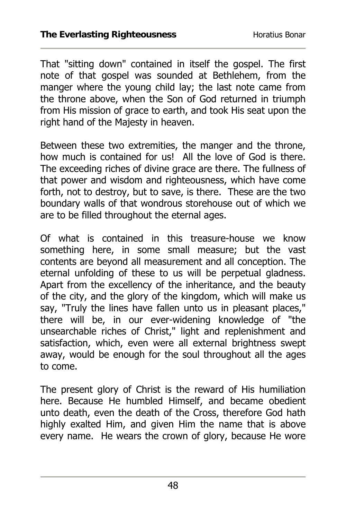That "sitting down" contained in itself the gospel. The first note of that gospel was sounded at Bethlehem, from the manger where the young child lay; the last note came from the throne above, when the Son of God returned in triumph from His mission of grace to earth, and took His seat upon the right hand of the Majesty in heaven.

Between these two extremities, the manger and the throne, how much is contained for us! All the love of God is there. The exceeding riches of divine grace are there. The fullness of that power and wisdom and righteousness, which have come forth, not to destroy, but to save, is there. These are the two boundary walls of that wondrous storehouse out of which we are to be filled throughout the eternal ages.

Of what is contained in this treasure-house we know something here, in some small measure; but the vast contents are beyond all measurement and all conception. The eternal unfolding of these to us will be perpetual gladness. Apart from the excellency of the inheritance, and the beauty of the city, and the glory of the kingdom, which will make us say, "Truly the lines have fallen unto us in pleasant places," there will be, in our ever-widening knowledge of "the unsearchable riches of Christ," light and replenishment and satisfaction, which, even were all external brightness swept away, would be enough for the soul throughout all the ages to come.

The present glory of Christ is the reward of His humiliation here. Because He humbled Himself, and became obedient unto death, even the death of the Cross, therefore God hath highly exalted Him, and given Him the name that is above every name. He wears the crown of glory, because He wore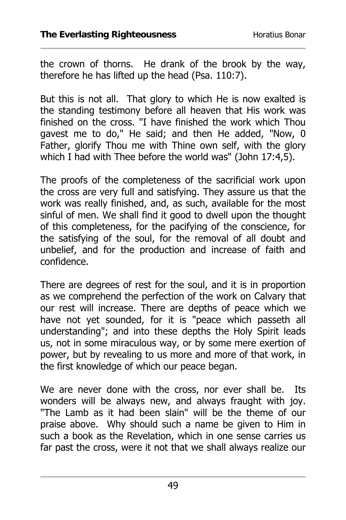the crown of thorns. He drank of the brook by the way, therefore he has lifted up the head (Psa. 110:7).

But this is not all. That glory to which He is now exalted is the standing testimony before all heaven that His work was finished on the cross. "I have finished the work which Thou gavest me to do," He said; and then He added, "Now, 0 Father, glorify Thou me with Thine own self, with the glory which I had with Thee before the world was" (John 17:4,5).

The proofs of the completeness of the sacrificial work upon the cross are very full and satisfying. They assure us that the work was really finished, and, as such, available for the most sinful of men. We shall find it good to dwell upon the thought of this completeness, for the pacifying of the conscience, for the satisfying of the soul, for the removal of all doubt and unbelief, and for the production and increase of faith and confidence.

There are degrees of rest for the soul, and it is in proportion as we comprehend the perfection of the work on Calvary that our rest will increase. There are depths of peace which we have not yet sounded, for it is "peace which passeth all understanding"; and into these depths the Holy Spirit leads us, not in some miraculous way, or by some mere exertion of power, but by revealing to us more and more of that work, in the first knowledge of which our peace began.

We are never done with the cross, nor ever shall be. Its wonders will be always new, and always fraught with joy. "The Lamb as it had been slain" will be the theme of our praise above. Why should such a name be given to Him in such a book as the Revelation, which in one sense carries us far past the cross, were it not that we shall always realize our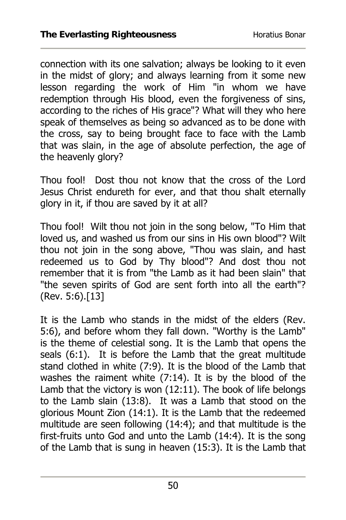connection with its one salvation; always be looking to it even in the midst of glory; and always learning from it some new lesson regarding the work of Him "in whom we have redemption through His blood, even the forgiveness of sins, according to the riches of His grace"? What will they who here speak of themselves as being so advanced as to be done with the cross, say to being brought face to face with the Lamb that was slain, in the age of absolute perfection, the age of the heavenly glory?

Thou fool! Dost thou not know that the cross of the Lord Jesus Christ endureth for ever, and that thou shalt eternally glory in it, if thou are saved by it at all?

Thou fool! Wilt thou not join in the song below, "To Him that loved us, and washed us from our sins in His own blood"? Wilt thou not join in the song above, "Thou was slain, and hast redeemed us to God by Thy blood"? And dost thou not remember that it is from "the Lamb as it had been slain" that "the seven spirits of God are sent forth into all the earth"? (Rev. 5:6).[13]

It is the Lamb who stands in the midst of the elders (Rev. 5:6), and before whom they fall down. "Worthy is the Lamb" is the theme of celestial song. It is the Lamb that opens the seals (6:1). It is before the Lamb that the great multitude stand clothed in white (7:9). It is the blood of the Lamb that washes the raiment white (7:14). It is by the blood of the Lamb that the victory is won (12:11). The book of life belongs to the Lamb slain (13:8). It was a Lamb that stood on the glorious Mount Zion (14:1). It is the Lamb that the redeemed multitude are seen following (14:4); and that multitude is the first-fruits unto God and unto the Lamb (14:4). It is the song of the Lamb that is sung in heaven (15:3). It is the Lamb that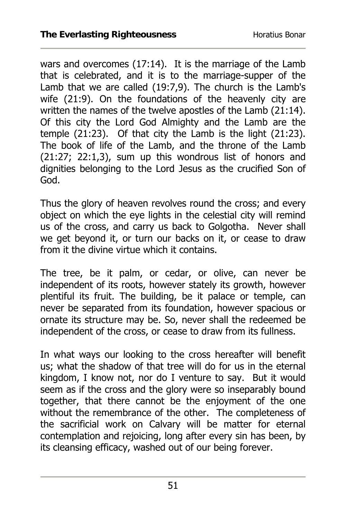wars and overcomes (17:14). It is the marriage of the Lamb that is celebrated, and it is to the marriage-supper of the Lamb that we are called (19:7,9). The church is the Lamb's wife (21:9). On the foundations of the heavenly city are written the names of the twelve apostles of the Lamb (21:14). Of this city the Lord God Almighty and the Lamb are the temple (21:23). Of that city the Lamb is the light (21:23). The book of life of the Lamb, and the throne of the Lamb (21:27; 22:1,3), sum up this wondrous list of honors and dignities belonging to the Lord Jesus as the crucified Son of God.

Thus the glory of heaven revolves round the cross; and every object on which the eye lights in the celestial city will remind us of the cross, and carry us back to Golgotha. Never shall we get beyond it, or turn our backs on it, or cease to draw from it the divine virtue which it contains.

The tree, be it palm, or cedar, or olive, can never be independent of its roots, however stately its growth, however plentiful its fruit. The building, be it palace or temple, can never be separated from its foundation, however spacious or ornate its structure may be. So, never shall the redeemed be independent of the cross, or cease to draw from its fullness.

In what ways our looking to the cross hereafter will benefit us; what the shadow of that tree will do for us in the eternal kingdom, I know not, nor do I venture to say. But it would seem as if the cross and the glory were so inseparably bound together, that there cannot be the enjoyment of the one without the remembrance of the other. The completeness of the sacrificial work on Calvary will be matter for eternal contemplation and rejoicing, long after every sin has been, by its cleansing efficacy, washed out of our being forever.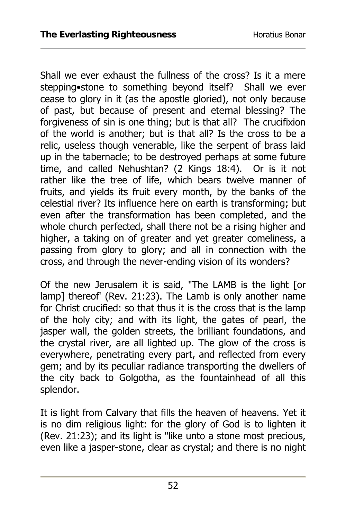Shall we ever exhaust the fullness of the cross? Is it a mere stepping•stone to something beyond itself? Shall we ever cease to glory in it (as the apostle gloried), not only because of past, but because of present and eternal blessing? The forgiveness of sin is one thing; but is that all? The crucifixion of the world is another; but is that all? Is the cross to be a relic, useless though venerable, like the serpent of brass laid up in the tabernacle; to be destroyed perhaps at some future time, and called Nehushtan? (2 Kings 18:4). Or is it not rather like the tree of life, which bears twelve manner of fruits, and yields its fruit every month, by the banks of the celestial river? Its influence here on earth is transforming; but even after the transformation has been completed, and the whole church perfected, shall there not be a rising higher and higher, a taking on of greater and yet greater comeliness, a passing from glory to glory; and all in connection with the cross, and through the never-ending vision of its wonders?

Of the new Jerusalem it is said, "The LAMB is the light [or lamp] thereof' (Rev. 21:23). The Lamb is only another name for Christ crucified: so that thus it is the cross that is the lamp of the holy city; and with its light, the gates of pearl, the jasper wall, the golden streets, the brilliant foundations, and the crystal river, are all lighted up. The glow of the cross is everywhere, penetrating every part, and reflected from every gem; and by its peculiar radiance transporting the dwellers of the city back to Golgotha, as the fountainhead of all this splendor.

It is light from Calvary that fills the heaven of heavens. Yet it is no dim religious light: for the glory of God is to lighten it (Rev. 21:23); and its light is "like unto a stone most precious, even like a jasper-stone, clear as crystal; and there is no night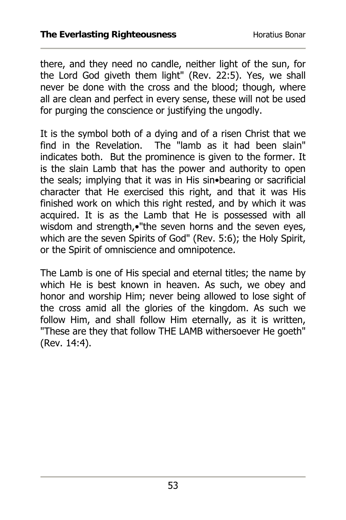there, and they need no candle, neither light of the sun, for the Lord God giveth them light" (Rev. 22:5). Yes, we shall never be done with the cross and the blood; though, where all are clean and perfect in every sense, these will not be used for purging the conscience or justifying the ungodly.

It is the symbol both of a dying and of a risen Christ that we find in the Revelation. The "lamb as it had been slain" indicates both. But the prominence is given to the former. It is the slain Lamb that has the power and authority to open the seals; implying that it was in His sin•bearing or sacrificial character that He exercised this right, and that it was His finished work on which this right rested, and by which it was acquired. It is as the Lamb that He is possessed with all wisdom and strength,•"the seven horns and the seven eyes, which are the seven Spirits of God" (Rev. 5:6); the Holy Spirit, or the Spirit of omniscience and omnipotence.

The Lamb is one of His special and eternal titles; the name by which He is best known in heaven. As such, we obey and honor and worship Him; never being allowed to lose sight of the cross amid all the glories of the kingdom. As such we follow Him, and shall follow Him eternally, as it is written, "These are they that follow THE LAMB withersoever He goeth" (Rev. 14:4).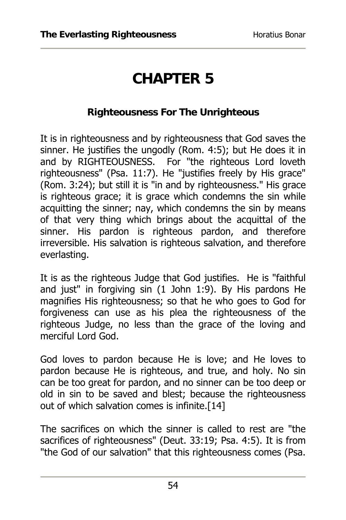# **CHAPTER 5**

#### **Righteousness For The Unrighteous**

It is in righteousness and by righteousness that God saves the sinner. He justifies the ungodly (Rom. 4:5); but He does it in and by RIGHTEOUSNESS. For "the righteous Lord loveth righteousness" (Psa. 11:7). He "justifies freely by His grace" (Rom. 3:24); but still it is "in and by righteousness." His grace is righteous grace; it is grace which condemns the sin while acquitting the sinner; nay, which condemns the sin by means of that very thing which brings about the acquittal of the sinner. His pardon is righteous pardon, and therefore irreversible. His salvation is righteous salvation, and therefore everlasting.

It is as the righteous Judge that God justifies. He is "faithful and just" in forgiving sin (1 John 1:9). By His pardons He magnifies His righteousness; so that he who goes to God for forgiveness can use as his plea the righteousness of the righteous Judge, no less than the grace of the loving and merciful Lord God.

God loves to pardon because He is love; and He loves to pardon because He is righteous, and true, and holy. No sin can be too great for pardon, and no sinner can be too deep or old in sin to be saved and blest; because the righteousness out of which salvation comes is infinite.[14]

The sacrifices on which the sinner is called to rest are "the sacrifices of righteousness" (Deut. 33:19; Psa. 4:5). It is from "the God of our salvation" that this righteousness comes (Psa.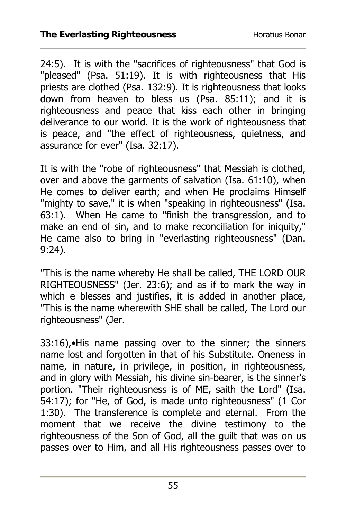24:5). It is with the "sacrifices of righteousness" that God is "pleased" (Psa. 51:19). It is with righteousness that His priests are clothed (Psa. 132:9). It is righteousness that looks down from heaven to bless us (Psa. 85:11); and it is righteousness and peace that kiss each other in bringing deliverance to our world. It is the work of righteousness that is peace, and "the effect of righteousness, quietness, and assurance for ever" (Isa. 32:17).

It is with the "robe of righteousness" that Messiah is clothed, over and above the garments of salvation (Isa. 61:10), when He comes to deliver earth; and when He proclaims Himself "mighty to save," it is when "speaking in righteousness" (Isa. 63:1). When He came to "finish the transgression, and to make an end of sin, and to make reconciliation for iniquity," He came also to bring in "everlasting righteousness" (Dan. 9:24).

"This is the name whereby He shall be called, THE LORD OUR RIGHTEOUSNESS" (Jer. 23:6); and as if to mark the way in which e blesses and justifies, it is added in another place, "This is the name wherewith SHE shall be called, The Lord our righteousness" (Jer.

33:16),•His name passing over to the sinner; the sinners name lost and forgotten in that of his Substitute. Oneness in name, in nature, in privilege, in position, in righteousness, and in glory with Messiah, his divine sin-bearer, is the sinner's portion. "Their righteousness is of ME, saith the Lord" (Isa. 54:17); for "He, of God, is made unto righteousness" (1 Cor 1:30). The transference is complete and eternal. From the moment that we receive the divine testimony to the righteousness of the Son of God, all the guilt that was on us passes over to Him, and all His righteousness passes over to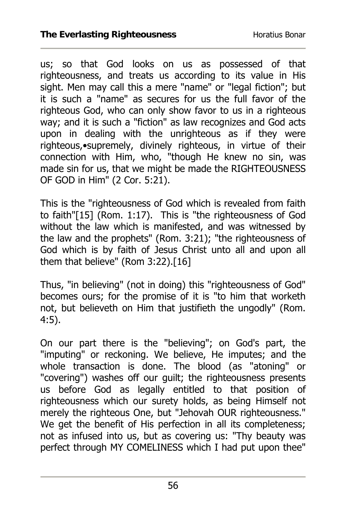us; so that God looks on us as possessed of that righteousness, and treats us according to its value in His sight. Men may call this a mere "name" or "legal fiction"; but it is such a "name" as secures for us the full favor of the righteous God, who can only show favor to us in a righteous way; and it is such a "fiction" as law recognizes and God acts upon in dealing with the unrighteous as if they were righteous,•supremely, divinely righteous, in virtue of their connection with Him, who, "though He knew no sin, was made sin for us, that we might be made the RIGHTEOUSNESS OF GOD in Him" (2 Cor. 5:21).

This is the "righteousness of God which is revealed from faith to faith"[15] (Rom. 1:17). This is "the righteousness of God without the law which is manifested, and was witnessed by the law and the prophets" (Rom. 3:21); "the righteousness of God which is by faith of Jesus Christ unto all and upon all them that believe" (Rom 3:22).[16]

Thus, "in believing" (not in doing) this "righteousness of God" becomes ours; for the promise of it is "to him that worketh not, but believeth on Him that justifieth the ungodly" (Rom. 4:5).

On our part there is the "believing"; on God's part, the "imputing" or reckoning. We believe, He imputes; and the whole transaction is done. The blood (as "atoning" or "covering") washes off our guilt; the righteousness presents us before God as legally entitled to that position of righteousness which our surety holds, as being Himself not merely the righteous One, but "Jehovah OUR righteousness." We get the benefit of His perfection in all its completeness; not as infused into us, but as covering us: "Thy beauty was perfect through MY COMELINESS which I had put upon thee"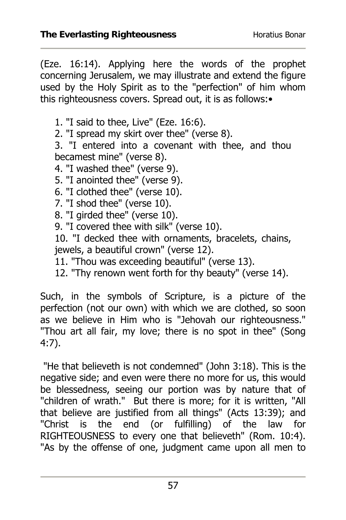(Eze. 16:14). Applying here the words of the prophet concerning Jerusalem, we may illustrate and extend the figure used by the Holy Spirit as to the "perfection" of him whom this righteousness covers. Spread out, it is as follows:•

1. "I said to thee, Live" (Eze. 16:6).

2. "I spread my skirt over thee" (verse 8).

3. "I entered into a covenant with thee, and thou becamest mine" (verse 8).

4. "I washed thee" (verse 9).

- 5. "I anointed thee" (verse 9).
- 6. "I clothed thee" (verse 10).
- 7. "I shod thee" (verse 10).
- 8. "I girded thee" (verse 10).
- 9. "I covered thee with silk" (verse 10).

10. "I decked thee with ornaments, bracelets, chains, jewels, a beautiful crown" (verse 12).

- 11. "Thou was exceeding beautiful" (verse 13).
- 12. "Thy renown went forth for thy beauty" (verse 14).

Such, in the symbols of Scripture, is a picture of the perfection (not our own) with which we are clothed, so soon as we believe in Him who is "Jehovah our righteousness." "Thou art all fair, my love; there is no spot in thee" (Song 4:7).

 "He that believeth is not condemned" (John 3:18). This is the negative side; and even were there no more for us, this would be blessedness, seeing our portion was by nature that of "children of wrath." But there is more; for it is written, "All that believe are justified from all things" (Acts 13:39); and "Christ is the end (or fulfilling) of the law for RIGHTEOUSNESS to every one that believeth" (Rom. 10:4). "As by the offense of one, judgment came upon all men to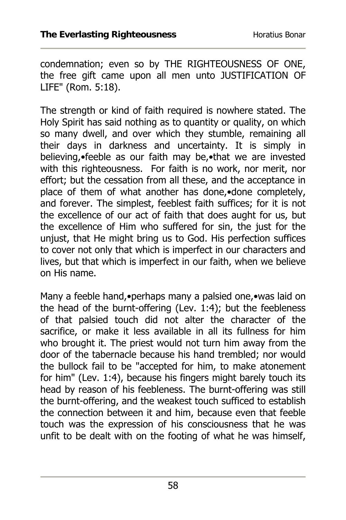condemnation; even so by THE RIGHTEOUSNESS OF ONE, the free gift came upon all men unto JUSTIFICATION OF LIFE" (Rom. 5:18).

The strength or kind of faith required is nowhere stated. The Holy Spirit has said nothing as to quantity or quality, on which so many dwell, and over which they stumble, remaining all their days in darkness and uncertainty. It is simply in believing,•feeble as our faith may be,•that we are invested with this righteousness. For faith is no work, nor merit, nor effort; but the cessation from all these, and the acceptance in place of them of what another has done,•done completely, and forever. The simplest, feeblest faith suffices; for it is not the excellence of our act of faith that does aught for us, but the excellence of Him who suffered for sin, the just for the unjust, that He might bring us to God. His perfection suffices to cover not only that which is imperfect in our characters and lives, but that which is imperfect in our faith, when we believe on His name.

Many a feeble hand,•perhaps many a palsied one,•was laid on the head of the burnt-offering (Lev. 1:4); but the feebleness of that palsied touch did not alter the character of the sacrifice, or make it less available in all its fullness for him who brought it. The priest would not turn him away from the door of the tabernacle because his hand trembled; nor would the bullock fail to be "accepted for him, to make atonement for him" (Lev. 1:4), because his fingers might barely touch its head by reason of his feebleness. The burnt-offering was still the burnt-offering, and the weakest touch sufficed to establish the connection between it and him, because even that feeble touch was the expression of his consciousness that he was unfit to be dealt with on the footing of what he was himself,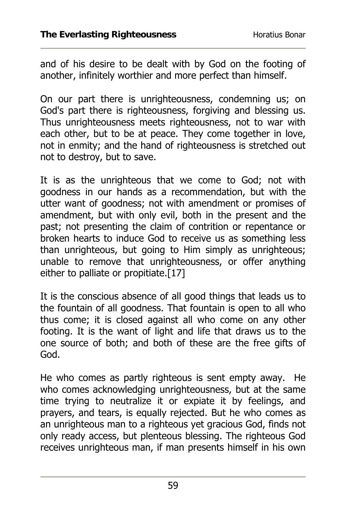and of his desire to be dealt with by God on the footing of another, infinitely worthier and more perfect than himself.

On our part there is unrighteousness, condemning us; on God's part there is righteousness, forgiving and blessing us. Thus unrighteousness meets righteousness, not to war with each other, but to be at peace. They come together in love, not in enmity; and the hand of righteousness is stretched out not to destroy, but to save.

It is as the unrighteous that we come to God; not with goodness in our hands as a recommendation, but with the utter want of goodness; not with amendment or promises of amendment, but with only evil, both in the present and the past; not presenting the claim of contrition or repentance or broken hearts to induce God to receive us as something less than unrighteous, but going to Him simply as unrighteous; unable to remove that unrighteousness, or offer anything either to palliate or propitiate.[17]

It is the conscious absence of all good things that leads us to the fountain of all goodness. That fountain is open to all who thus come; it is closed against all who come on any other footing. It is the want of light and life that draws us to the one source of both; and both of these are the free gifts of God.

He who comes as partly righteous is sent empty away. He who comes acknowledging unrighteousness, but at the same time trying to neutralize it or expiate it by feelings, and prayers, and tears, is equally rejected. But he who comes as an unrighteous man to a righteous yet gracious God, finds not only ready access, but plenteous blessing. The righteous God receives unrighteous man, if man presents himself in his own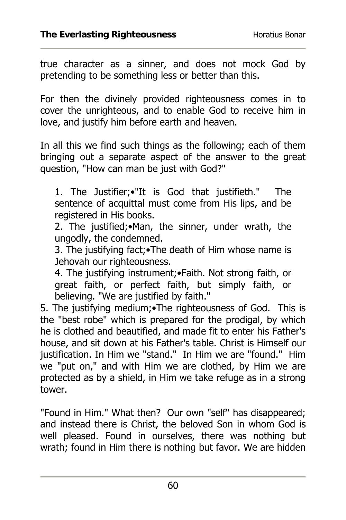true character as a sinner, and does not mock God by pretending to be something less or better than this.

For then the divinely provided righteousness comes in to cover the unrighteous, and to enable God to receive him in love, and justify him before earth and heaven.

In all this we find such things as the following; each of them bringing out a separate aspect of the answer to the great question, "How can man be just with God?"

1. The Justifier;•"It is God that justifieth." The sentence of acquittal must come from His lips, and be registered in His books.

2. The justified;•Man, the sinner, under wrath, the ungodly, the condemned.

3. The justifying fact;•The death of Him whose name is Jehovah our righteousness.

4. The justifying instrument;•Faith. Not strong faith, or great faith, or perfect faith, but simply faith, or believing. "We are justified by faith."

5. The justifying medium;•The righteousness of God. This is the "best robe" which is prepared for the prodigal, by which he is clothed and beautified, and made fit to enter his Father's house, and sit down at his Father's table. Christ is Himself our justification. In Him we "stand." In Him we are "found." Him we "put on," and with Him we are clothed, by Him we are protected as by a shield, in Him we take refuge as in a strong tower.

"Found in Him." What then? Our own "self" has disappeared; and instead there is Christ, the beloved Son in whom God is well pleased. Found in ourselves, there was nothing but wrath; found in Him there is nothing but favor. We are hidden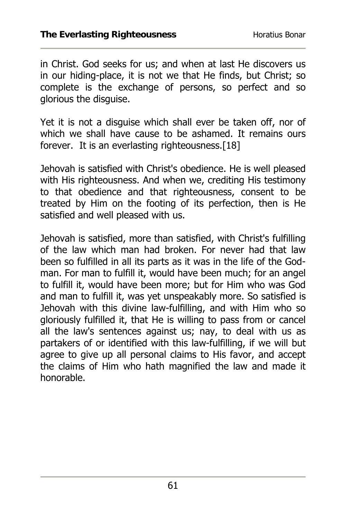in Christ. God seeks for us; and when at last He discovers us in our hiding-place, it is not we that He finds, but Christ; so complete is the exchange of persons, so perfect and so glorious the disguise.

Yet it is not a disguise which shall ever be taken off, nor of which we shall have cause to be ashamed. It remains ours forever. It is an everlasting righteousness.[18]

Jehovah is satisfied with Christ's obedience. He is well pleased with His righteousness. And when we, crediting His testimony to that obedience and that righteousness, consent to be treated by Him on the footing of its perfection, then is He satisfied and well pleased with us.

Jehovah is satisfied, more than satisfied, with Christ's fulfilling of the law which man had broken. For never had that law been so fulfilled in all its parts as it was in the life of the Godman. For man to fulfill it, would have been much; for an angel to fulfill it, would have been more; but for Him who was God and man to fulfill it, was yet unspeakably more. So satisfied is Jehovah with this divine law-fulfilling, and with Him who so gloriously fulfilled it, that He is willing to pass from or cancel all the law's sentences against us; nay, to deal with us as partakers of or identified with this law-fulfilling, if we will but agree to give up all personal claims to His favor, and accept the claims of Him who hath magnified the law and made it honorable.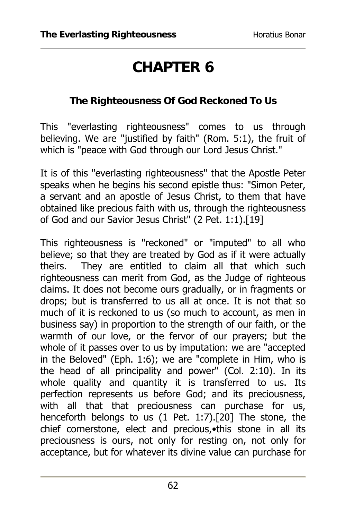# **CHAPTER 6**

#### **The Righteousness Of God Reckoned To Us**

This "everlasting righteousness" comes to us through believing. We are "justified by faith" (Rom. 5:1), the fruit of which is "peace with God through our Lord Jesus Christ."

It is of this "everlasting righteousness" that the Apostle Peter speaks when he begins his second epistle thus: "Simon Peter, a servant and an apostle of Jesus Christ, to them that have obtained like precious faith with us, through the righteousness of God and our Savior Jesus Christ" (2 Pet. 1:1).[19]

This righteousness is "reckoned" or "imputed" to all who believe; so that they are treated by God as if it were actually theirs. They are entitled to claim all that which such righteousness can merit from God, as the Judge of righteous claims. It does not become ours gradually, or in fragments or drops; but is transferred to us all at once. It is not that so much of it is reckoned to us (so much to account, as men in business say) in proportion to the strength of our faith, or the warmth of our love, or the fervor of our prayers; but the whole of it passes over to us by imputation: we are "accepted in the Beloved" (Eph. 1:6); we are "complete in Him, who is the head of all principality and power" (Col. 2:10). In its whole quality and quantity it is transferred to us. Its perfection represents us before God; and its preciousness, with all that that preciousness can purchase for us, henceforth belongs to us (1 Pet. 1:7).[20] The stone, the chief cornerstone, elect and precious,•this stone in all its preciousness is ours, not only for resting on, not only for acceptance, but for whatever its divine value can purchase for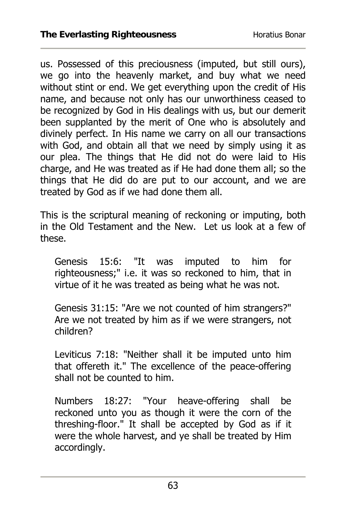us. Possessed of this preciousness (imputed, but still ours), we go into the heavenly market, and buy what we need without stint or end. We get everything upon the credit of His name, and because not only has our unworthiness ceased to be recognized by God in His dealings with us, but our demerit been supplanted by the merit of One who is absolutely and divinely perfect. In His name we carry on all our transactions with God, and obtain all that we need by simply using it as our plea. The things that He did not do were laid to His charge, and He was treated as if He had done them all; so the things that He did do are put to our account, and we are treated by God as if we had done them all.

This is the scriptural meaning of reckoning or imputing, both in the Old Testament and the New. Let us look at a few of these.

Genesis 15:6: "It was imputed to him for righteousness;" i.e. it was so reckoned to him, that in virtue of it he was treated as being what he was not.

Genesis 31:15: "Are we not counted of him strangers?" Are we not treated by him as if we were strangers, not children?

Leviticus 7:18: "Neither shall it be imputed unto him that offereth it." The excellence of the peace-offering shall not be counted to him.

Numbers 18:27: "Your heave-offering shall be reckoned unto you as though it were the corn of the threshing-floor." It shall be accepted by God as if it were the whole harvest, and ye shall be treated by Him accordingly.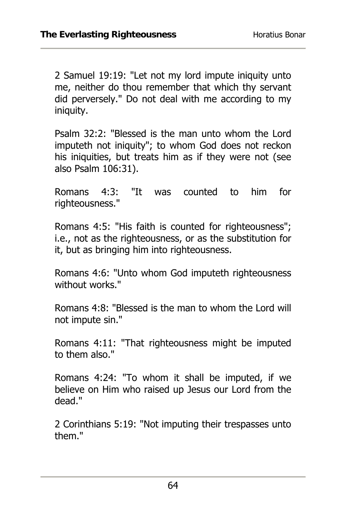2 Samuel 19:19: "Let not my lord impute iniquity unto me, neither do thou remember that which thy servant did perversely." Do not deal with me according to my iniquity.

Psalm 32:2: "Blessed is the man unto whom the Lord imputeth not iniquity"; to whom God does not reckon his iniquities, but treats him as if they were not (see also Psalm 106:31).

Romans 4:3: "It was counted to him for righteousness."

Romans 4:5: "His faith is counted for righteousness"; i.e., not as the righteousness, or as the substitution for it, but as bringing him into righteousness.

Romans 4:6: "Unto whom God imputeth righteousness without works."

Romans 4:8: "Blessed is the man to whom the Lord will not impute sin."

Romans 4:11: "That righteousness might be imputed to them also."

Romans 4:24: "To whom it shall be imputed, if we believe on Him who raised up Jesus our Lord from the dead."

2 Corinthians 5:19: "Not imputing their trespasses unto them."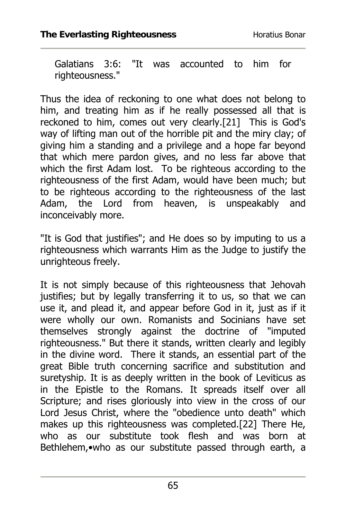Galatians 3:6: "It was accounted to him for righteousness."

Thus the idea of reckoning to one what does not belong to him, and treating him as if he really possessed all that is reckoned to him, comes out very clearly.[21] This is God's way of lifting man out of the horrible pit and the miry clay; of giving him a standing and a privilege and a hope far beyond that which mere pardon gives, and no less far above that which the first Adam lost. To be righteous according to the righteousness of the first Adam, would have been much; but to be righteous according to the righteousness of the last<br>Adam, the Lord from heaven, is unspeakably and from heaven, is unspeakably and inconceivably more.

"It is God that justifies"; and He does so by imputing to us a righteousness which warrants Him as the Judge to justify the unrighteous freely.

It is not simply because of this righteousness that Jehovah justifies; but by legally transferring it to us, so that we can use it, and plead it, and appear before God in it, just as if it were wholly our own. Romanists and Socinians have set themselves strongly against the doctrine of "imputed righteousness." But there it stands, written clearly and legibly in the divine word. There it stands, an essential part of the great Bible truth concerning sacrifice and substitution and suretyship. It is as deeply written in the book of Leviticus as in the Epistle to the Romans. It spreads itself over all Scripture; and rises gloriously into view in the cross of our Lord Jesus Christ, where the "obedience unto death" which makes up this righteousness was completed.[22] There He, who as our substitute took flesh and was born at Bethlehem,•who as our substitute passed through earth, a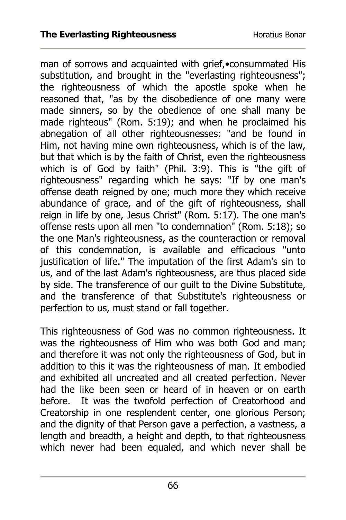man of sorrows and acquainted with grief,•consummated His substitution, and brought in the "everlasting righteousness"; the righteousness of which the apostle spoke when he reasoned that, "as by the disobedience of one many were made sinners, so by the obedience of one shall many be made righteous" (Rom. 5:19); and when he proclaimed his abnegation of all other righteousnesses: "and be found in Him, not having mine own righteousness, which is of the law, but that which is by the faith of Christ, even the righteousness which is of God by faith" (Phil. 3:9). This is "the gift of righteousness" regarding which he says: "If by one man's offense death reigned by one; much more they which receive abundance of grace, and of the gift of righteousness, shall reign in life by one, Jesus Christ" (Rom. 5:17). The one man's offense rests upon all men "to condemnation" (Rom. 5:18); so the one Man's righteousness, as the counteraction or removal of this condemnation, is available and efficacious "unto justification of life." The imputation of the first Adam's sin to us, and of the last Adam's righteousness, are thus placed side by side. The transference of our guilt to the Divine Substitute, and the transference of that Substitute's righteousness or perfection to us, must stand or fall together.

This righteousness of God was no common righteousness. It was the righteousness of Him who was both God and man; and therefore it was not only the righteousness of God, but in addition to this it was the righteousness of man. It embodied and exhibited all uncreated and all created perfection. Never had the like been seen or heard of in heaven or on earth before. It was the twofold perfection of Creatorhood and Creatorship in one resplendent center, one glorious Person; and the dignity of that Person gave a perfection, a vastness, a length and breadth, a height and depth, to that righteousness which never had been equaled, and which never shall be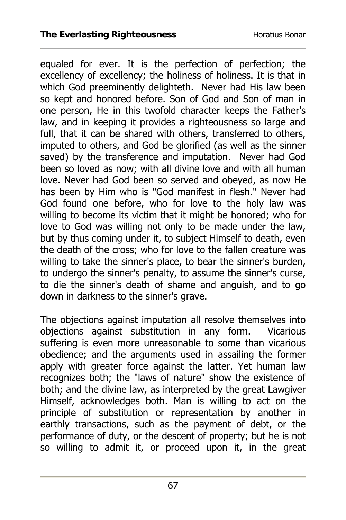equaled for ever. It is the perfection of perfection; the excellency of excellency; the holiness of holiness. It is that in which God preeminently delighteth. Never had His law been so kept and honored before. Son of God and Son of man in one person, He in this twofold character keeps the Father's law, and in keeping it provides a righteousness so large and full, that it can be shared with others, transferred to others, imputed to others, and God be glorified (as well as the sinner saved) by the transference and imputation. Never had God been so loved as now; with all divine love and with all human love. Never had God been so served and obeyed, as now He has been by Him who is "God manifest in flesh." Never had God found one before, who for love to the holy law was willing to become its victim that it might be honored; who for love to God was willing not only to be made under the law, but by thus coming under it, to subject Himself to death, even the death of the cross; who for love to the fallen creature was willing to take the sinner's place, to bear the sinner's burden, to undergo the sinner's penalty, to assume the sinner's curse, to die the sinner's death of shame and anguish, and to go down in darkness to the sinner's grave.

The objections against imputation all resolve themselves into objections against substitution in any form. Vicarious suffering is even more unreasonable to some than vicarious obedience; and the arguments used in assailing the former apply with greater force against the latter. Yet human law recognizes both; the "laws of nature" show the existence of both; and the divine law, as interpreted by the great Lawgiver Himself, acknowledges both. Man is willing to act on the principle of substitution or representation by another in earthly transactions, such as the payment of debt, or the performance of duty, or the descent of property; but he is not so willing to admit it, or proceed upon it, in the great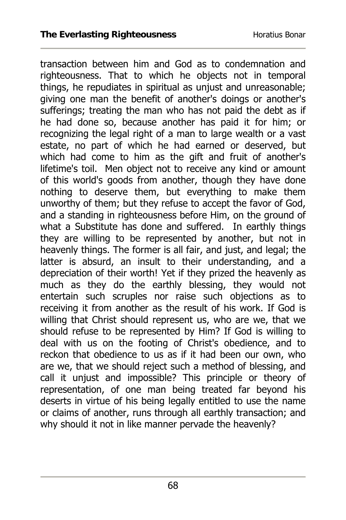transaction between him and God as to condemnation and righteousness. That to which he objects not in temporal things, he repudiates in spiritual as unjust and unreasonable; giving one man the benefit of another's doings or another's sufferings; treating the man who has not paid the debt as if he had done so, because another has paid it for him; or recognizing the legal right of a man to large wealth or a vast estate, no part of which he had earned or deserved, but which had come to him as the gift and fruit of another's lifetime's toil. Men object not to receive any kind or amount of this world's goods from another, though they have done nothing to deserve them, but everything to make them unworthy of them; but they refuse to accept the favor of God, and a standing in righteousness before Him, on the ground of what a Substitute has done and suffered. In earthly things they are willing to be represented by another, but not in heavenly things. The former is all fair, and just, and legal; the latter is absurd, an insult to their understanding, and a depreciation of their worth! Yet if they prized the heavenly as much as they do the earthly blessing, they would not entertain such scruples nor raise such objections as to receiving it from another as the result of his work. If God is willing that Christ should represent us, who are we, that we should refuse to be represented by Him? If God is willing to deal with us on the footing of Christ's obedience, and to reckon that obedience to us as if it had been our own, who are we, that we should reject such a method of blessing, and call it unjust and impossible? This principle or theory of representation, of one man being treated far beyond his deserts in virtue of his being legally entitled to use the name or claims of another, runs through all earthly transaction; and why should it not in like manner pervade the heavenly?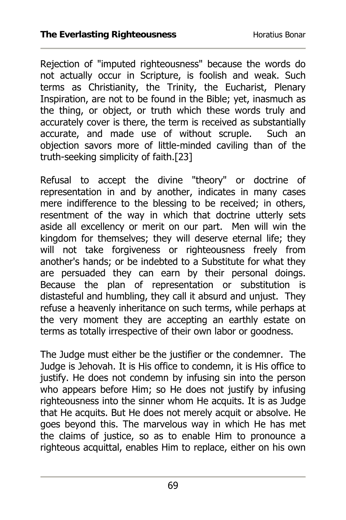Rejection of "imputed righteousness" because the words do not actually occur in Scripture, is foolish and weak. Such terms as Christianity, the Trinity, the Eucharist, Plenary Inspiration, are not to be found in the Bible; yet, inasmuch as the thing, or object, or truth which these words truly and accurately cover is there, the term is received as substantially accurate, and made use of without scruple. Such an objection savors more of little-minded caviling than of the truth-seeking simplicity of faith.[23]

Refusal to accept the divine "theory" or doctrine of representation in and by another, indicates in many cases mere indifference to the blessing to be received; in others, resentment of the way in which that doctrine utterly sets aside all excellency or merit on our part. Men will win the kingdom for themselves; they will deserve eternal life; they will not take forgiveness or righteousness freely from another's hands; or be indebted to a Substitute for what they are persuaded they can earn by their personal doings. Because the plan of representation or substitution is distasteful and humbling, they call it absurd and unjust. They refuse a heavenly inheritance on such terms, while perhaps at the very moment they are accepting an earthly estate on terms as totally irrespective of their own labor or goodness.

The Judge must either be the justifier or the condemner. The Judge is Jehovah. It is His office to condemn, it is His office to justify. He does not condemn by infusing sin into the person who appears before Him; so He does not justify by infusing righteousness into the sinner whom He acquits. It is as Judge that He acquits. But He does not merely acquit or absolve. He goes beyond this. The marvelous way in which He has met the claims of justice, so as to enable Him to pronounce a righteous acquittal, enables Him to replace, either on his own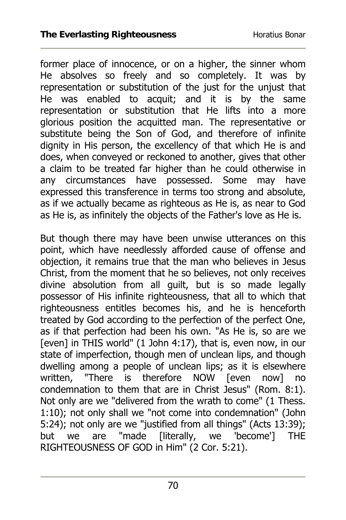former place of innocence, or on a higher, the sinner whom He absolves so freely and so completely. It was by representation or substitution of the just for the unjust that He was enabled to acquit; and it is by the same representation or substitution that He lifts into a more glorious position the acquitted man. The representative or substitute being the Son of God, and therefore of infinite dignity in His person, the excellency of that which He is and does, when conveyed or reckoned to another, gives that other a claim to be treated far higher than he could otherwise in any circumstances have possessed. Some may have expressed this transference in terms too strong and absolute, as if we actually became as righteous as He is, as near to God as He is, as infinitely the objects of the Father's love as He is.

But though there may have been unwise utterances on this point, which have needlessly afforded cause of offense and objection, it remains true that the man who believes in Jesus Christ, from the moment that he so believes, not only receives divine absolution from all guilt, but is so made legally possessor of His infinite righteousness, that all to which that righteousness entitles becomes his, and he is henceforth treated by God according to the perfection of the perfect One, as if that perfection had been his own. "As He is, so are we [even] in THIS world" (1 John 4:17), that is, even now, in our state of imperfection, though men of unclean lips, and though dwelling among a people of unclean lips; as it is elsewhere written, "There is therefore NOW [even now] no condemnation to them that are in Christ Jesus" (Rom. 8:1). Not only are we "delivered from the wrath to come" (1 Thess. 1:10); not only shall we "not come into condemnation" (John 5:24); not only are we "justified from all things" (Acts 13:39); but we are "made [literally, we 'become'] THE RIGHTEOUSNESS OF GOD in Him" (2 Cor. 5:21).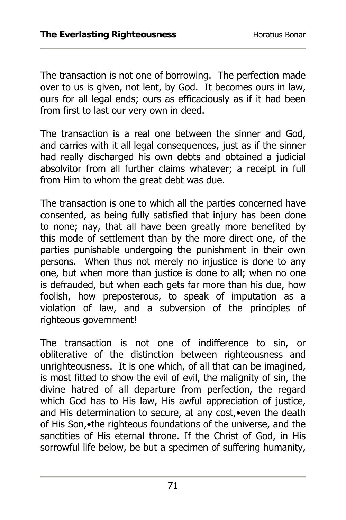The transaction is not one of borrowing. The perfection made over to us is given, not lent, by God. It becomes ours in law, ours for all legal ends; ours as efficaciously as if it had been from first to last our very own in deed.

The transaction is a real one between the sinner and God, and carries with it all legal consequences, just as if the sinner had really discharged his own debts and obtained a judicial absolvitor from all further claims whatever; a receipt in full from Him to whom the great debt was due.

The transaction is one to which all the parties concerned have consented, as being fully satisfied that injury has been done to none; nay, that all have been greatly more benefited by this mode of settlement than by the more direct one, of the parties punishable undergoing the punishment in their own persons. When thus not merely no injustice is done to any one, but when more than justice is done to all; when no one is defrauded, but when each gets far more than his due, how foolish, how preposterous, to speak of imputation as a violation of law, and a subversion of the principles of righteous government!

The transaction is not one of indifference to sin, or obliterative of the distinction between righteousness and unrighteousness. It is one which, of all that can be imagined, is most fitted to show the evil of evil, the malignity of sin, the divine hatred of all departure from perfection, the regard which God has to His law, His awful appreciation of justice, and His determination to secure, at any cost,•even the death of His Son,•the righteous foundations of the universe, and the sanctities of His eternal throne. If the Christ of God, in His sorrowful life below, be but a specimen of suffering humanity,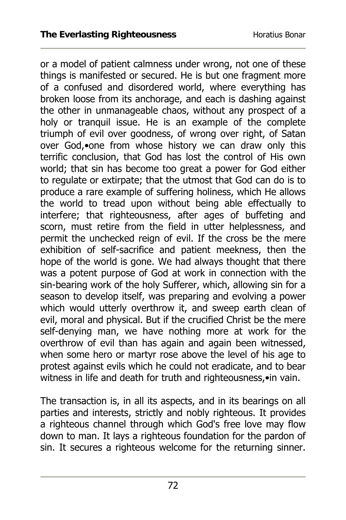or a model of patient calmness under wrong, not one of these things is manifested or secured. He is but one fragment more of a confused and disordered world, where everything has broken loose from its anchorage, and each is dashing against the other in unmanageable chaos, without any prospect of a holy or tranquil issue. He is an example of the complete triumph of evil over goodness, of wrong over right, of Satan over God,•one from whose history we can draw only this terrific conclusion, that God has lost the control of His own world; that sin has become too great a power for God either to regulate or extirpate; that the utmost that God can do is to produce a rare example of suffering holiness, which He allows the world to tread upon without being able effectually to interfere; that righteousness, after ages of buffeting and scorn, must retire from the field in utter helplessness, and permit the unchecked reign of evil. If the cross be the mere exhibition of self-sacrifice and patient meekness, then the hope of the world is gone. We had always thought that there was a potent purpose of God at work in connection with the sin-bearing work of the holy Sufferer, which, allowing sin for a season to develop itself, was preparing and evolving a power which would utterly overthrow it, and sweep earth clean of evil, moral and physical. But if the crucified Christ be the mere self-denying man, we have nothing more at work for the overthrow of evil than has again and again been witnessed, when some hero or martyr rose above the level of his age to protest against evils which he could not eradicate, and to bear witness in life and death for truth and righteousness,•in vain.

The transaction is, in all its aspects, and in its bearings on all parties and interests, strictly and nobly righteous. It provides a righteous channel through which God's free love may flow down to man. It lays a righteous foundation for the pardon of sin. It secures a righteous welcome for the returning sinner.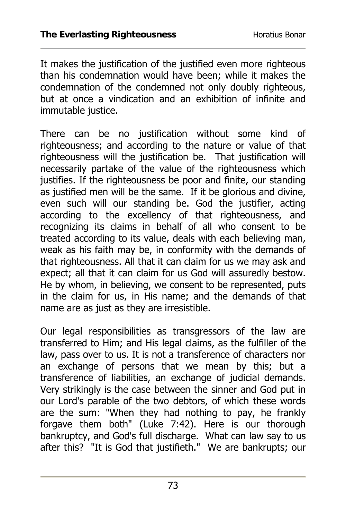It makes the justification of the justified even more righteous than his condemnation would have been; while it makes the condemnation of the condemned not only doubly righteous, but at once a vindication and an exhibition of infinite and immutable justice.

There can be no justification without some kind of righteousness; and according to the nature or value of that righteousness will the justification be. That justification will necessarily partake of the value of the righteousness which justifies. If the righteousness be poor and finite, our standing as justified men will be the same. If it be glorious and divine, even such will our standing be. God the justifier, acting according to the excellency of that righteousness, and recognizing its claims in behalf of all who consent to be treated according to its value, deals with each believing man, weak as his faith may be, in conformity with the demands of that righteousness. All that it can claim for us we may ask and expect; all that it can claim for us God will assuredly bestow. He by whom, in believing, we consent to be represented, puts in the claim for us, in His name; and the demands of that name are as just as they are irresistible.

Our legal responsibilities as transgressors of the law are transferred to Him; and His legal claims, as the fulfiller of the law, pass over to us. It is not a transference of characters nor an exchange of persons that we mean by this; but a transference of liabilities, an exchange of judicial demands. Very strikingly is the case between the sinner and God put in our Lord's parable of the two debtors, of which these words are the sum: "When they had nothing to pay, he frankly forgave them both" (Luke 7:42). Here is our thorough bankruptcy, and God's full discharge. What can law say to us after this? "It is God that justifieth." We are bankrupts; our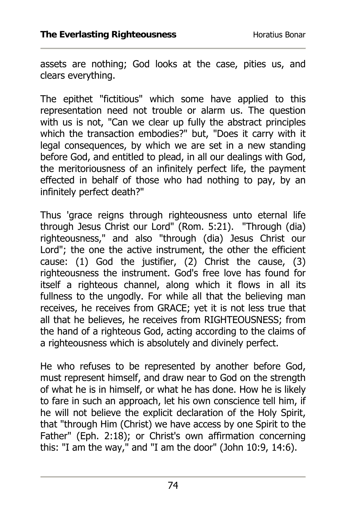assets are nothing; God looks at the case, pities us, and clears everything.

The epithet "fictitious" which some have applied to this representation need not trouble or alarm us. The question with us is not, "Can we clear up fully the abstract principles which the transaction embodies?" but, "Does it carry with it legal consequences, by which we are set in a new standing before God, and entitled to plead, in all our dealings with God, the meritoriousness of an infinitely perfect life, the payment effected in behalf of those who had nothing to pay, by an infinitely perfect death?"

Thus 'grace reigns through righteousness unto eternal life through Jesus Christ our Lord" (Rom. 5:21). "Through (dia) righteousness," and also "through (dia) Jesus Christ our Lord"; the one the active instrument, the other the efficient cause: (1) God the justifier, (2) Christ the cause, (3) righteousness the instrument. God's free love has found for itself a righteous channel, along which it flows in all its fullness to the ungodly. For while all that the believing man receives, he receives from GRACE; yet it is not less true that all that he believes, he receives from RIGHTEOUSNESS; from the hand of a righteous God, acting according to the claims of a righteousness which is absolutely and divinely perfect.

He who refuses to be represented by another before God, must represent himself, and draw near to God on the strength of what he is in himself, or what he has done. How he is likely to fare in such an approach, let his own conscience tell him, if he will not believe the explicit declaration of the Holy Spirit, that "through Him (Christ) we have access by one Spirit to the Father" (Eph. 2:18); or Christ's own affirmation concerning this: "I am the way," and "I am the door" (John 10:9, 14:6).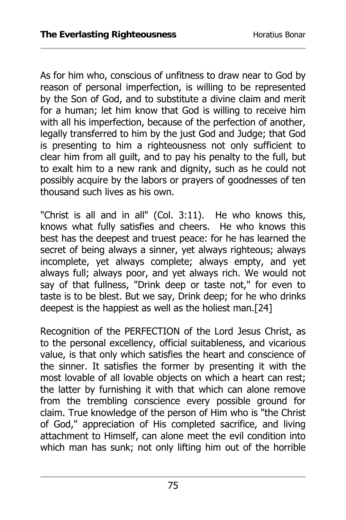As for him who, conscious of unfitness to draw near to God by reason of personal imperfection, is willing to be represented by the Son of God, and to substitute a divine claim and merit for a human; let him know that God is willing to receive him with all his imperfection, because of the perfection of another, legally transferred to him by the just God and Judge; that God is presenting to him a righteousness not only sufficient to clear him from all guilt, and to pay his penalty to the full, but to exalt him to a new rank and dignity, such as he could not possibly acquire by the labors or prayers of goodnesses of ten thousand such lives as his own.

"Christ is all and in all" (Col. 3:11). He who knows this, knows what fully satisfies and cheers. He who knows this best has the deepest and truest peace: for he has learned the secret of being always a sinner, yet always righteous; always incomplete, yet always complete; always empty, and yet always full; always poor, and yet always rich. We would not say of that fullness, "Drink deep or taste not," for even to taste is to be blest. But we say, Drink deep; for he who drinks deepest is the happiest as well as the holiest man.[24]

Recognition of the PERFECTION of the Lord Jesus Christ, as to the personal excellency, official suitableness, and vicarious value, is that only which satisfies the heart and conscience of the sinner. It satisfies the former by presenting it with the most lovable of all lovable objects on which a heart can rest; the latter by furnishing it with that which can alone remove from the trembling conscience every possible ground for claim. True knowledge of the person of Him who is "the Christ of God," appreciation of His completed sacrifice, and living attachment to Himself, can alone meet the evil condition into which man has sunk; not only lifting him out of the horrible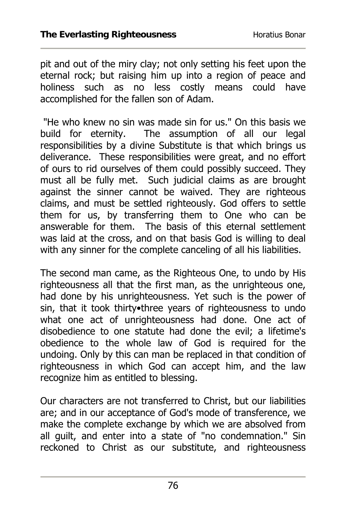pit and out of the miry clay; not only setting his feet upon the eternal rock; but raising him up into a region of peace and holiness such as no less costly means could have accomplished for the fallen son of Adam.

 "He who knew no sin was made sin for us." On this basis we build for eternity. The assumption of all our legal responsibilities by a divine Substitute is that which brings us deliverance. These responsibilities were great, and no effort of ours to rid ourselves of them could possibly succeed. They must all be fully met. Such judicial claims as are brought against the sinner cannot be waived. They are righteous claims, and must be settled righteously. God offers to settle them for us, by transferring them to One who can be answerable for them. The basis of this eternal settlement was laid at the cross, and on that basis God is willing to deal with any sinner for the complete canceling of all his liabilities.

The second man came, as the Righteous One, to undo by His righteousness all that the first man, as the unrighteous one, had done by his unrighteousness. Yet such is the power of sin, that it took thirty•three years of righteousness to undo what one act of unrighteousness had done. One act of disobedience to one statute had done the evil; a lifetime's obedience to the whole law of God is required for the undoing. Only by this can man be replaced in that condition of righteousness in which God can accept him, and the law recognize him as entitled to blessing.

Our characters are not transferred to Christ, but our liabilities are; and in our acceptance of God's mode of transference, we make the complete exchange by which we are absolved from all guilt, and enter into a state of "no condemnation." Sin reckoned to Christ as our substitute, and righteousness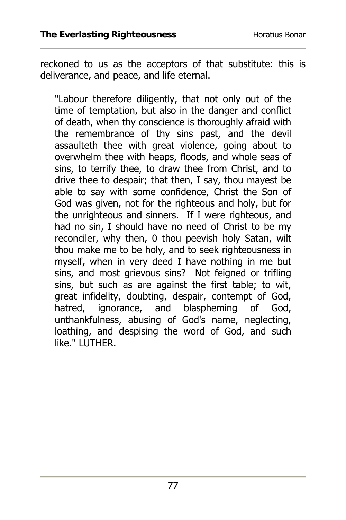reckoned to us as the acceptors of that substitute: this is deliverance, and peace, and life eternal.

"Labour therefore diligently, that not only out of the time of temptation, but also in the danger and conflict of death, when thy conscience is thoroughly afraid with the remembrance of thy sins past, and the devil assaulteth thee with great violence, going about to overwhelm thee with heaps, floods, and whole seas of sins, to terrify thee, to draw thee from Christ, and to drive thee to despair; that then, I say, thou mayest be able to say with some confidence, Christ the Son of God was given, not for the righteous and holy, but for the unrighteous and sinners. If I were righteous, and had no sin, I should have no need of Christ to be my reconciler, why then, 0 thou peevish holy Satan, wilt thou make me to be holy, and to seek righteousness in myself, when in very deed I have nothing in me but sins, and most grievous sins? Not feigned or trifling sins, but such as are against the first table; to wit, great infidelity, doubting, despair, contempt of God, hatred, ignorance, and blaspheming of God, unthankfulness, abusing of God's name, neglecting, loathing, and despising the word of God, and such like." LUTHER.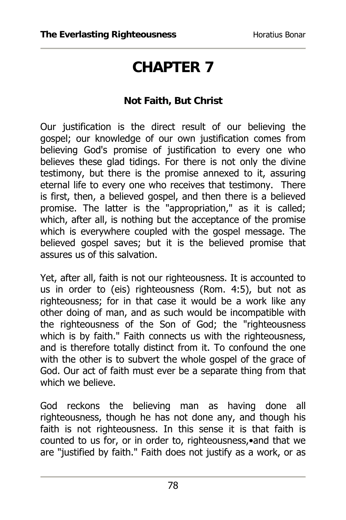### **CHAPTER 7**

#### **Not Faith, But Christ**

Our justification is the direct result of our believing the gospel; our knowledge of our own justification comes from believing God's promise of justification to every one who believes these glad tidings. For there is not only the divine testimony, but there is the promise annexed to it, assuring eternal life to every one who receives that testimony. There is first, then, a believed gospel, and then there is a believed promise. The latter is the "appropriation," as it is called; which, after all, is nothing but the acceptance of the promise which is everywhere coupled with the gospel message. The believed gospel saves; but it is the believed promise that assures us of this salvation.

Yet, after all, faith is not our righteousness. It is accounted to us in order to (eis) righteousness (Rom. 4:5), but not as righteousness; for in that case it would be a work like any other doing of man, and as such would be incompatible with the righteousness of the Son of God; the "righteousness which is by faith." Faith connects us with the righteousness, and is therefore totally distinct from it. To confound the one with the other is to subvert the whole gospel of the grace of God. Our act of faith must ever be a separate thing from that which we believe.

God reckons the believing man as having done all righteousness, though he has not done any, and though his faith is not righteousness. In this sense it is that faith is counted to us for, or in order to, righteousness,•and that we are "justified by faith." Faith does not justify as a work, or as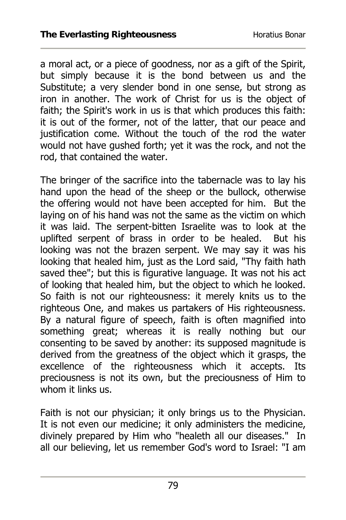a moral act, or a piece of goodness, nor as a gift of the Spirit, but simply because it is the bond between us and the Substitute; a very slender bond in one sense, but strong as iron in another. The work of Christ for us is the object of faith; the Spirit's work in us is that which produces this faith: it is out of the former, not of the latter, that our peace and justification come. Without the touch of the rod the water would not have gushed forth; yet it was the rock, and not the rod, that contained the water.

The bringer of the sacrifice into the tabernacle was to lay his hand upon the head of the sheep or the bullock, otherwise the offering would not have been accepted for him. But the laying on of his hand was not the same as the victim on which it was laid. The serpent-bitten Israelite was to look at the uplifted serpent of brass in order to be healed. But his looking was not the brazen serpent. We may say it was his looking that healed him, just as the Lord said, "Thy faith hath saved thee"; but this is figurative language. It was not his act of looking that healed him, but the object to which he looked. So faith is not our righteousness: it merely knits us to the righteous One, and makes us partakers of His righteousness. By a natural figure of speech, faith is often magnified into something great; whereas it is really nothing but our consenting to be saved by another: its supposed magnitude is derived from the greatness of the object which it grasps, the excellence of the righteousness which it accepts. Its preciousness is not its own, but the preciousness of Him to whom it links us.

Faith is not our physician; it only brings us to the Physician. It is not even our medicine; it only administers the medicine, divinely prepared by Him who "healeth all our diseases." In all our believing, let us remember God's word to Israel: "I am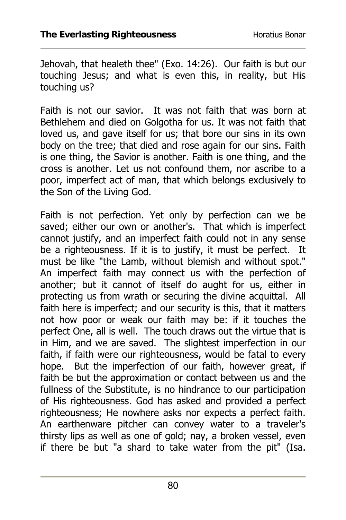Jehovah, that healeth thee" (Exo. 14:26). Our faith is but our touching Jesus; and what is even this, in reality, but His touching us?

Faith is not our savior. It was not faith that was born at Bethlehem and died on Golgotha for us. It was not faith that loved us, and gave itself for us; that bore our sins in its own body on the tree; that died and rose again for our sins. Faith is one thing, the Savior is another. Faith is one thing, and the cross is another. Let us not confound them, nor ascribe to a poor, imperfect act of man, that which belongs exclusively to the Son of the Living God.

Faith is not perfection. Yet only by perfection can we be saved; either our own or another's. That which is imperfect cannot justify, and an imperfect faith could not in any sense be a righteousness. If it is to justify, it must be perfect. It must be like "the Lamb, without blemish and without spot." An imperfect faith may connect us with the perfection of another; but it cannot of itself do aught for us, either in protecting us from wrath or securing the divine acquittal. All faith here is imperfect; and our security is this, that it matters not how poor or weak our faith may be: if it touches the perfect One, all is well. The touch draws out the virtue that is in Him, and we are saved. The slightest imperfection in our faith, if faith were our righteousness, would be fatal to every hope. But the imperfection of our faith, however great, if faith be but the approximation or contact between us and the fullness of the Substitute, is no hindrance to our participation of His righteousness. God has asked and provided a perfect righteousness; He nowhere asks nor expects a perfect faith. An earthenware pitcher can convey water to a traveler's thirsty lips as well as one of gold; nay, a broken vessel, even if there be but "a shard to take water from the pit" (Isa.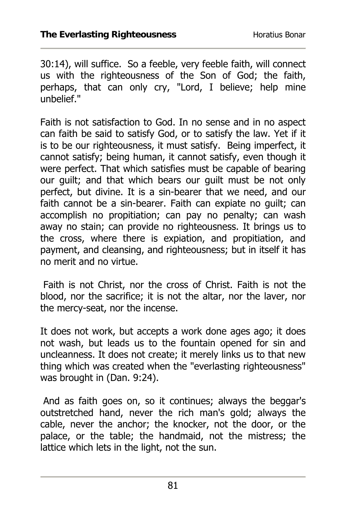30:14), will suffice. So a feeble, very feeble faith, will connect us with the righteousness of the Son of God; the faith, perhaps, that can only cry, "Lord, I believe; help mine unbelief."

Faith is not satisfaction to God. In no sense and in no aspect can faith be said to satisfy God, or to satisfy the law. Yet if it is to be our righteousness, it must satisfy. Being imperfect, it cannot satisfy; being human, it cannot satisfy, even though it were perfect. That which satisfies must be capable of bearing our guilt; and that which bears our guilt must be not only perfect, but divine. It is a sin-bearer that we need, and our faith cannot be a sin-bearer. Faith can expiate no guilt; can accomplish no propitiation; can pay no penalty; can wash away no stain; can provide no righteousness. It brings us to the cross, where there is expiation, and propitiation, and payment, and cleansing, and righteousness; but in itself it has no merit and no virtue.

 Faith is not Christ, nor the cross of Christ. Faith is not the blood, nor the sacrifice; it is not the altar, nor the laver, nor the mercy-seat, nor the incense.

It does not work, but accepts a work done ages ago; it does not wash, but leads us to the fountain opened for sin and uncleanness. It does not create; it merely links us to that new thing which was created when the "everlasting righteousness" was brought in (Dan. 9:24).

 And as faith goes on, so it continues; always the beggar's outstretched hand, never the rich man's gold; always the cable, never the anchor; the knocker, not the door, or the palace, or the table; the handmaid, not the mistress; the lattice which lets in the light, not the sun.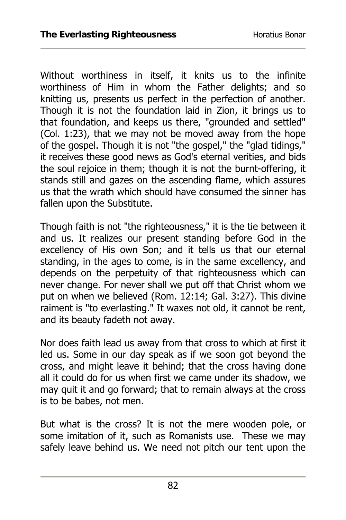Without worthiness in itself, it knits us to the infinite worthiness of Him in whom the Father delights; and so knitting us, presents us perfect in the perfection of another. Though it is not the foundation laid in Zion, it brings us to that foundation, and keeps us there, "grounded and settled" (Col. 1:23), that we may not be moved away from the hope of the gospel. Though it is not "the gospel," the "glad tidings," it receives these good news as God's eternal verities, and bids the soul rejoice in them; though it is not the burnt-offering, it stands still and gazes on the ascending flame, which assures us that the wrath which should have consumed the sinner has fallen upon the Substitute.

Though faith is not "the righteousness," it is the tie between it and us. It realizes our present standing before God in the excellency of His own Son; and it tells us that our eternal standing, in the ages to come, is in the same excellency, and depends on the perpetuity of that righteousness which can never change. For never shall we put off that Christ whom we put on when we believed (Rom. 12:14; Gal. 3:27). This divine raiment is "to everlasting." It waxes not old, it cannot be rent, and its beauty fadeth not away.

Nor does faith lead us away from that cross to which at first it led us. Some in our day speak as if we soon got beyond the cross, and might leave it behind; that the cross having done all it could do for us when first we came under its shadow, we may quit it and go forward; that to remain always at the cross is to be babes, not men.

But what is the cross? It is not the mere wooden pole, or some imitation of it, such as Romanists use. These we may safely leave behind us. We need not pitch our tent upon the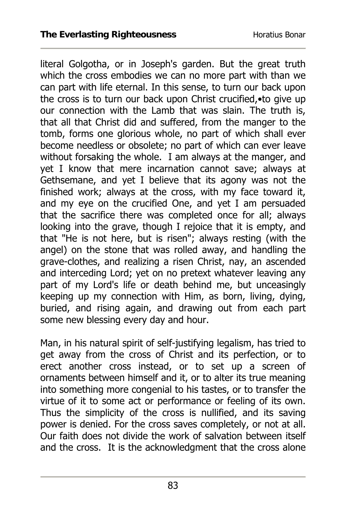literal Golgotha, or in Joseph's garden. But the great truth which the cross embodies we can no more part with than we can part with life eternal. In this sense, to turn our back upon the cross is to turn our back upon Christ crucified,•to give up our connection with the Lamb that was slain. The truth is, that all that Christ did and suffered, from the manger to the tomb, forms one glorious whole, no part of which shall ever become needless or obsolete; no part of which can ever leave without forsaking the whole. I am always at the manger, and yet I know that mere incarnation cannot save; always at Gethsemane, and yet I believe that its agony was not the finished work; always at the cross, with my face toward it, and my eye on the crucified One, and yet I am persuaded that the sacrifice there was completed once for all; always looking into the grave, though I rejoice that it is empty, and that "He is not here, but is risen"; always resting (with the angel) on the stone that was rolled away, and handling the grave-clothes, and realizing a risen Christ, nay, an ascended and interceding Lord; yet on no pretext whatever leaving any part of my Lord's life or death behind me, but unceasingly keeping up my connection with Him, as born, living, dying, buried, and rising again, and drawing out from each part some new blessing every day and hour.

Man, in his natural spirit of self-justifying legalism, has tried to get away from the cross of Christ and its perfection, or to erect another cross instead, or to set up a screen of ornaments between himself and it, or to alter its true meaning into something more congenial to his tastes, or to transfer the virtue of it to some act or performance or feeling of its own. Thus the simplicity of the cross is nullified, and its saving power is denied. For the cross saves completely, or not at all. Our faith does not divide the work of salvation between itself and the cross. It is the acknowledgment that the cross alone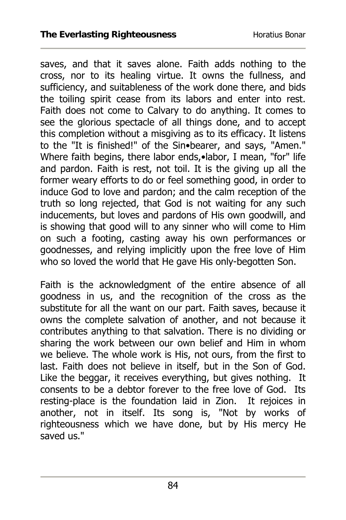saves, and that it saves alone. Faith adds nothing to the cross, nor to its healing virtue. It owns the fullness, and sufficiency, and suitableness of the work done there, and bids the toiling spirit cease from its labors and enter into rest. Faith does not come to Calvary to do anything. It comes to see the glorious spectacle of all things done, and to accept this completion without a misgiving as to its efficacy. It listens to the "It is finished!" of the Sin•bearer, and says, "Amen." Where faith begins, there labor ends, • labor, I mean, "for" life and pardon. Faith is rest, not toil. It is the giving up all the former weary efforts to do or feel something good, in order to induce God to love and pardon; and the calm reception of the truth so long rejected, that God is not waiting for any such inducements, but loves and pardons of His own goodwill, and is showing that good will to any sinner who will come to Him on such a footing, casting away his own performances or goodnesses, and relying implicitly upon the free love of Him who so loved the world that He gave His only-begotten Son.

Faith is the acknowledgment of the entire absence of all goodness in us, and the recognition of the cross as the substitute for all the want on our part. Faith saves, because it owns the complete salvation of another, and not because it contributes anything to that salvation. There is no dividing or sharing the work between our own belief and Him in whom we believe. The whole work is His, not ours, from the first to last. Faith does not believe in itself, but in the Son of God. Like the beggar, it receives everything, but gives nothing. It consents to be a debtor forever to the free love of God. Its resting-place is the foundation laid in Zion. It rejoices in another, not in itself. Its song is, "Not by works of righteousness which we have done, but by His mercy He saved us."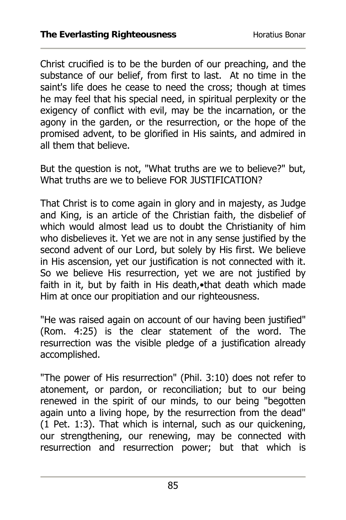Christ crucified is to be the burden of our preaching, and the substance of our belief, from first to last. At no time in the saint's life does he cease to need the cross; though at times he may feel that his special need, in spiritual perplexity or the exigency of conflict with evil, may be the incarnation, or the agony in the garden, or the resurrection, or the hope of the promised advent, to be glorified in His saints, and admired in all them that believe.

But the question is not, "What truths are we to believe?" but, What truths are we to believe FOR JUSTIFICATION?

That Christ is to come again in glory and in majesty, as Judge and King, is an article of the Christian faith, the disbelief of which would almost lead us to doubt the Christianity of him who disbelieves it. Yet we are not in any sense justified by the second advent of our Lord, but solely by His first. We believe in His ascension, yet our justification is not connected with it. So we believe His resurrection, yet we are not justified by faith in it, but by faith in His death,•that death which made Him at once our propitiation and our righteousness.

"He was raised again on account of our having been justified" (Rom. 4:25) is the clear statement of the word. The resurrection was the visible pledge of a justification already accomplished.

"The power of His resurrection" (Phil. 3:10) does not refer to atonement, or pardon, or reconciliation; but to our being renewed in the spirit of our minds, to our being "begotten again unto a living hope, by the resurrection from the dead" (1 Pet. 1:3). That which is internal, such as our quickening, our strengthening, our renewing, may be connected with resurrection and resurrection power; but that which is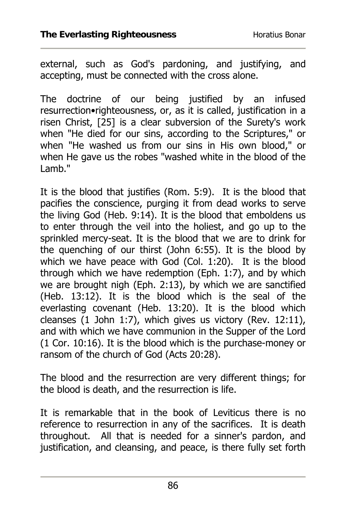external, such as God's pardoning, and justifying, and accepting, must be connected with the cross alone.

The doctrine of our being justified by an infused resurrection•righteousness, or, as it is called, justification in a risen Christ, [25] is a clear subversion of the Surety's work when "He died for our sins, according to the Scriptures," or when "He washed us from our sins in His own blood," or when He gave us the robes "washed white in the blood of the Lamb."

It is the blood that justifies (Rom. 5:9). It is the blood that pacifies the conscience, purging it from dead works to serve the living God (Heb. 9:14). It is the blood that emboldens us to enter through the veil into the holiest, and go up to the sprinkled mercy-seat. It is the blood that we are to drink for the quenching of our thirst (John 6:55). It is the blood by which we have peace with God (Col. 1:20). It is the blood through which we have redemption (Eph.  $1:7$ ), and by which we are brought nigh (Eph. 2:13), by which we are sanctified (Heb. 13:12). It is the blood which is the seal of the everlasting covenant (Heb. 13:20). It is the blood which cleanses (1 John 1:7), which gives us victory (Rev. 12:11), and with which we have communion in the Supper of the Lord (1 Cor. 10:16). It is the blood which is the purchase-money or ransom of the church of God (Acts 20:28).

The blood and the resurrection are very different things; for the blood is death, and the resurrection is life.

It is remarkable that in the book of Leviticus there is no reference to resurrection in any of the sacrifices. It is death throughout. All that is needed for a sinner's pardon, and justification, and cleansing, and peace, is there fully set forth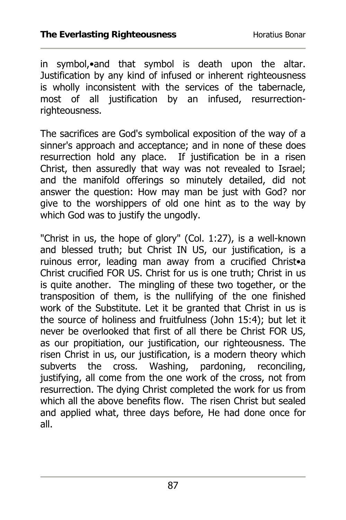in symbol,•and that symbol is death upon the altar. Justification by any kind of infused or inherent righteousness is wholly inconsistent with the services of the tabernacle, most of all justification by an infused, resurrectionrighteousness.

The sacrifices are God's symbolical exposition of the way of a sinner's approach and acceptance; and in none of these does resurrection hold any place. If justification be in a risen Christ, then assuredly that way was not revealed to Israel; and the manifold offerings so minutely detailed, did not answer the question: How may man be just with God? nor give to the worshippers of old one hint as to the way by which God was to justify the ungodly.

"Christ in us, the hope of glory" (Col. 1:27), is a well-known and blessed truth; but Christ IN US, our justification, is a ruinous error, leading man away from a crucified Christ•a Christ crucified FOR US. Christ for us is one truth; Christ in us is quite another. The mingling of these two together, or the transposition of them, is the nullifying of the one finished work of the Substitute. Let it be granted that Christ in us is the source of holiness and fruitfulness (John 15:4); but let it never be overlooked that first of all there be Christ FOR US, as our propitiation, our justification, our righteousness. The risen Christ in us, our justification, is a modern theory which subverts the cross. Washing, pardoning, reconciling, justifying, all come from the one work of the cross, not from resurrection. The dying Christ completed the work for us from which all the above benefits flow. The risen Christ but sealed and applied what, three days before, He had done once for all.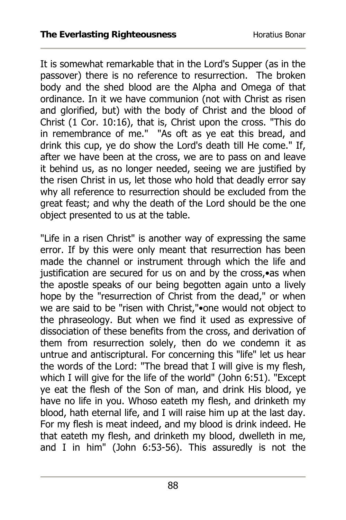It is somewhat remarkable that in the Lord's Supper (as in the passover) there is no reference to resurrection. The broken body and the shed blood are the Alpha and Omega of that ordinance. In it we have communion (not with Christ as risen and glorified, but) with the body of Christ and the blood of Christ (1 Cor. 10:16), that is, Christ upon the cross. "This do in remembrance of me." "As oft as ye eat this bread, and drink this cup, ye do show the Lord's death till He come." If, after we have been at the cross, we are to pass on and leave it behind us, as no longer needed, seeing we are justified by the risen Christ in us, let those who hold that deadly error say why all reference to resurrection should be excluded from the great feast; and why the death of the Lord should be the one object presented to us at the table.

"Life in a risen Christ" is another way of expressing the same error. If by this were only meant that resurrection has been made the channel or instrument through which the life and justification are secured for us on and by the cross,•as when the apostle speaks of our being begotten again unto a lively hope by the "resurrection of Christ from the dead," or when we are said to be "risen with Christ,"•one would not object to the phraseology. But when we find it used as expressive of dissociation of these benefits from the cross, and derivation of them from resurrection solely, then do we condemn it as untrue and antiscriptural. For concerning this "life" let us hear the words of the Lord: "The bread that I will give is my flesh, which I will give for the life of the world" (John 6:51). "Except ye eat the flesh of the Son of man, and drink His blood, ye have no life in you. Whoso eateth my flesh, and drinketh my blood, hath eternal life, and I will raise him up at the last day. For my flesh is meat indeed, and my blood is drink indeed. He that eateth my flesh, and drinketh my blood, dwelleth in me, and I in him" (John 6:53-56). This assuredly is not the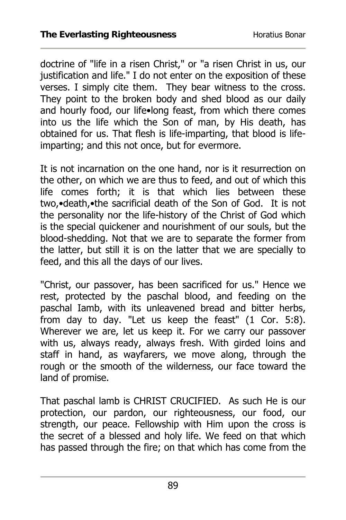doctrine of "life in a risen Christ," or "a risen Christ in us, our justification and life." I do not enter on the exposition of these verses. I simply cite them. They bear witness to the cross. They point to the broken body and shed blood as our daily and hourly food, our life•long feast, from which there comes into us the life which the Son of man, by His death, has obtained for us. That flesh is life-imparting, that blood is lifeimparting; and this not once, but for evermore.

It is not incarnation on the one hand, nor is it resurrection on the other, on which we are thus to feed, and out of which this life comes forth; it is that which lies between these two,•death,•the sacrificial death of the Son of God. It is not the personality nor the life-history of the Christ of God which is the special quickener and nourishment of our souls, but the blood-shedding. Not that we are to separate the former from the latter, but still it is on the latter that we are specially to feed, and this all the days of our lives.

"Christ, our passover, has been sacrificed for us." Hence we rest, protected by the paschal blood, and feeding on the paschal Iamb, with its unleavened bread and bitter herbs, from day to day. "Let us keep the feast" (1 Cor. 5:8). Wherever we are, let us keep it. For we carry our passover with us, always ready, always fresh. With girded loins and staff in hand, as wayfarers, we move along, through the rough or the smooth of the wilderness, our face toward the land of promise.

That paschal lamb is CHRIST CRUCIFIED. As such He is our protection, our pardon, our righteousness, our food, our strength, our peace. Fellowship with Him upon the cross is the secret of a blessed and holy life. We feed on that which has passed through the fire; on that which has come from the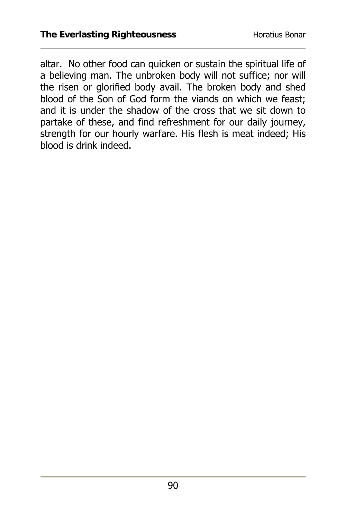altar. No other food can quicken or sustain the spiritual life of a believing man. The unbroken body will not suffice; nor will the risen or glorified body avail. The broken body and shed blood of the Son of God form the viands on which we feast; and it is under the shadow of the cross that we sit down to partake of these, and find refreshment for our daily journey, strength for our hourly warfare. His flesh is meat indeed; His blood is drink indeed.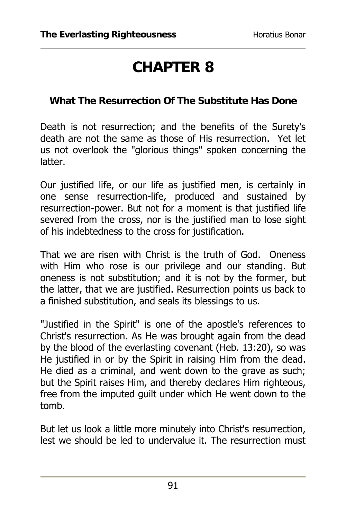# **CHAPTER 8**

#### **What The Resurrection Of The Substitute Has Done**

Death is not resurrection; and the benefits of the Surety's death are not the same as those of His resurrection. Yet let us not overlook the "glorious things" spoken concerning the latter.

Our justified life, or our life as justified men, is certainly in one sense resurrection-life, produced and sustained by resurrection-power. But not for a moment is that justified life severed from the cross, nor is the justified man to lose sight of his indebtedness to the cross for justification.

That we are risen with Christ is the truth of God. Oneness with Him who rose is our privilege and our standing. But oneness is not substitution; and it is not by the former, but the latter, that we are justified. Resurrection points us back to a finished substitution, and seals its blessings to us.

"Justified in the Spirit" is one of the apostle's references to Christ's resurrection. As He was brought again from the dead by the blood of the everlasting covenant (Heb. 13:20), so was He justified in or by the Spirit in raising Him from the dead. He died as a criminal, and went down to the grave as such; but the Spirit raises Him, and thereby declares Him righteous, free from the imputed guilt under which He went down to the tomb.

But let us look a little more minutely into Christ's resurrection, lest we should be led to undervalue it. The resurrection must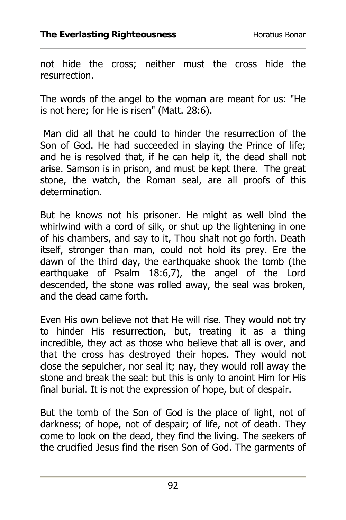not hide the cross; neither must the cross hide the resurrection.

The words of the angel to the woman are meant for us: "He is not here; for He is risen" (Matt. 28:6).

 Man did all that he could to hinder the resurrection of the Son of God. He had succeeded in slaying the Prince of life; and he is resolved that, if he can help it, the dead shall not arise. Samson is in prison, and must be kept there. The great stone, the watch, the Roman seal, are all proofs of this determination.

But he knows not his prisoner. He might as well bind the whirlwind with a cord of silk, or shut up the lightening in one of his chambers, and say to it, Thou shalt not go forth. Death itself, stronger than man, could not hold its prey. Ere the dawn of the third day, the earthquake shook the tomb (the earthquake of Psalm 18:6,7), the angel of the Lord descended, the stone was rolled away, the seal was broken, and the dead came forth.

Even His own believe not that He will rise. They would not try to hinder His resurrection, but, treating it as a thing incredible, they act as those who believe that all is over, and that the cross has destroyed their hopes. They would not close the sepulcher, nor seal it; nay, they would roll away the stone and break the seal: but this is only to anoint Him for His final burial. It is not the expression of hope, but of despair.

But the tomb of the Son of God is the place of light, not of darkness; of hope, not of despair; of life, not of death. They come to look on the dead, they find the living. The seekers of the crucified Jesus find the risen Son of God. The garments of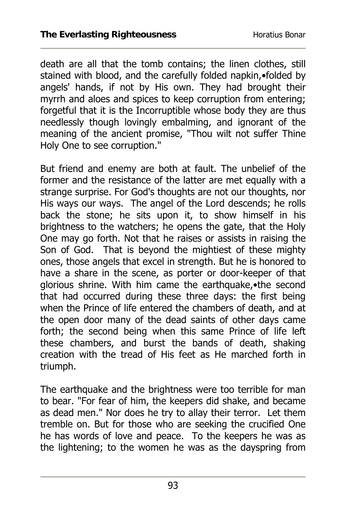death are all that the tomb contains; the linen clothes, still stained with blood, and the carefully folded napkin,•folded by angels' hands, if not by His own. They had brought their myrrh and aloes and spices to keep corruption from entering; forgetful that it is the Incorruptible whose body they are thus needlessly though lovingly embalming, and ignorant of the meaning of the ancient promise, "Thou wilt not suffer Thine Holy One to see corruption."

But friend and enemy are both at fault. The unbelief of the former and the resistance of the latter are met equally with a strange surprise. For God's thoughts are not our thoughts, nor His ways our ways. The angel of the Lord descends; he rolls back the stone; he sits upon it, to show himself in his brightness to the watchers; he opens the gate, that the Holy One may go forth. Not that he raises or assists in raising the Son of God. That is beyond the mightiest of these mighty ones, those angels that excel in strength. But he is honored to have a share in the scene, as porter or door-keeper of that glorious shrine. With him came the earthquake,•the second that had occurred during these three days: the first being when the Prince of life entered the chambers of death, and at the open door many of the dead saints of other days came forth; the second being when this same Prince of life left these chambers, and burst the bands of death, shaking creation with the tread of His feet as He marched forth in triumph.

The earthquake and the brightness were too terrible for man to bear. "For fear of him, the keepers did shake, and became as dead men." Nor does he try to allay their terror. Let them tremble on. But for those who are seeking the crucified One he has words of love and peace. To the keepers he was as the lightening; to the women he was as the dayspring from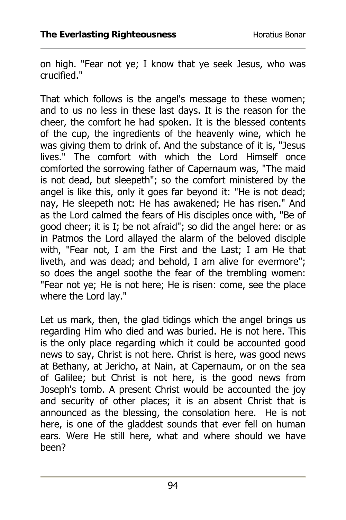on high. "Fear not ye; I know that ye seek Jesus, who was crucified."

That which follows is the angel's message to these women; and to us no less in these last days. It is the reason for the cheer, the comfort he had spoken. It is the blessed contents of the cup, the ingredients of the heavenly wine, which he was giving them to drink of. And the substance of it is, "Jesus lives." The comfort with which the Lord Himself once comforted the sorrowing father of Capernaum was, "The maid is not dead, but sleepeth"; so the comfort ministered by the angel is like this, only it goes far beyond it: "He is not dead; nay, He sleepeth not: He has awakened; He has risen." And as the Lord calmed the fears of His disciples once with, "Be of good cheer; it is I; be not afraid"; so did the angel here: or as in Patmos the Lord allayed the alarm of the beloved disciple with, "Fear not, I am the First and the Last; I am He that liveth, and was dead; and behold, I am alive for evermore"; so does the angel soothe the fear of the trembling women: "Fear not ye; He is not here; He is risen: come, see the place where the Lord lay."

Let us mark, then, the glad tidings which the angel brings us regarding Him who died and was buried. He is not here. This is the only place regarding which it could be accounted good news to say, Christ is not here. Christ is here, was good news at Bethany, at Jericho, at Nain, at Capernaum, or on the sea of Galilee; but Christ is not here, is the good news from Joseph's tomb. A present Christ would be accounted the joy and security of other places; it is an absent Christ that is announced as the blessing, the consolation here. He is not here, is one of the gladdest sounds that ever fell on human ears. Were He still here, what and where should we have been?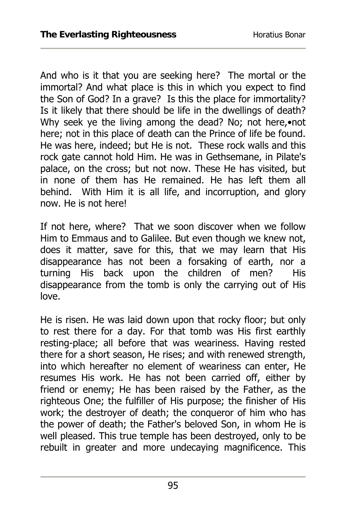And who is it that you are seeking here? The mortal or the immortal? And what place is this in which you expect to find the Son of God? In a grave? Is this the place for immortality? Is it likely that there should be life in the dwellings of death? Why seek ye the living among the dead? No; not here, •not here; not in this place of death can the Prince of life be found. He was here, indeed; but He is not. These rock walls and this rock gate cannot hold Him. He was in Gethsemane, in Pilate's palace, on the cross; but not now. These He has visited, but in none of them has He remained. He has left them all behind. With Him it is all life, and incorruption, and glory now. He is not here!

If not here, where? That we soon discover when we follow Him to Emmaus and to Galilee. But even though we knew not, does it matter, save for this, that we may learn that His disappearance has not been a forsaking of earth, nor a turning His back upon the children of men? His disappearance from the tomb is only the carrying out of His love.

He is risen. He was laid down upon that rocky floor; but only to rest there for a day. For that tomb was His first earthly resting-place; all before that was weariness. Having rested there for a short season, He rises; and with renewed strength, into which hereafter no element of weariness can enter, He resumes His work. He has not been carried off, either by friend or enemy; He has been raised by the Father, as the righteous One; the fulfiller of His purpose; the finisher of His work; the destroyer of death; the conqueror of him who has the power of death; the Father's beloved Son, in whom He is well pleased. This true temple has been destroyed, only to be rebuilt in greater and more undecaying magnificence. This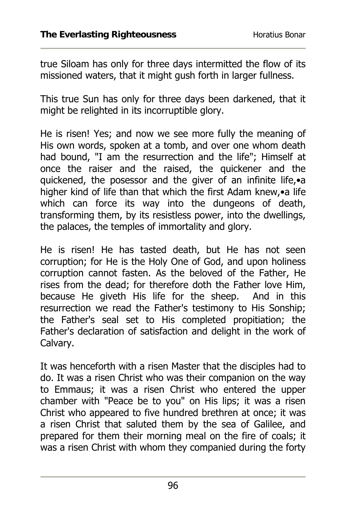true Siloam has only for three days intermitted the flow of its missioned waters, that it might gush forth in larger fullness.

This true Sun has only for three days been darkened, that it might be relighted in its incorruptible glory.

He is risen! Yes; and now we see more fully the meaning of His own words, spoken at a tomb, and over one whom death had bound, "I am the resurrection and the life"; Himself at once the raiser and the raised, the quickener and the quickened, the posessor and the giver of an infinite life,•a higher kind of life than that which the first Adam knew,•a life which can force its way into the dungeons of death, transforming them, by its resistless power, into the dwellings, the palaces, the temples of immortality and glory.

He is risen! He has tasted death, but He has not seen corruption; for He is the Holy One of God, and upon holiness corruption cannot fasten. As the beloved of the Father, He rises from the dead; for therefore doth the Father love Him, because He giveth His life for the sheep. And in this resurrection we read the Father's testimony to His Sonship; the Father's seal set to His completed propitiation; the Father's declaration of satisfaction and delight in the work of Calvary.

It was henceforth with a risen Master that the disciples had to do. It was a risen Christ who was their companion on the way to Emmaus; it was a risen Christ who entered the upper chamber with "Peace be to you" on His lips; it was a risen Christ who appeared to five hundred brethren at once; it was a risen Christ that saluted them by the sea of Galilee, and prepared for them their morning meal on the fire of coals; it was a risen Christ with whom they companied during the forty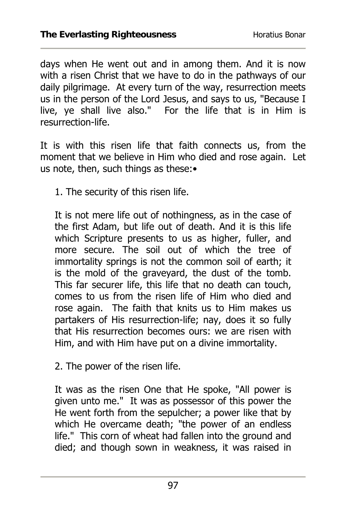days when He went out and in among them. And it is now with a risen Christ that we have to do in the pathways of our daily pilgrimage. At every turn of the way, resurrection meets us in the person of the Lord Jesus, and says to us, "Because I live, ye shall live also." For the life that is in Him is resurrection-life.

It is with this risen life that faith connects us, from the moment that we believe in Him who died and rose again. Let us note, then, such things as these:•

1. The security of this risen life.

It is not mere life out of nothingness, as in the case of the first Adam, but life out of death. And it is this life which Scripture presents to us as higher, fuller, and more secure. The soil out of which the tree of immortality springs is not the common soil of earth; it is the mold of the graveyard, the dust of the tomb. This far securer life, this life that no death can touch, comes to us from the risen life of Him who died and rose again. The faith that knits us to Him makes us partakers of His resurrection-life; nay, does it so fully that His resurrection becomes ours: we are risen with Him, and with Him have put on a divine immortality.

2. The power of the risen life.

It was as the risen One that He spoke, "All power is given unto me." It was as possessor of this power the He went forth from the sepulcher; a power like that by which He overcame death; "the power of an endless life." This corn of wheat had fallen into the ground and died; and though sown in weakness, it was raised in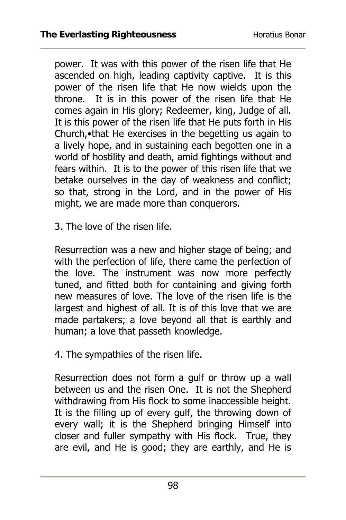power. It was with this power of the risen life that He ascended on high, leading captivity captive. It is this power of the risen life that He now wields upon the throne. It is in this power of the risen life that He comes again in His glory; Redeemer, king, Judge of all. It is this power of the risen life that He puts forth in His Church,•that He exercises in the begetting us again to a lively hope, and in sustaining each begotten one in a world of hostility and death, amid fightings without and fears within. It is to the power of this risen life that we betake ourselves in the day of weakness and conflict; so that, strong in the Lord, and in the power of His might, we are made more than conquerors.

3. The love of the risen life.

Resurrection was a new and higher stage of being; and with the perfection of life, there came the perfection of the love. The instrument was now more perfectly tuned, and fitted both for containing and giving forth new measures of love. The love of the risen life is the largest and highest of all. It is of this love that we are made partakers; a love beyond all that is earthly and human; a love that passeth knowledge.

4. The sympathies of the risen life.

Resurrection does not form a gulf or throw up a wall between us and the risen One. It is not the Shepherd withdrawing from His flock to some inaccessible height. It is the filling up of every gulf, the throwing down of every wall; it is the Shepherd bringing Himself into closer and fuller sympathy with His flock. True, they are evil, and He is good; they are earthly, and He is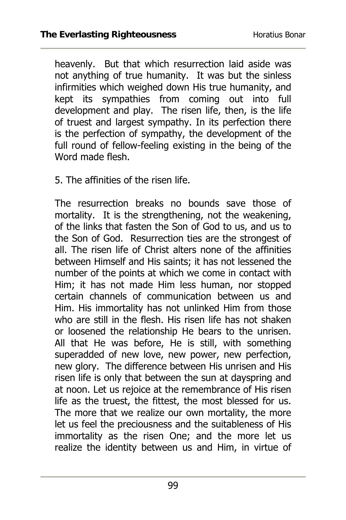heavenly. But that which resurrection laid aside was not anything of true humanity. It was but the sinless infirmities which weighed down His true humanity, and kept its sympathies from coming out into full development and play. The risen life, then, is the life of truest and largest sympathy. In its perfection there is the perfection of sympathy, the development of the full round of fellow-feeling existing in the being of the Word made flesh.

5. The affinities of the risen life.

The resurrection breaks no bounds save those of mortality. It is the strengthening, not the weakening, of the links that fasten the Son of God to us, and us to the Son of God. Resurrection ties are the strongest of all. The risen life of Christ alters none of the affinities between Himself and His saints; it has not lessened the number of the points at which we come in contact with Him; it has not made Him less human, nor stopped certain channels of communication between us and Him. His immortality has not unlinked Him from those who are still in the flesh. His risen life has not shaken or loosened the relationship He bears to the unrisen. All that He was before, He is still, with something superadded of new love, new power, new perfection, new glory. The difference between His unrisen and His risen life is only that between the sun at dayspring and at noon. Let us rejoice at the remembrance of His risen life as the truest, the fittest, the most blessed for us. The more that we realize our own mortality, the more let us feel the preciousness and the suitableness of His immortality as the risen One; and the more let us realize the identity between us and Him, in virtue of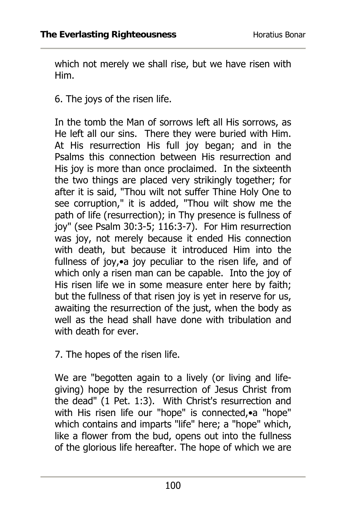which not merely we shall rise, but we have risen with Him.

6. The joys of the risen life.

In the tomb the Man of sorrows left all His sorrows, as He left all our sins. There they were buried with Him. At His resurrection His full joy began; and in the Psalms this connection between His resurrection and His joy is more than once proclaimed. In the sixteenth the two things are placed very strikingly together; for after it is said, "Thou wilt not suffer Thine Holy One to see corruption," it is added, "Thou wilt show me the path of life (resurrection); in Thy presence is fullness of joy" (see Psalm 30:3-5; 116:3-7). For Him resurrection was joy, not merely because it ended His connection with death, but because it introduced Him into the fullness of joy,•a joy peculiar to the risen life, and of which only a risen man can be capable. Into the joy of His risen life we in some measure enter here by faith; but the fullness of that risen joy is yet in reserve for us, awaiting the resurrection of the just, when the body as well as the head shall have done with tribulation and with death for ever.

7. The hopes of the risen life.

We are "begotten again to a lively (or living and lifegiving) hope by the resurrection of Jesus Christ from the dead" (1 Pet. 1:3). With Christ's resurrection and with His risen life our "hope" is connected,•a "hope" which contains and imparts "life" here; a "hope" which, like a flower from the bud, opens out into the fullness of the glorious life hereafter. The hope of which we are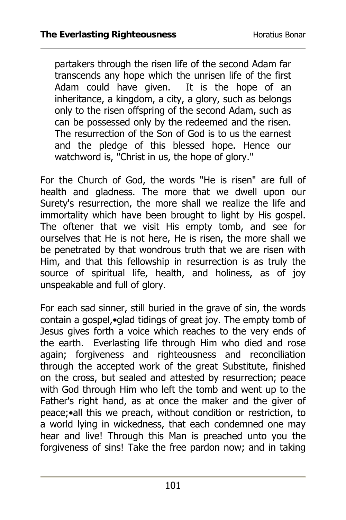partakers through the risen life of the second Adam far transcends any hope which the unrisen life of the first Adam could have given. It is the hope of an inheritance, a kingdom, a city, a glory, such as belongs only to the risen offspring of the second Adam, such as can be possessed only by the redeemed and the risen. The resurrection of the Son of God is to us the earnest and the pledge of this blessed hope. Hence our watchword is, "Christ in us, the hope of glory."

For the Church of God, the words "He is risen" are full of health and gladness. The more that we dwell upon our Surety's resurrection, the more shall we realize the life and immortality which have been brought to light by His gospel. The oftener that we visit His empty tomb, and see for ourselves that He is not here, He is risen, the more shall we be penetrated by that wondrous truth that we are risen with Him, and that this fellowship in resurrection is as truly the source of spiritual life, health, and holiness, as of joy unspeakable and full of glory.

For each sad sinner, still buried in the grave of sin, the words contain a gospel,•glad tidings of great joy. The empty tomb of Jesus gives forth a voice which reaches to the very ends of the earth. Everlasting life through Him who died and rose again; forgiveness and righteousness and reconciliation through the accepted work of the great Substitute, finished on the cross, but sealed and attested by resurrection; peace with God through Him who left the tomb and went up to the Father's right hand, as at once the maker and the giver of peace;•all this we preach, without condition or restriction, to a world lying in wickedness, that each condemned one may hear and live! Through this Man is preached unto you the forgiveness of sins! Take the free pardon now; and in taking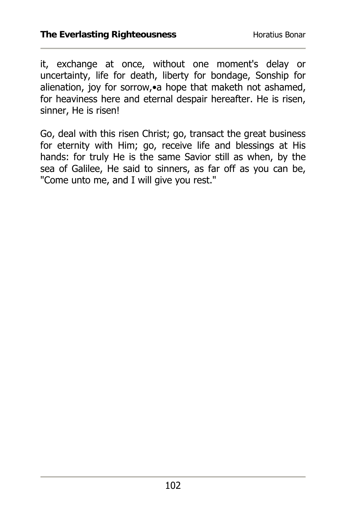it, exchange at once, without one moment's delay or uncertainty, life for death, liberty for bondage, Sonship for alienation, joy for sorrow,•a hope that maketh not ashamed, for heaviness here and eternal despair hereafter. He is risen, sinner, He is risen!

Go, deal with this risen Christ; go, transact the great business for eternity with Him; go, receive life and blessings at His hands: for truly He is the same Savior still as when, by the sea of Galilee, He said to sinners, as far off as you can be, "Come unto me, and I will give you rest."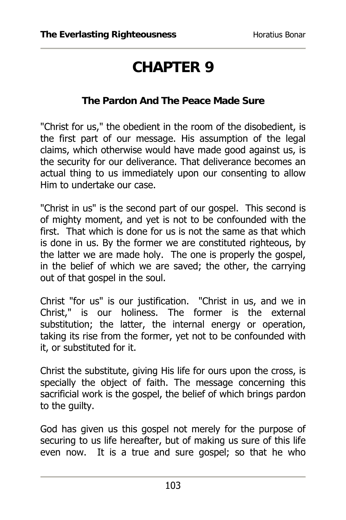## **CHAPTER 9**

#### **The Pardon And The Peace Made Sure**

"Christ for us," the obedient in the room of the disobedient, is the first part of our message. His assumption of the legal claims, which otherwise would have made good against us, is the security for our deliverance. That deliverance becomes an actual thing to us immediately upon our consenting to allow Him to undertake our case.

"Christ in us" is the second part of our gospel. This second is of mighty moment, and yet is not to be confounded with the first. That which is done for us is not the same as that which is done in us. By the former we are constituted righteous, by the latter we are made holy. The one is properly the gospel, in the belief of which we are saved; the other, the carrying out of that gospel in the soul.

Christ "for us" is our justification. "Christ in us, and we in Christ," is our holiness. The former is the external substitution; the latter, the internal energy or operation, taking its rise from the former, yet not to be confounded with it, or substituted for it.

Christ the substitute, giving His life for ours upon the cross, is specially the object of faith. The message concerning this sacrificial work is the gospel, the belief of which brings pardon to the guilty.

God has given us this gospel not merely for the purpose of securing to us life hereafter, but of making us sure of this life even now. It is a true and sure gospel; so that he who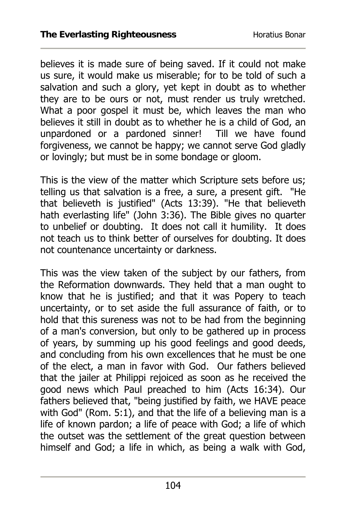believes it is made sure of being saved. If it could not make us sure, it would make us miserable; for to be told of such a salvation and such a glory, yet kept in doubt as to whether they are to be ours or not, must render us truly wretched. What a poor gospel it must be, which leaves the man who believes it still in doubt as to whether he is a child of God, an unpardoned or a pardoned sinner! Till we have found forgiveness, we cannot be happy; we cannot serve God gladly or lovingly; but must be in some bondage or gloom.

This is the view of the matter which Scripture sets before us; telling us that salvation is a free, a sure, a present gift. "He that believeth is justified" (Acts 13:39). "He that believeth hath everlasting life" (John 3:36). The Bible gives no quarter to unbelief or doubting. It does not call it humility. It does not teach us to think better of ourselves for doubting. It does not countenance uncertainty or darkness.

This was the view taken of the subject by our fathers, from the Reformation downwards. They held that a man ought to know that he is justified; and that it was Popery to teach uncertainty, or to set aside the full assurance of faith, or to hold that this sureness was not to be had from the beginning of a man's conversion, but only to be gathered up in process of years, by summing up his good feelings and good deeds, and concluding from his own excellences that he must be one of the elect, a man in favor with God. Our fathers believed that the jailer at Philippi rejoiced as soon as he received the good news which Paul preached to him (Acts 16:34). Our fathers believed that, "being justified by faith, we HAVE peace with God" (Rom. 5:1), and that the life of a believing man is a life of known pardon; a life of peace with God; a life of which the outset was the settlement of the great question between himself and God; a life in which, as being a walk with God,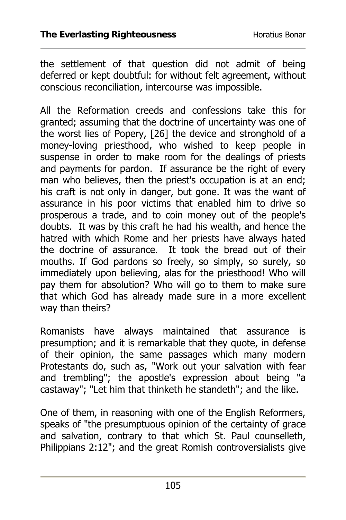the settlement of that question did not admit of being deferred or kept doubtful: for without felt agreement, without conscious reconciliation, intercourse was impossible.

All the Reformation creeds and confessions take this for granted; assuming that the doctrine of uncertainty was one of the worst lies of Popery, [26] the device and stronghold of a money-loving priesthood, who wished to keep people in suspense in order to make room for the dealings of priests and payments for pardon. If assurance be the right of every man who believes, then the priest's occupation is at an end; his craft is not only in danger, but gone. It was the want of assurance in his poor victims that enabled him to drive so prosperous a trade, and to coin money out of the people's doubts. It was by this craft he had his wealth, and hence the hatred with which Rome and her priests have always hated the doctrine of assurance. It took the bread out of their mouths. If God pardons so freely, so simply, so surely, so immediately upon believing, alas for the priesthood! Who will pay them for absolution? Who will go to them to make sure that which God has already made sure in a more excellent way than theirs?

Romanists have always maintained that assurance is presumption; and it is remarkable that they quote, in defense of their opinion, the same passages which many modern Protestants do, such as, "Work out your salvation with fear and trembling"; the apostle's expression about being "a castaway"; "Let him that thinketh he standeth"; and the like.

One of them, in reasoning with one of the English Reformers, speaks of "the presumptuous opinion of the certainty of grace and salvation, contrary to that which St. Paul counselleth, Philippians 2:12"; and the great Romish controversialists give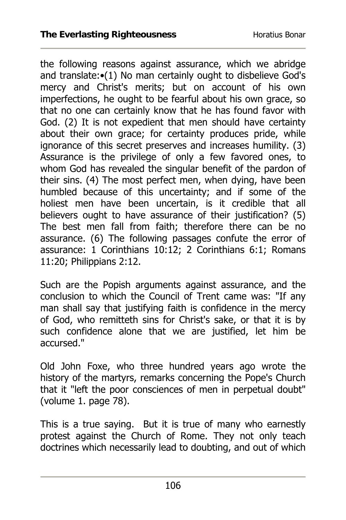the following reasons against assurance, which we abridge and translate:•(1) No man certainly ought to disbelieve God's mercy and Christ's merits; but on account of his own imperfections, he ought to be fearful about his own grace, so that no one can certainly know that he has found favor with God. (2) It is not expedient that men should have certainty about their own grace; for certainty produces pride, while ignorance of this secret preserves and increases humility. (3) Assurance is the privilege of only a few favored ones, to whom God has revealed the singular benefit of the pardon of their sins. (4) The most perfect men, when dying, have been humbled because of this uncertainty; and if some of the holiest men have been uncertain, is it credible that all believers ought to have assurance of their justification? (5) The best men fall from faith; therefore there can be no assurance. (6) The following passages confute the error of assurance: 1 Corinthians 10:12; 2 Corinthians 6:1; Romans 11:20; Philippians 2:12.

Such are the Popish arguments against assurance, and the conclusion to which the Council of Trent came was: "If any man shall say that justifying faith is confidence in the mercy of God, who remitteth sins for Christ's sake, or that it is by such confidence alone that we are justified, let him be accursed."

Old John Foxe, who three hundred years ago wrote the history of the martyrs, remarks concerning the Pope's Church that it "left the poor consciences of men in perpetual doubt" (volume 1. page 78).

This is a true saying. But it is true of many who earnestly protest against the Church of Rome. They not only teach doctrines which necessarily lead to doubting, and out of which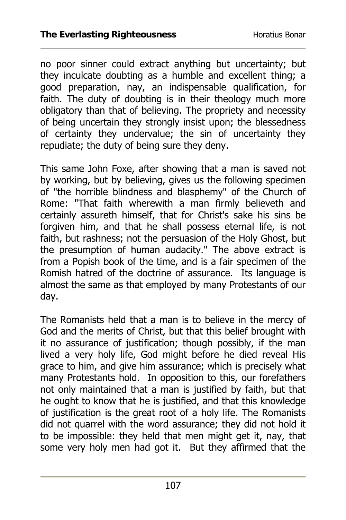no poor sinner could extract anything but uncertainty; but they inculcate doubting as a humble and excellent thing; a good preparation, nay, an indispensable qualification, for faith. The duty of doubting is in their theology much more obligatory than that of believing. The propriety and necessity of being uncertain they strongly insist upon; the blessedness of certainty they undervalue; the sin of uncertainty they repudiate; the duty of being sure they deny.

This same John Foxe, after showing that a man is saved not by working, but by believing, gives us the following specimen of "the horrible blindness and blasphemy" of the Church of Rome: "That faith wherewith a man firmly believeth and certainly assureth himself, that for Christ's sake his sins be forgiven him, and that he shall possess eternal life, is not faith, but rashness; not the persuasion of the Holy Ghost, but the presumption of human audacity." The above extract is from a Popish book of the time, and is a fair specimen of the Romish hatred of the doctrine of assurance. Its language is almost the same as that employed by many Protestants of our day.

The Romanists held that a man is to believe in the mercy of God and the merits of Christ, but that this belief brought with it no assurance of justification; though possibly, if the man lived a very holy life, God might before he died reveal His grace to him, and give him assurance; which is precisely what many Protestants hold. In opposition to this, our forefathers not only maintained that a man is justified by faith, but that he ought to know that he is justified, and that this knowledge of justification is the great root of a holy life. The Romanists did not quarrel with the word assurance; they did not hold it to be impossible: they held that men might get it, nay, that some very holy men had got it. But they affirmed that the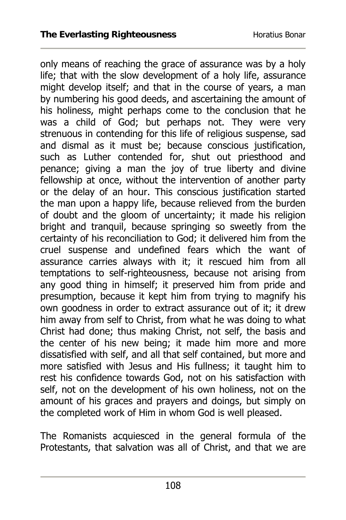only means of reaching the grace of assurance was by a holy life; that with the slow development of a holy life, assurance might develop itself; and that in the course of years, a man by numbering his good deeds, and ascertaining the amount of his holiness, might perhaps come to the conclusion that he was a child of God; but perhaps not. They were very strenuous in contending for this life of religious suspense, sad and dismal as it must be; because conscious justification, such as Luther contended for, shut out priesthood and penance; giving a man the joy of true liberty and divine fellowship at once, without the intervention of another party or the delay of an hour. This conscious justification started the man upon a happy life, because relieved from the burden of doubt and the gloom of uncertainty; it made his religion bright and tranquil, because springing so sweetly from the certainty of his reconciliation to God; it delivered him from the cruel suspense and undefined fears which the want of assurance carries always with it; it rescued him from all temptations to self-righteousness, because not arising from any good thing in himself; it preserved him from pride and presumption, because it kept him from trying to magnify his own goodness in order to extract assurance out of it; it drew him away from self to Christ, from what he was doing to what Christ had done; thus making Christ, not self, the basis and the center of his new being; it made him more and more dissatisfied with self, and all that self contained, but more and more satisfied with Jesus and His fullness; it taught him to rest his confidence towards God, not on his satisfaction with self, not on the development of his own holiness, not on the amount of his graces and prayers and doings, but simply on the completed work of Him in whom God is well pleased.

The Romanists acquiesced in the general formula of the Protestants, that salvation was all of Christ, and that we are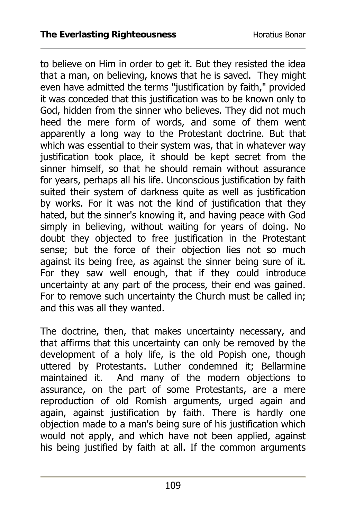to believe on Him in order to get it. But they resisted the idea that a man, on believing, knows that he is saved. They might even have admitted the terms "justification by faith," provided it was conceded that this justification was to be known only to God, hidden from the sinner who believes. They did not much heed the mere form of words, and some of them went apparently a long way to the Protestant doctrine. But that which was essential to their system was, that in whatever way justification took place, it should be kept secret from the sinner himself, so that he should remain without assurance for years, perhaps all his life. Unconscious justification by faith suited their system of darkness quite as well as justification by works. For it was not the kind of justification that they hated, but the sinner's knowing it, and having peace with God simply in believing, without waiting for years of doing. No doubt they objected to free justification in the Protestant sense; but the force of their objection lies not so much against its being free, as against the sinner being sure of it. For they saw well enough, that if they could introduce uncertainty at any part of the process, their end was gained. For to remove such uncertainty the Church must be called in; and this was all they wanted.

The doctrine, then, that makes uncertainty necessary, and that affirms that this uncertainty can only be removed by the development of a holy life, is the old Popish one, though uttered by Protestants. Luther condemned it; Bellarmine maintained it. And many of the modern objections to assurance, on the part of some Protestants, are a mere reproduction of old Romish arguments, urged again and again, against justification by faith. There is hardly one objection made to a man's being sure of his justification which would not apply, and which have not been applied, against his being justified by faith at all. If the common arguments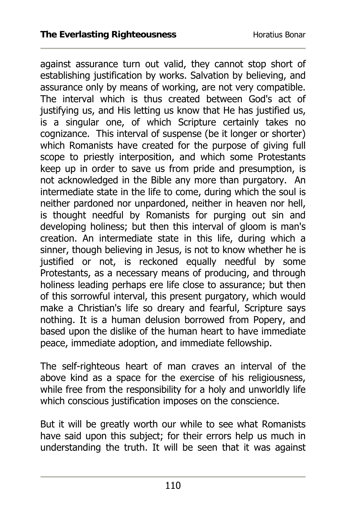against assurance turn out valid, they cannot stop short of establishing justification by works. Salvation by believing, and assurance only by means of working, are not very compatible. The interval which is thus created between God's act of justifying us, and His letting us know that He has justified us, is a singular one, of which Scripture certainly takes no cognizance. This interval of suspense (be it longer or shorter) which Romanists have created for the purpose of giving full scope to priestly interposition, and which some Protestants keep up in order to save us from pride and presumption, is not acknowledged in the Bible any more than purgatory. An intermediate state in the life to come, during which the soul is neither pardoned nor unpardoned, neither in heaven nor hell, is thought needful by Romanists for purging out sin and developing holiness; but then this interval of gloom is man's creation. An intermediate state in this life, during which a sinner, though believing in Jesus, is not to know whether he is justified or not, is reckoned equally needful by some Protestants, as a necessary means of producing, and through holiness leading perhaps ere life close to assurance; but then of this sorrowful interval, this present purgatory, which would make a Christian's life so dreary and fearful, Scripture says nothing. It is a human delusion borrowed from Popery, and based upon the dislike of the human heart to have immediate peace, immediate adoption, and immediate fellowship.

The self-righteous heart of man craves an interval of the above kind as a space for the exercise of his religiousness, while free from the responsibility for a holy and unworldly life which conscious justification imposes on the conscience.

But it will be greatly worth our while to see what Romanists have said upon this subject; for their errors help us much in understanding the truth. It will be seen that it was against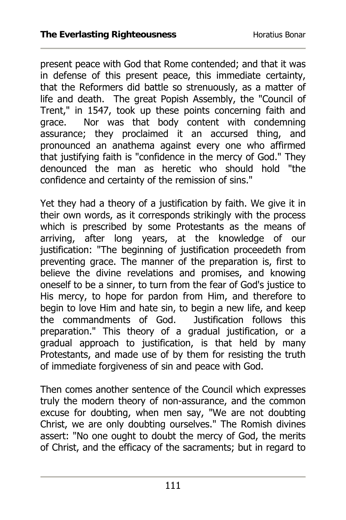present peace with God that Rome contended; and that it was in defense of this present peace, this immediate certainty, that the Reformers did battle so strenuously, as a matter of life and death. The great Popish Assembly, the "Council of Trent," in 1547, took up these points concerning faith and grace. Nor was that body content with condemning assurance; they proclaimed it an accursed thing, and pronounced an anathema against every one who affirmed that justifying faith is "confidence in the mercy of God." They denounced the man as heretic who should hold "the confidence and certainty of the remission of sins."

Yet they had a theory of a justification by faith. We give it in their own words, as it corresponds strikingly with the process which is prescribed by some Protestants as the means of arriving, after long years, at the knowledge of our justification: "The beginning of justification proceedeth from preventing grace. The manner of the preparation is, first to believe the divine revelations and promises, and knowing oneself to be a sinner, to turn from the fear of God's justice to His mercy, to hope for pardon from Him, and therefore to begin to love Him and hate sin, to begin a new life, and keep the commandments of God. Justification follows this preparation." This theory of a gradual justification, or a gradual approach to justification, is that held by many Protestants, and made use of by them for resisting the truth of immediate forgiveness of sin and peace with God.

Then comes another sentence of the Council which expresses truly the modern theory of non-assurance, and the common excuse for doubting, when men say, "We are not doubting Christ, we are only doubting ourselves." The Romish divines assert: "No one ought to doubt the mercy of God, the merits of Christ, and the efficacy of the sacraments; but in regard to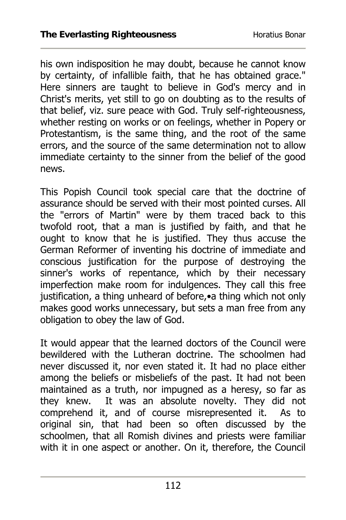his own indisposition he may doubt, because he cannot know by certainty, of infallible faith, that he has obtained grace." Here sinners are taught to believe in God's mercy and in Christ's merits, yet still to go on doubting as to the results of that belief, viz. sure peace with God. Truly self-righteousness, whether resting on works or on feelings, whether in Popery or Protestantism, is the same thing, and the root of the same errors, and the source of the same determination not to allow immediate certainty to the sinner from the belief of the good news.

This Popish Council took special care that the doctrine of assurance should be served with their most pointed curses. All the "errors of Martin" were by them traced back to this twofold root, that a man is justified by faith, and that he ought to know that he is justified. They thus accuse the German Reformer of inventing his doctrine of immediate and conscious justification for the purpose of destroying the sinner's works of repentance, which by their necessary imperfection make room for indulgences. They call this free justification, a thing unheard of before,•a thing which not only makes good works unnecessary, but sets a man free from any obligation to obey the law of God.

It would appear that the learned doctors of the Council were bewildered with the Lutheran doctrine. The schoolmen had never discussed it, nor even stated it. It had no place either among the beliefs or misbeliefs of the past. It had not been maintained as a truth, nor impugned as a heresy, so far as they knew. It was an absolute novelty. They did not comprehend it, and of course misrepresented it. As to original sin, that had been so often discussed by the schoolmen, that all Romish divines and priests were familiar with it in one aspect or another. On it, therefore, the Council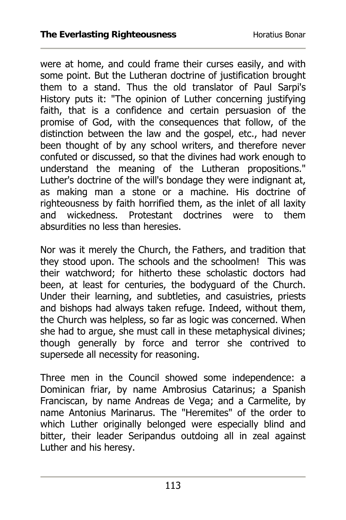were at home, and could frame their curses easily, and with some point. But the Lutheran doctrine of justification brought them to a stand. Thus the old translator of Paul Sarpi's History puts it: "The opinion of Luther concerning justifying faith, that is a confidence and certain persuasion of the promise of God, with the consequences that follow, of the distinction between the law and the gospel, etc., had never been thought of by any school writers, and therefore never confuted or discussed, so that the divines had work enough to understand the meaning of the Lutheran propositions." Luther's doctrine of the will's bondage they were indignant at, as making man a stone or a machine. His doctrine of righteousness by faith horrified them, as the inlet of all laxity and wickedness. Protestant doctrines were to them absurdities no less than heresies.

Nor was it merely the Church, the Fathers, and tradition that they stood upon. The schools and the schoolmen! This was their watchword; for hitherto these scholastic doctors had been, at least for centuries, the bodyguard of the Church. Under their learning, and subtleties, and casuistries, priests and bishops had always taken refuge. Indeed, without them, the Church was helpless, so far as logic was concerned. When she had to argue, she must call in these metaphysical divines; though generally by force and terror she contrived to supersede all necessity for reasoning.

Three men in the Council showed some independence: a Dominican friar, by name Ambrosius Catarinus; a Spanish Franciscan, by name Andreas de Vega; and a Carmelite, by name Antonius Marinarus. The "Heremites" of the order to which Luther originally belonged were especially blind and bitter, their leader Seripandus outdoing all in zeal against Luther and his heresy.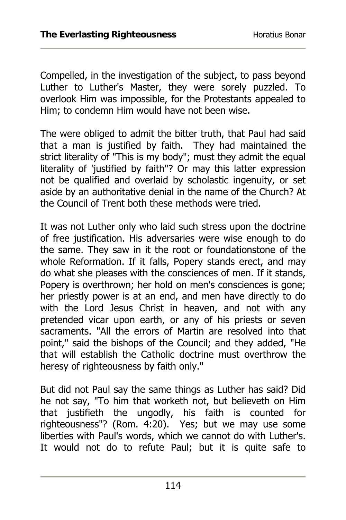Compelled, in the investigation of the subject, to pass beyond Luther to Luther's Master, they were sorely puzzled. To overlook Him was impossible, for the Protestants appealed to Him; to condemn Him would have not been wise.

The were obliged to admit the bitter truth, that Paul had said that a man is justified by faith. They had maintained the strict literality of "This is my body"; must they admit the equal literality of 'justified by faith"? Or may this latter expression not be qualified and overlaid by scholastic ingenuity, or set aside by an authoritative denial in the name of the Church? At the Council of Trent both these methods were tried.

It was not Luther only who laid such stress upon the doctrine of free justification. His adversaries were wise enough to do the same. They saw in it the root or foundationstone of the whole Reformation. If it falls, Popery stands erect, and may do what she pleases with the consciences of men. If it stands, Popery is overthrown; her hold on men's consciences is gone; her priestly power is at an end, and men have directly to do with the Lord Jesus Christ in heaven, and not with any pretended vicar upon earth, or any of his priests or seven sacraments. "All the errors of Martin are resolved into that point," said the bishops of the Council; and they added, "He that will establish the Catholic doctrine must overthrow the heresy of righteousness by faith only."

But did not Paul say the same things as Luther has said? Did he not say, "To him that worketh not, but believeth on Him that justifieth the ungodly, his faith is counted for righteousness"? (Rom. 4:20). Yes; but we may use some liberties with Paul's words, which we cannot do with Luther's. It would not do to refute Paul; but it is quite safe to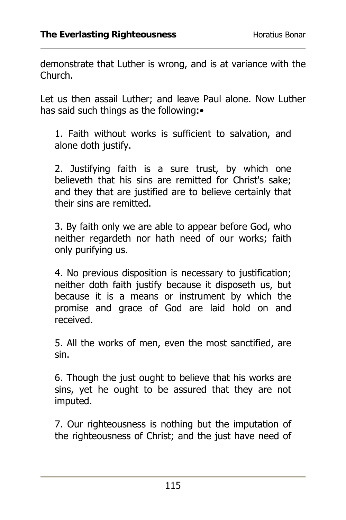demonstrate that Luther is wrong, and is at variance with the Church.

Let us then assail Luther; and leave Paul alone. Now Luther has said such things as the following:•

1. Faith without works is sufficient to salvation, and alone doth justify.

2. Justifying faith is a sure trust, by which one believeth that his sins are remitted for Christ's sake; and they that are justified are to believe certainly that their sins are remitted.

3. By faith only we are able to appear before God, who neither regardeth nor hath need of our works; faith only purifying us.

4. No previous disposition is necessary to justification; neither doth faith justify because it disposeth us, but because it is a means or instrument by which the promise and grace of God are laid hold on and received.

5. All the works of men, even the most sanctified, are sin.

6. Though the just ought to believe that his works are sins, yet he ought to be assured that they are not imputed.

7. Our righteousness is nothing but the imputation of the righteousness of Christ; and the just have need of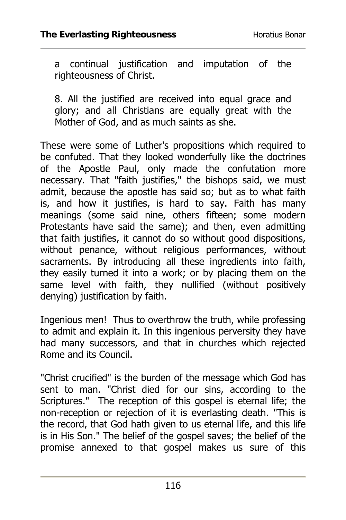a continual justification and imputation of the righteousness of Christ.

8. All the justified are received into equal grace and glory; and all Christians are equally great with the Mother of God, and as much saints as she.

These were some of Luther's propositions which required to be confuted. That they looked wonderfully like the doctrines of the Apostle Paul, only made the confutation more necessary. That "faith justifies," the bishops said, we must admit, because the apostle has said so; but as to what faith is, and how it justifies, is hard to say. Faith has many meanings (some said nine, others fifteen; some modern Protestants have said the same); and then, even admitting that faith justifies, it cannot do so without good dispositions, without penance, without religious performances, without sacraments. By introducing all these ingredients into faith, they easily turned it into a work; or by placing them on the same level with faith, they nullified (without positively denying) justification by faith.

Ingenious men! Thus to overthrow the truth, while professing to admit and explain it. In this ingenious perversity they have had many successors, and that in churches which rejected Rome and its Council.

"Christ crucified" is the burden of the message which God has sent to man. "Christ died for our sins, according to the Scriptures." The reception of this gospel is eternal life; the non-reception or rejection of it is everlasting death. "This is the record, that God hath given to us eternal life, and this life is in His Son." The belief of the gospel saves; the belief of the promise annexed to that gospel makes us sure of this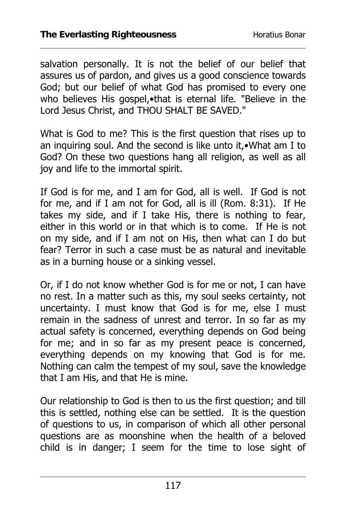salvation personally. It is not the belief of our belief that assures us of pardon, and gives us a good conscience towards God; but our belief of what God has promised to every one who believes His gospel,•that is eternal life. "Believe in the Lord Jesus Christ, and THOU SHALT BE SAVED."

What is God to me? This is the first question that rises up to an inquiring soul. And the second is like unto it,•What am I to God? On these two questions hang all religion, as well as all joy and life to the immortal spirit.

If God is for me, and I am for God, all is well. If God is not for me, and if I am not for God, all is ill (Rom. 8:31). If He takes my side, and if I take His, there is nothing to fear, either in this world or in that which is to come. If He is not on my side, and if I am not on His, then what can I do but fear? Terror in such a case must be as natural and inevitable as in a burning house or a sinking vessel.

Or, if I do not know whether God is for me or not, I can have no rest. In a matter such as this, my soul seeks certainty, not uncertainty. I must know that God is for me, else I must remain in the sadness of unrest and terror. In so far as my actual safety is concerned, everything depends on God being for me; and in so far as my present peace is concerned, everything depends on my knowing that God is for me. Nothing can calm the tempest of my soul, save the knowledge that I am His, and that He is mine.

Our relationship to God is then to us the first question; and till this is settled, nothing else can be settled. It is the question of questions to us, in comparison of which all other personal questions are as moonshine when the health of a beloved child is in danger; I seem for the time to lose sight of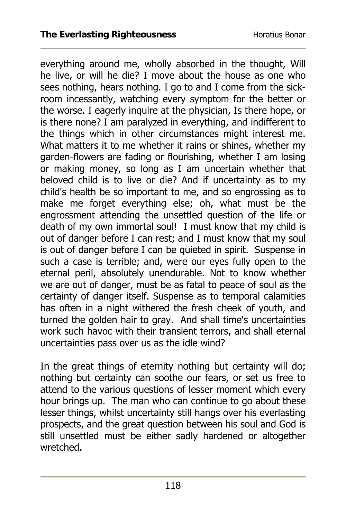everything around me, wholly absorbed in the thought, Will he live, or will he die? I move about the house as one who sees nothing, hears nothing. I go to and I come from the sickroom incessantly, watching every symptom for the better or the worse. I eagerly inquire at the physician, Is there hope, or is there none? I am paralyzed in everything, and indifferent to the things which in other circumstances might interest me. What matters it to me whether it rains or shines, whether my garden-flowers are fading or flourishing, whether I am losing or making money, so long as I am uncertain whether that beloved child is to live or die? And if uncertainty as to my child's health be so important to me, and so engrossing as to make me forget everything else; oh, what must be the engrossment attending the unsettled question of the life or death of my own immortal soul! I must know that my child is out of danger before I can rest; and I must know that my soul is out of danger before I can be quieted in spirit. Suspense in such a case is terrible; and, were our eyes fully open to the eternal peril, absolutely unendurable. Not to know whether we are out of danger, must be as fatal to peace of soul as the certainty of danger itself. Suspense as to temporal calamities has often in a night withered the fresh cheek of youth, and turned the golden hair to gray. And shall time's uncertainties work such havoc with their transient terrors, and shall eternal uncertainties pass over us as the idle wind?

In the great things of eternity nothing but certainty will do; nothing but certainty can soothe our fears, or set us free to attend to the various questions of lesser moment which every hour brings up. The man who can continue to go about these lesser things, whilst uncertainty still hangs over his everlasting prospects, and the great question between his soul and God is still unsettled must be either sadly hardened or altogether wretched.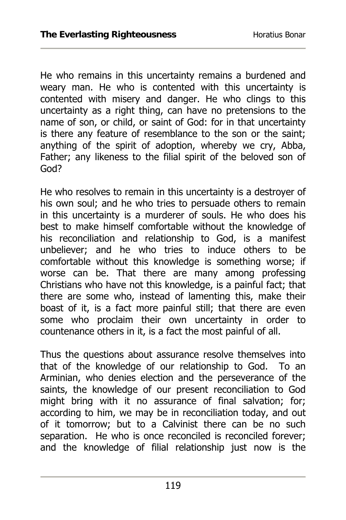He who remains in this uncertainty remains a burdened and weary man. He who is contented with this uncertainty is contented with misery and danger. He who clings to this uncertainty as a right thing, can have no pretensions to the name of son, or child, or saint of God: for in that uncertainty is there any feature of resemblance to the son or the saint; anything of the spirit of adoption, whereby we cry, Abba, Father; any likeness to the filial spirit of the beloved son of God?

He who resolves to remain in this uncertainty is a destroyer of his own soul; and he who tries to persuade others to remain in this uncertainty is a murderer of souls. He who does his best to make himself comfortable without the knowledge of his reconciliation and relationship to God, is a manifest unbeliever; and he who tries to induce others to be comfortable without this knowledge is something worse; if worse can be. That there are many among professing Christians who have not this knowledge, is a painful fact; that there are some who, instead of lamenting this, make their boast of it, is a fact more painful still; that there are even some who proclaim their own uncertainty in order to countenance others in it, is a fact the most painful of all.

Thus the questions about assurance resolve themselves into that of the knowledge of our relationship to God. To an Arminian, who denies election and the perseverance of the saints, the knowledge of our present reconciliation to God might bring with it no assurance of final salvation; for; according to him, we may be in reconciliation today, and out of it tomorrow; but to a Calvinist there can be no such separation. He who is once reconciled is reconciled forever; and the knowledge of filial relationship just now is the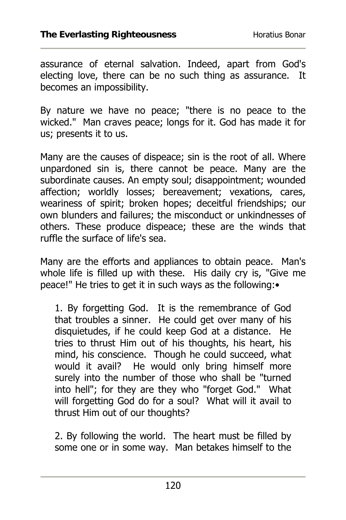assurance of eternal salvation. Indeed, apart from God's electing love, there can be no such thing as assurance. It becomes an impossibility.

By nature we have no peace; "there is no peace to the wicked." Man craves peace; longs for it. God has made it for us; presents it to us.

Many are the causes of dispeace; sin is the root of all. Where unpardoned sin is, there cannot be peace. Many are the subordinate causes. An empty soul; disappointment; wounded affection; worldly losses; bereavement; vexations, cares, weariness of spirit; broken hopes; deceitful friendships; our own blunders and failures; the misconduct or unkindnesses of others. These produce dispeace; these are the winds that ruffle the surface of life's sea.

Many are the efforts and appliances to obtain peace. Man's whole life is filled up with these. His daily cry is, "Give me peace!" He tries to get it in such ways as the following:•

1. By forgetting God. It is the remembrance of God that troubles a sinner. He could get over many of his disquietudes, if he could keep God at a distance. He tries to thrust Him out of his thoughts, his heart, his mind, his conscience. Though he could succeed, what would it avail? He would only bring himself more surely into the number of those who shall be "turned into hell"; for they are they who "forget God." What will forgetting God do for a soul? What will it avail to thrust Him out of our thoughts?

2. By following the world. The heart must be filled by some one or in some way. Man betakes himself to the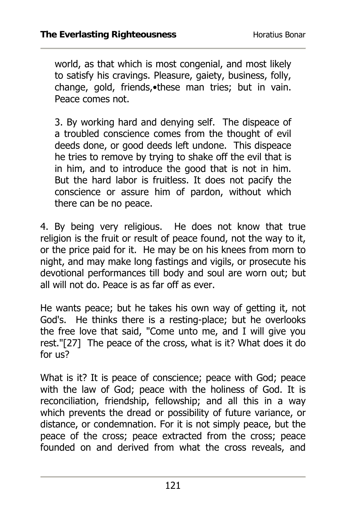world, as that which is most congenial, and most likely to satisfy his cravings. Pleasure, gaiety, business, folly, change, gold, friends,•these man tries; but in vain. Peace comes not.

3. By working hard and denying self. The dispeace of a troubled conscience comes from the thought of evil deeds done, or good deeds left undone. This dispeace he tries to remove by trying to shake off the evil that is in him, and to introduce the good that is not in him. But the hard labor is fruitless. It does not pacify the conscience or assure him of pardon, without which there can be no peace.

4. By being very religious. He does not know that true religion is the fruit or result of peace found, not the way to it, or the price paid for it. He may be on his knees from morn to night, and may make long fastings and vigils, or prosecute his devotional performances till body and soul are worn out; but all will not do. Peace is as far off as ever.

He wants peace; but he takes his own way of getting it, not God's. He thinks there is a resting-place; but he overlooks the free love that said, "Come unto me, and I will give you rest."[27] The peace of the cross, what is it? What does it do for us?

What is it? It is peace of conscience; peace with God; peace with the law of God; peace with the holiness of God. It is reconciliation, friendship, fellowship; and all this in a way which prevents the dread or possibility of future variance, or distance, or condemnation. For it is not simply peace, but the peace of the cross; peace extracted from the cross; peace founded on and derived from what the cross reveals, and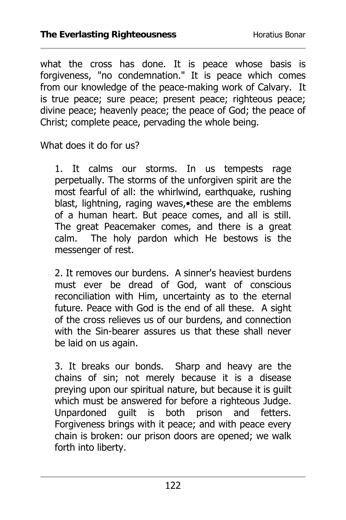what the cross has done. It is peace whose basis is forgiveness, "no condemnation." It is peace which comes from our knowledge of the peace-making work of Calvary. It is true peace; sure peace; present peace; righteous peace; divine peace; heavenly peace; the peace of God; the peace of Christ; complete peace, pervading the whole being.

What does it do for us?

1. It calms our storms. In us tempests rage perpetually. The storms of the unforgiven spirit are the most fearful of all: the whirlwind, earthquake, rushing blast, lightning, raging waves,•these are the emblems of a human heart. But peace comes, and all is still. The great Peacemaker comes, and there is a great calm. The holy pardon which He bestows is the messenger of rest.

2. It removes our burdens. A sinner's heaviest burdens must ever be dread of God, want of conscious reconciliation with Him, uncertainty as to the eternal future. Peace with God is the end of all these. A sight of the cross relieves us of our burdens, and connection with the Sin-bearer assures us that these shall never be laid on us again.

3. It breaks our bonds. Sharp and heavy are the chains of sin; not merely because it is a disease preying upon our spiritual nature, but because it is guilt which must be answered for before a righteous Judge. Unpardoned guilt is both prison and fetters. Forgiveness brings with it peace; and with peace every chain is broken: our prison doors are opened; we walk forth into liberty.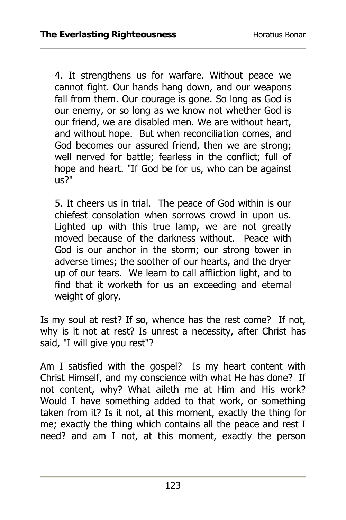4. It strengthens us for warfare. Without peace we cannot fight. Our hands hang down, and our weapons fall from them. Our courage is gone. So long as God is our enemy, or so long as we know not whether God is our friend, we are disabled men. We are without heart, and without hope. But when reconciliation comes, and God becomes our assured friend, then we are strong; well nerved for battle; fearless in the conflict; full of hope and heart. "If God be for us, who can be against us?"

5. It cheers us in trial. The peace of God within is our chiefest consolation when sorrows crowd in upon us. Lighted up with this true lamp, we are not greatly moved because of the darkness without. Peace with God is our anchor in the storm; our strong tower in adverse times; the soother of our hearts, and the dryer up of our tears. We learn to call affliction light, and to find that it worketh for us an exceeding and eternal weight of glory.

Is my soul at rest? If so, whence has the rest come? If not, why is it not at rest? Is unrest a necessity, after Christ has said, "I will give you rest"?

Am I satisfied with the gospel? Is my heart content with Christ Himself, and my conscience with what He has done? If not content, why? What aileth me at Him and His work? Would I have something added to that work, or something taken from it? Is it not, at this moment, exactly the thing for me; exactly the thing which contains all the peace and rest I need? and am I not, at this moment, exactly the person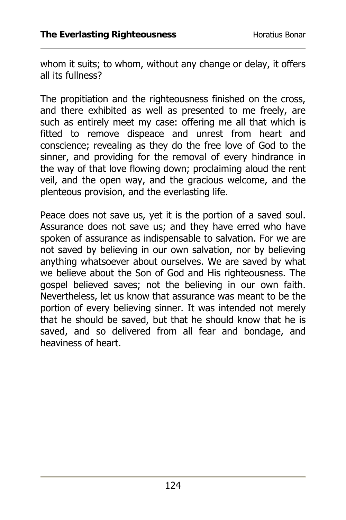whom it suits; to whom, without any change or delay, it offers all its fullness?

The propitiation and the righteousness finished on the cross, and there exhibited as well as presented to me freely, are such as entirely meet my case: offering me all that which is fitted to remove dispeace and unrest from heart and conscience; revealing as they do the free love of God to the sinner, and providing for the removal of every hindrance in the way of that love flowing down; proclaiming aloud the rent veil, and the open way, and the gracious welcome, and the plenteous provision, and the everlasting life.

Peace does not save us, yet it is the portion of a saved soul. Assurance does not save us; and they have erred who have spoken of assurance as indispensable to salvation. For we are not saved by believing in our own salvation, nor by believing anything whatsoever about ourselves. We are saved by what we believe about the Son of God and His righteousness. The gospel believed saves; not the believing in our own faith. Nevertheless, let us know that assurance was meant to be the portion of every believing sinner. It was intended not merely that he should be saved, but that he should know that he is saved, and so delivered from all fear and bondage, and heaviness of heart.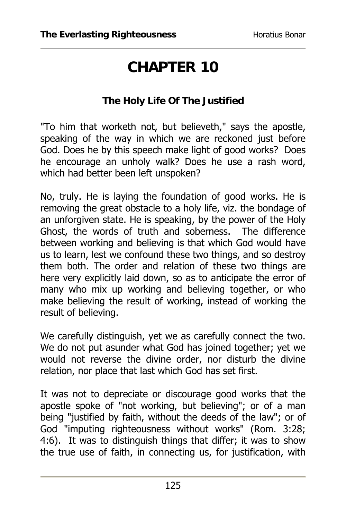## **CHAPTER 10**

## **The Holy Life Of The Justified**

"To him that worketh not, but believeth," says the apostle, speaking of the way in which we are reckoned just before God. Does he by this speech make light of good works? Does he encourage an unholy walk? Does he use a rash word, which had better been left unspoken?

No, truly. He is laying the foundation of good works. He is removing the great obstacle to a holy life, viz. the bondage of an unforgiven state. He is speaking, by the power of the Holy Ghost, the words of truth and soberness. The difference between working and believing is that which God would have us to learn, lest we confound these two things, and so destroy them both. The order and relation of these two things are here very explicitly laid down, so as to anticipate the error of many who mix up working and believing together, or who make believing the result of working, instead of working the result of believing.

We carefully distinguish, yet we as carefully connect the two. We do not put asunder what God has joined together; yet we would not reverse the divine order, nor disturb the divine relation, nor place that last which God has set first.

It was not to depreciate or discourage good works that the apostle spoke of "not working, but believing"; or of a man being "justified by faith, without the deeds of the law"; or of God "imputing righteousness without works" (Rom. 3:28; 4:6). It was to distinguish things that differ; it was to show the true use of faith, in connecting us, for justification, with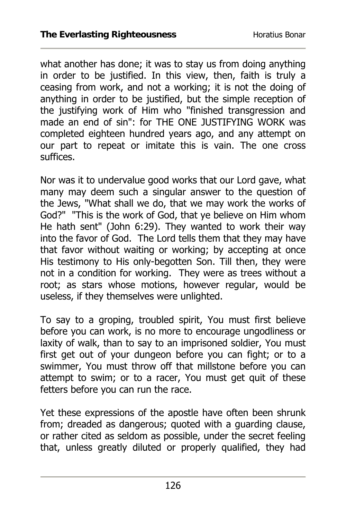what another has done; it was to stay us from doing anything in order to be justified. In this view, then, faith is truly a ceasing from work, and not a working; it is not the doing of anything in order to be justified, but the simple reception of the justifying work of Him who "finished transgression and made an end of sin": for THE ONE JUSTIFYING WORK was completed eighteen hundred years ago, and any attempt on our part to repeat or imitate this is vain. The one cross suffices.

Nor was it to undervalue good works that our Lord gave, what many may deem such a singular answer to the question of the Jews, "What shall we do, that we may work the works of God?" "This is the work of God, that ye believe on Him whom He hath sent" (John 6:29). They wanted to work their way into the favor of God. The Lord tells them that they may have that favor without waiting or working; by accepting at once His testimony to His only-begotten Son. Till then, they were not in a condition for working. They were as trees without a root; as stars whose motions, however regular, would be useless, if they themselves were unlighted.

To say to a groping, troubled spirit, You must first believe before you can work, is no more to encourage ungodliness or laxity of walk, than to say to an imprisoned soldier, You must first get out of your dungeon before you can fight; or to a swimmer, You must throw off that millstone before you can attempt to swim; or to a racer, You must get quit of these fetters before you can run the race.

Yet these expressions of the apostle have often been shrunk from; dreaded as dangerous; quoted with a guarding clause, or rather cited as seldom as possible, under the secret feeling that, unless greatly diluted or properly qualified, they had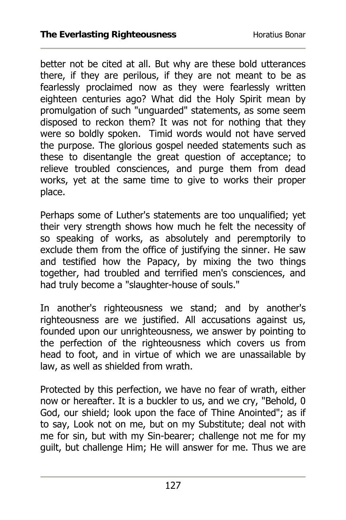better not be cited at all. But why are these bold utterances there, if they are perilous, if they are not meant to be as fearlessly proclaimed now as they were fearlessly written eighteen centuries ago? What did the Holy Spirit mean by promulgation of such "unguarded" statements, as some seem disposed to reckon them? It was not for nothing that they were so boldly spoken. Timid words would not have served the purpose. The glorious gospel needed statements such as these to disentangle the great question of acceptance; to relieve troubled consciences, and purge them from dead works, yet at the same time to give to works their proper place.

Perhaps some of Luther's statements are too unqualified; yet their very strength shows how much he felt the necessity of so speaking of works, as absolutely and peremptorily to exclude them from the office of justifying the sinner. He saw and testified how the Papacy, by mixing the two things together, had troubled and terrified men's consciences, and had truly become a "slaughter-house of souls."

In another's righteousness we stand; and by another's righteousness are we justified. All accusations against us, founded upon our unrighteousness, we answer by pointing to the perfection of the righteousness which covers us from head to foot, and in virtue of which we are unassailable by law, as well as shielded from wrath.

Protected by this perfection, we have no fear of wrath, either now or hereafter. It is a buckler to us, and we cry, "Behold, 0 God, our shield; look upon the face of Thine Anointed"; as if to say, Look not on me, but on my Substitute; deal not with me for sin, but with my Sin-bearer; challenge not me for my guilt, but challenge Him; He will answer for me. Thus we are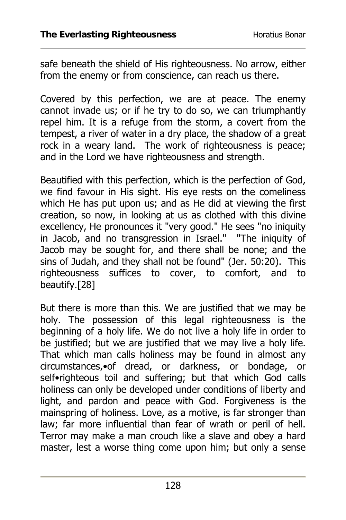safe beneath the shield of His righteousness. No arrow, either from the enemy or from conscience, can reach us there.

Covered by this perfection, we are at peace. The enemy cannot invade us; or if he try to do so, we can triumphantly repel him. It is a refuge from the storm, a covert from the tempest, a river of water in a dry place, the shadow of a great rock in a weary land. The work of righteousness is peace; and in the Lord we have righteousness and strength.

Beautified with this perfection, which is the perfection of God, we find favour in His sight. His eye rests on the comeliness which He has put upon us; and as He did at viewing the first creation, so now, in looking at us as clothed with this divine excellency, He pronounces it "very good." He sees "no iniquity in Jacob, and no transgression in Israel." "The iniquity of Jacob may be sought for, and there shall be none; and the sins of Judah, and they shall not be found" (Jer. 50:20). This righteousness suffices to cover, to comfort, and to beautify.[28]

But there is more than this. We are justified that we may be holy. The possession of this legal righteousness is the beginning of a holy life. We do not live a holy life in order to be justified; but we are justified that we may live a holy life. That which man calls holiness may be found in almost any circumstances,•of dread, or darkness, or bondage, or self•righteous toil and suffering; but that which God calls holiness can only be developed under conditions of liberty and light, and pardon and peace with God. Forgiveness is the mainspring of holiness. Love, as a motive, is far stronger than law; far more influential than fear of wrath or peril of hell. Terror may make a man crouch like a slave and obey a hard master, lest a worse thing come upon him; but only a sense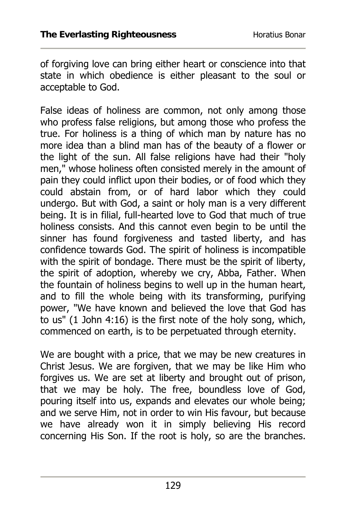of forgiving love can bring either heart or conscience into that state in which obedience is either pleasant to the soul or acceptable to God.

False ideas of holiness are common, not only among those who profess false religions, but among those who profess the true. For holiness is a thing of which man by nature has no more idea than a blind man has of the beauty of a flower or the light of the sun. All false religions have had their "holy men," whose holiness often consisted merely in the amount of pain they could inflict upon their bodies, or of food which they could abstain from, or of hard labor which they could undergo. But with God, a saint or holy man is a very different being. It is in filial, full-hearted love to God that much of true holiness consists. And this cannot even begin to be until the sinner has found forgiveness and tasted liberty, and has confidence towards God. The spirit of holiness is incompatible with the spirit of bondage. There must be the spirit of liberty, the spirit of adoption, whereby we cry, Abba, Father. When the fountain of holiness begins to well up in the human heart, and to fill the whole being with its transforming, purifying power, "We have known and believed the love that God has to us" (1 John 4:16) is the first note of the holy song, which, commenced on earth, is to be perpetuated through eternity.

We are bought with a price, that we may be new creatures in Christ Jesus. We are forgiven, that we may be like Him who forgives us. We are set at liberty and brought out of prison, that we may be holy. The free, boundless love of God, pouring itself into us, expands and elevates our whole being; and we serve Him, not in order to win His favour, but because we have already won it in simply believing His record concerning His Son. If the root is holy, so are the branches.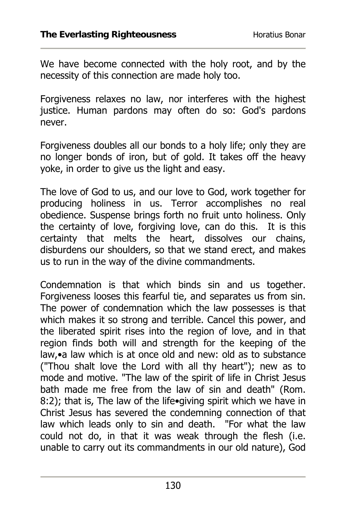We have become connected with the holy root, and by the necessity of this connection are made holy too.

Forgiveness relaxes no law, nor interferes with the highest justice. Human pardons may often do so: God's pardons never.

Forgiveness doubles all our bonds to a holy life; only they are no longer bonds of iron, but of gold. It takes off the heavy yoke, in order to give us the light and easy.

The love of God to us, and our love to God, work together for producing holiness in us. Terror accomplishes no real obedience. Suspense brings forth no fruit unto holiness. Only the certainty of love, forgiving love, can do this. It is this certainty that melts the heart, dissolves our chains, disburdens our shoulders, so that we stand erect, and makes us to run in the way of the divine commandments.

Condemnation is that which binds sin and us together. Forgiveness looses this fearful tie, and separates us from sin. The power of condemnation which the law possesses is that which makes it so strong and terrible. Cancel this power, and the liberated spirit rises into the region of love, and in that region finds both will and strength for the keeping of the law,•a law which is at once old and new: old as to substance ("Thou shalt love the Lord with all thy heart"); new as to mode and motive. "The law of the spirit of life in Christ Jesus bath made me free from the law of sin and death" (Rom. 8:2); that is, The law of the life•giving spirit which we have in Christ Jesus has severed the condemning connection of that law which leads only to sin and death. "For what the law could not do, in that it was weak through the flesh (i.e. unable to carry out its commandments in our old nature), God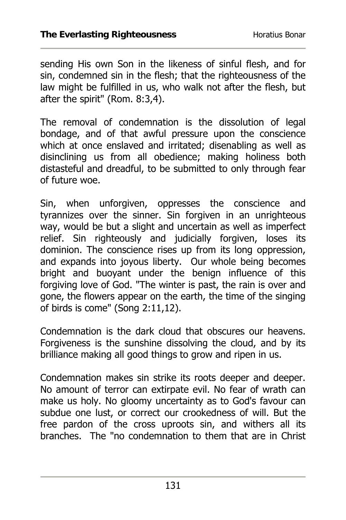sending His own Son in the likeness of sinful flesh, and for sin, condemned sin in the flesh; that the righteousness of the law might be fulfilled in us, who walk not after the flesh, but after the spirit" (Rom. 8:3,4).

The removal of condemnation is the dissolution of legal bondage, and of that awful pressure upon the conscience which at once enslaved and irritated; disenabling as well as disinclining us from all obedience; making holiness both distasteful and dreadful, to be submitted to only through fear of future woe.

Sin, when unforgiven, oppresses the conscience and tyrannizes over the sinner. Sin forgiven in an unrighteous way, would be but a slight and uncertain as well as imperfect relief. Sin righteously and judicially forgiven, loses its dominion. The conscience rises up from its long oppression, and expands into joyous liberty. Our whole being becomes bright and buoyant under the benign influence of this forgiving love of God. "The winter is past, the rain is over and gone, the flowers appear on the earth, the time of the singing of birds is come" (Song 2:11,12).

Condemnation is the dark cloud that obscures our heavens. Forgiveness is the sunshine dissolving the cloud, and by its brilliance making all good things to grow and ripen in us.

Condemnation makes sin strike its roots deeper and deeper. No amount of terror can extirpate evil. No fear of wrath can make us holy. No gloomy uncertainty as to God's favour can subdue one lust, or correct our crookedness of will. But the free pardon of the cross uproots sin, and withers all its branches. The "no condemnation to them that are in Christ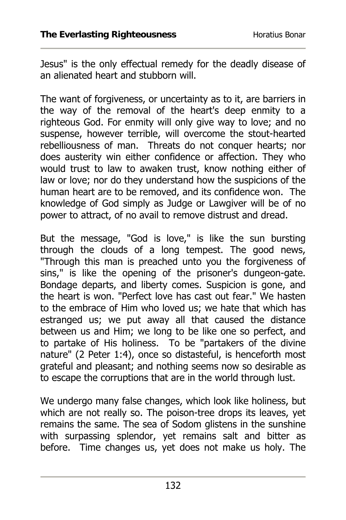Jesus" is the only effectual remedy for the deadly disease of an alienated heart and stubborn will.

The want of forgiveness, or uncertainty as to it, are barriers in the way of the removal of the heart's deep enmity to a righteous God. For enmity will only give way to love; and no suspense, however terrible, will overcome the stout-hearted rebelliousness of man. Threats do not conquer hearts; nor does austerity win either confidence or affection. They who would trust to law to awaken trust, know nothing either of law or love; nor do they understand how the suspicions of the human heart are to be removed, and its confidence won. The knowledge of God simply as Judge or Lawgiver will be of no power to attract, of no avail to remove distrust and dread.

But the message, "God is love," is like the sun bursting through the clouds of a long tempest. The good news, "Through this man is preached unto you the forgiveness of sins," is like the opening of the prisoner's dungeon-gate. Bondage departs, and liberty comes. Suspicion is gone, and the heart is won. "Perfect love has cast out fear." We hasten to the embrace of Him who loved us; we hate that which has estranged us; we put away all that caused the distance between us and Him; we long to be like one so perfect, and to partake of His holiness. To be "partakers of the divine nature" (2 Peter 1:4), once so distasteful, is henceforth most grateful and pleasant; and nothing seems now so desirable as to escape the corruptions that are in the world through lust.

We undergo many false changes, which look like holiness, but which are not really so. The poison-tree drops its leaves, yet remains the same. The sea of Sodom glistens in the sunshine with surpassing splendor, yet remains salt and bitter as before. Time changes us, yet does not make us holy. The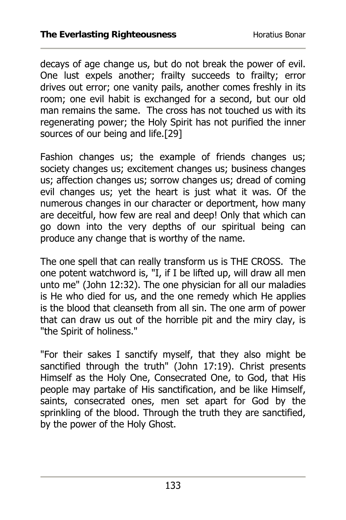decays of age change us, but do not break the power of evil. One lust expels another; frailty succeeds to frailty; error drives out error; one vanity pails, another comes freshly in its room; one evil habit is exchanged for a second, but our old man remains the same. The cross has not touched us with its regenerating power; the Holy Spirit has not purified the inner sources of our being and life.[29]

Fashion changes us; the example of friends changes us; society changes us; excitement changes us; business changes us; affection changes us; sorrow changes us; dread of coming evil changes us; yet the heart is just what it was. Of the numerous changes in our character or deportment, how many are deceitful, how few are real and deep! Only that which can go down into the very depths of our spiritual being can produce any change that is worthy of the name.

The one spell that can really transform us is THE CROSS. The one potent watchword is, "I, if I be lifted up, will draw all men unto me" (John 12:32). The one physician for all our maladies is He who died for us, and the one remedy which He applies is the blood that cleanseth from all sin. The one arm of power that can draw us out of the horrible pit and the miry clay, is "the Spirit of holiness."

"For their sakes I sanctify myself, that they also might be sanctified through the truth" (John 17:19). Christ presents Himself as the Holy One, Consecrated One, to God, that His people may partake of His sanctification, and be like Himself, saints, consecrated ones, men set apart for God by the sprinkling of the blood. Through the truth they are sanctified, by the power of the Holy Ghost.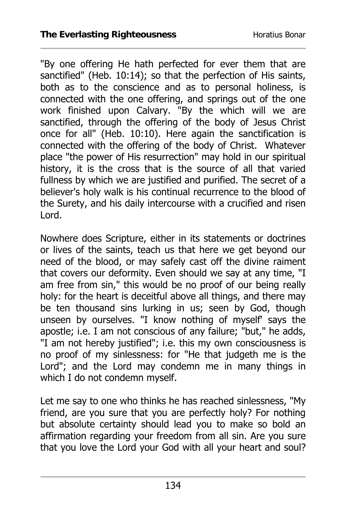"By one offering He hath perfected for ever them that are sanctified" (Heb. 10:14); so that the perfection of His saints, both as to the conscience and as to personal holiness, is connected with the one offering, and springs out of the one work finished upon Calvary. "By the which will we are sanctified, through the offering of the body of Jesus Christ once for all" (Heb. 10:10). Here again the sanctification is connected with the offering of the body of Christ. Whatever place "the power of His resurrection" may hold in our spiritual history, it is the cross that is the source of all that varied fullness by which we are justified and purified. The secret of a believer's holy walk is his continual recurrence to the blood of the Surety, and his daily intercourse with a crucified and risen Lord.

Nowhere does Scripture, either in its statements or doctrines or lives of the saints, teach us that here we get beyond our need of the blood, or may safely cast off the divine raiment that covers our deformity. Even should we say at any time, "I am free from sin," this would be no proof of our being really holy: for the heart is deceitful above all things, and there may be ten thousand sins lurking in us; seen by God, though unseen by ourselves. "I know nothing of myself' says the apostle; i.e. I am not conscious of any failure; "but," he adds, "I am not hereby justified"; i.e. this my own consciousness is no proof of my sinlessness: for "He that judgeth me is the Lord"; and the Lord may condemn me in many things in which I do not condemn myself.

Let me say to one who thinks he has reached sinlessness, "My friend, are you sure that you are perfectly holy? For nothing but absolute certainty should lead you to make so bold an affirmation regarding your freedom from all sin. Are you sure that you love the Lord your God with all your heart and soul?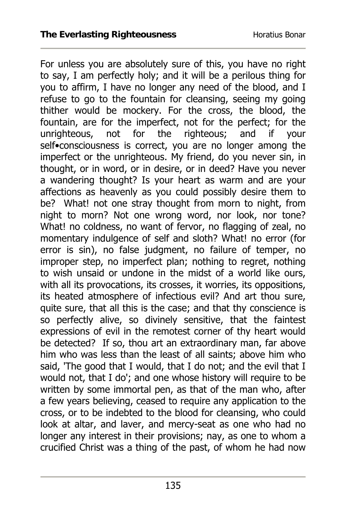For unless you are absolutely sure of this, you have no right to say, I am perfectly holy; and it will be a perilous thing for you to affirm, I have no longer any need of the blood, and I refuse to go to the fountain for cleansing, seeing my going thither would be mockery. For the cross, the blood, the fountain, are for the imperfect, not for the perfect; for the unrighteous, not for the righteous; and if your self•consciousness is correct, you are no longer among the imperfect or the unrighteous. My friend, do you never sin, in thought, or in word, or in desire, or in deed? Have you never a wandering thought? Is your heart as warm and are your affections as heavenly as you could possibly desire them to be? What! not one stray thought from morn to night, from night to morn? Not one wrong word, nor look, nor tone? What! no coldness, no want of fervor, no flagging of zeal, no momentary indulgence of self and sloth? What! no error (for error is sin), no false judgment, no failure of temper, no improper step, no imperfect plan; nothing to regret, nothing to wish unsaid or undone in the midst of a world like ours, with all its provocations, its crosses, it worries, its oppositions, its heated atmosphere of infectious evil? And art thou sure, quite sure, that all this is the case; and that thy conscience is so perfectly alive, so divinely sensitive, that the faintest expressions of evil in the remotest corner of thy heart would be detected? If so, thou art an extraordinary man, far above him who was less than the least of all saints; above him who said, 'The good that I would, that I do not; and the evil that I would not, that I do'; and one whose history will require to be written by some immortal pen, as that of the man who, after a few years believing, ceased to require any application to the cross, or to be indebted to the blood for cleansing, who could look at altar, and laver, and mercy-seat as one who had no longer any interest in their provisions; nay, as one to whom a crucified Christ was a thing of the past, of whom he had now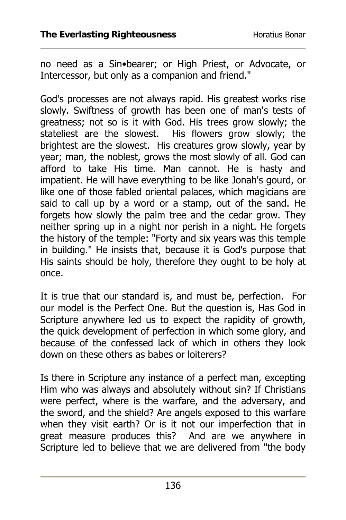no need as a Sin•bearer; or High Priest, or Advocate, or Intercessor, but only as a companion and friend."

God's processes are not always rapid. His greatest works rise slowly. Swiftness of growth has been one of man's tests of greatness; not so is it with God. His trees grow slowly; the stateliest are the slowest. His flowers grow slowly; the brightest are the slowest. His creatures grow slowly, year by year; man, the noblest, grows the most slowly of all. God can afford to take His time. Man cannot. He is hasty and impatient. He will have everything to be like Jonah's gourd, or like one of those fabled oriental palaces, which magicians are said to call up by a word or a stamp, out of the sand. He forgets how slowly the palm tree and the cedar grow. They neither spring up in a night nor perish in a night. He forgets the history of the temple: "Forty and six years was this temple in building." He insists that, because it is God's purpose that His saints should be holy, therefore they ought to be holy at once.

It is true that our standard is, and must be, perfection. For our model is the Perfect One. But the question is, Has God in Scripture anywhere led us to expect the rapidity of growth, the quick development of perfection in which some glory, and because of the confessed lack of which in others they look down on these others as babes or loiterers?

Is there in Scripture any instance of a perfect man, excepting Him who was always and absolutely without sin? If Christians were perfect, where is the warfare, and the adversary, and the sword, and the shield? Are angels exposed to this warfare when they visit earth? Or is it not our imperfection that in great measure produces this? And are we anywhere in Scripture led to believe that we are delivered from "the body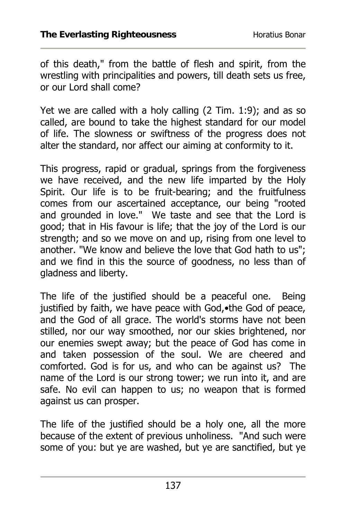of this death," from the battle of flesh and spirit, from the wrestling with principalities and powers, till death sets us free, or our Lord shall come?

Yet we are called with a holy calling (2 Tim. 1:9); and as so called, are bound to take the highest standard for our model of life. The slowness or swiftness of the progress does not alter the standard, nor affect our aiming at conformity to it.

This progress, rapid or gradual, springs from the forgiveness we have received, and the new life imparted by the Holy Spirit. Our life is to be fruit-bearing; and the fruitfulness comes from our ascertained acceptance, our being "rooted and grounded in love." We taste and see that the Lord is good; that in His favour is life; that the joy of the Lord is our strength; and so we move on and up, rising from one level to another. "We know and believe the love that God hath to us"; and we find in this the source of goodness, no less than of gladness and liberty.

The life of the justified should be a peaceful one. Being justified by faith, we have peace with God,•the God of peace, and the God of all grace. The world's storms have not been stilled, nor our way smoothed, nor our skies brightened, nor our enemies swept away; but the peace of God has come in and taken possession of the soul. We are cheered and comforted. God is for us, and who can be against us? The name of the Lord is our strong tower; we run into it, and are safe. No evil can happen to us; no weapon that is formed against us can prosper.

The life of the justified should be a holy one, all the more because of the extent of previous unholiness. "And such were some of you: but ye are washed, but ye are sanctified, but ye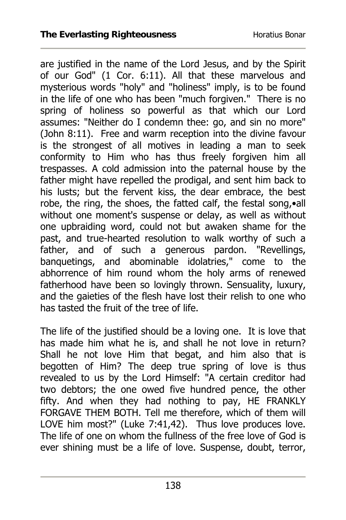are justified in the name of the Lord Jesus, and by the Spirit of our God" (1 Cor. 6:11). All that these marvelous and mysterious words "holy" and "holiness" imply, is to be found in the life of one who has been "much forgiven." There is no spring of holiness so powerful as that which our Lord assumes: "Neither do I condemn thee: go, and sin no more" (John 8:11). Free and warm reception into the divine favour is the strongest of all motives in leading a man to seek conformity to Him who has thus freely forgiven him all trespasses. A cold admission into the paternal house by the father might have repelled the prodigal, and sent him back to his lusts; but the fervent kiss, the dear embrace, the best robe, the ring, the shoes, the fatted calf, the festal song,•all without one moment's suspense or delay, as well as without one upbraiding word, could not but awaken shame for the past, and true-hearted resolution to walk worthy of such a father, and of such a generous pardon. "Revellings, banquetings, and abominable idolatries," come to the abhorrence of him round whom the holy arms of renewed fatherhood have been so lovingly thrown. Sensuality, luxury, and the gaieties of the flesh have lost their relish to one who has tasted the fruit of the tree of life.

The life of the justified should be a loving one. It is love that has made him what he is, and shall he not love in return? Shall he not love Him that begat, and him also that is begotten of Him? The deep true spring of love is thus revealed to us by the Lord Himself: "A certain creditor had two debtors; the one owed five hundred pence, the other fifty. And when they had nothing to pay, HE FRANKLY FORGAVE THEM BOTH. Tell me therefore, which of them will LOVE him most?" (Luke 7:41,42). Thus love produces love. The life of one on whom the fullness of the free love of God is ever shining must be a life of love. Suspense, doubt, terror,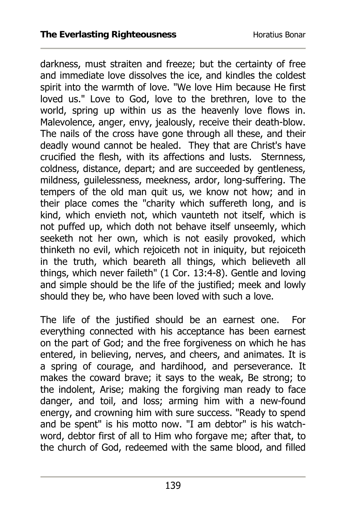darkness, must straiten and freeze; but the certainty of free and immediate love dissolves the ice, and kindles the coldest spirit into the warmth of love. "We love Him because He first loved us." Love to God, love to the brethren, love to the world, spring up within us as the heavenly love flows in. Malevolence, anger, envy, jealously, receive their death-blow. The nails of the cross have gone through all these, and their deadly wound cannot be healed. They that are Christ's have crucified the flesh, with its affections and lusts. Sternness, coldness, distance, depart; and are succeeded by gentleness, mildness, guilelessness, meekness, ardor, long-suffering. The tempers of the old man quit us, we know not how; and in their place comes the "charity which suffereth long, and is kind, which envieth not, which vaunteth not itself, which is not puffed up, which doth not behave itself unseemly, which seeketh not her own, which is not easily provoked, which thinketh no evil, which rejoiceth not in iniquity, but rejoiceth in the truth, which beareth all things, which believeth all things, which never faileth" (1 Cor. 13:4-8). Gentle and loving and simple should be the life of the justified; meek and lowly should they be, who have been loved with such a love.

The life of the justified should be an earnest one. For everything connected with his acceptance has been earnest on the part of God; and the free forgiveness on which he has entered, in believing, nerves, and cheers, and animates. It is a spring of courage, and hardihood, and perseverance. It makes the coward brave; it says to the weak, Be strong; to the indolent, Arise; making the forgiving man ready to face danger, and toil, and loss; arming him with a new-found energy, and crowning him with sure success. "Ready to spend and be spent" is his motto now. "I am debtor" is his watchword, debtor first of all to Him who forgave me; after that, to the church of God, redeemed with the same blood, and filled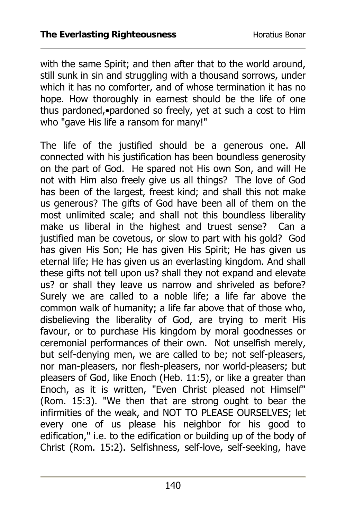with the same Spirit; and then after that to the world around, still sunk in sin and struggling with a thousand sorrows, under which it has no comforter, and of whose termination it has no hope. How thoroughly in earnest should be the life of one thus pardoned,•pardoned so freely, yet at such a cost to Him who "gave His life a ransom for many!"

The life of the justified should be a generous one. All connected with his justification has been boundless generosity on the part of God. He spared not His own Son, and will He not with Him also freely give us all things? The love of God has been of the largest, freest kind; and shall this not make us generous? The gifts of God have been all of them on the most unlimited scale; and shall not this boundless liberality make us liberal in the highest and truest sense? Can a justified man be covetous, or slow to part with his gold? God has given His Son; He has given His Spirit; He has given us eternal life; He has given us an everlasting kingdom. And shall these gifts not tell upon us? shall they not expand and elevate us? or shall they leave us narrow and shriveled as before? Surely we are called to a noble life; a life far above the common walk of humanity; a life far above that of those who, disbelieving the liberality of God, are trying to merit His favour, or to purchase His kingdom by moral goodnesses or ceremonial performances of their own. Not unselfish merely, but self-denying men, we are called to be; not self-pleasers, nor man-pleasers, nor flesh-pleasers, nor world-pleasers; but pleasers of God, like Enoch (Heb. 11:5), or like a greater than Enoch, as it is written, "Even Christ pleased not Himself" (Rom. 15:3). "We then that are strong ought to bear the infirmities of the weak, and NOT TO PLEASE OURSELVES; let every one of us please his neighbor for his good to edification," i.e. to the edification or building up of the body of Christ (Rom. 15:2). Selfishness, self-love, self-seeking, have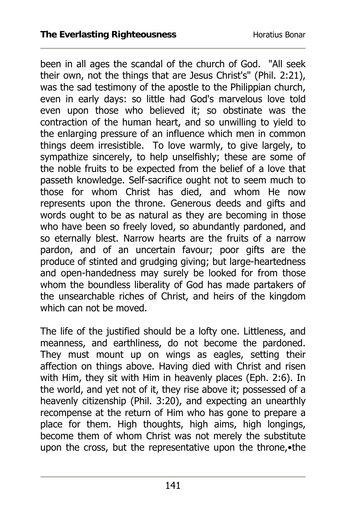been in all ages the scandal of the church of God. "All seek their own, not the things that are Jesus Christ's" (Phil. 2:21), was the sad testimony of the apostle to the Philippian church, even in early days: so little had God's marvelous love told even upon those who believed it; so obstinate was the contraction of the human heart, and so unwilling to yield to the enlarging pressure of an influence which men in common things deem irresistible. To love warmly, to give largely, to sympathize sincerely, to help unselfishly; these are some of the noble fruits to be expected from the belief of a love that passeth knowledge. Self-sacrifice ought not to seem much to those for whom Christ has died, and whom He now represents upon the throne. Generous deeds and gifts and words ought to be as natural as they are becoming in those who have been so freely loved, so abundantly pardoned, and so eternally blest. Narrow hearts are the fruits of a narrow pardon, and of an uncertain favour; poor gifts are the produce of stinted and grudging giving; but large-heartedness and open-handedness may surely be looked for from those whom the boundless liberality of God has made partakers of the unsearchable riches of Christ, and heirs of the kingdom which can not be moved.

The life of the justified should be a lofty one. Littleness, and meanness, and earthliness, do not become the pardoned. They must mount up on wings as eagles, setting their affection on things above. Having died with Christ and risen with Him, they sit with Him in heavenly places (Eph. 2:6). In the world, and yet not of it, they rise above it; possessed of a heavenly citizenship (Phil. 3:20), and expecting an unearthly recompense at the return of Him who has gone to prepare a place for them. High thoughts, high aims, high longings, become them of whom Christ was not merely the substitute upon the cross, but the representative upon the throne,•the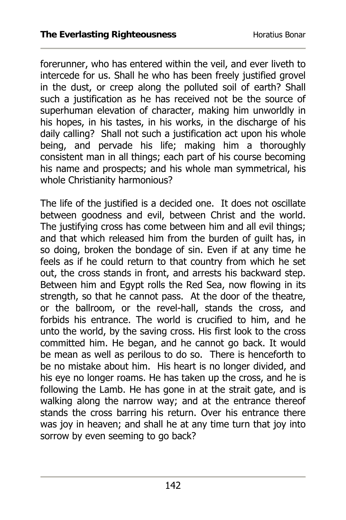forerunner, who has entered within the veil, and ever liveth to intercede for us. Shall he who has been freely justified grovel in the dust, or creep along the polluted soil of earth? Shall such a justification as he has received not be the source of superhuman elevation of character, making him unworldly in his hopes, in his tastes, in his works, in the discharge of his daily calling? Shall not such a justification act upon his whole being, and pervade his life; making him a thoroughly consistent man in all things; each part of his course becoming his name and prospects; and his whole man symmetrical, his whole Christianity harmonious?

The life of the justified is a decided one. It does not oscillate between goodness and evil, between Christ and the world. The justifying cross has come between him and all evil things; and that which released him from the burden of guilt has, in so doing, broken the bondage of sin. Even if at any time he feels as if he could return to that country from which he set out, the cross stands in front, and arrests his backward step. Between him and Egypt rolls the Red Sea, now flowing in its strength, so that he cannot pass. At the door of the theatre, or the ballroom, or the revel-hall, stands the cross, and forbids his entrance. The world is crucified to him, and he unto the world, by the saving cross. His first look to the cross committed him. He began, and he cannot go back. It would be mean as well as perilous to do so. There is henceforth to be no mistake about him. His heart is no longer divided, and his eye no longer roams. He has taken up the cross, and he is following the Lamb. He has gone in at the strait gate, and is walking along the narrow way; and at the entrance thereof stands the cross barring his return. Over his entrance there was joy in heaven; and shall he at any time turn that joy into sorrow by even seeming to go back?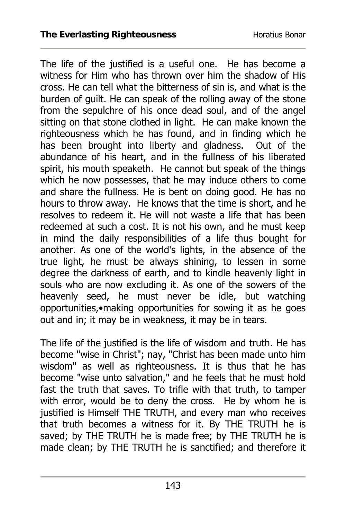The life of the justified is a useful one. He has become a witness for Him who has thrown over him the shadow of His cross. He can tell what the bitterness of sin is, and what is the burden of guilt. He can speak of the rolling away of the stone from the sepulchre of his once dead soul, and of the angel sitting on that stone clothed in light. He can make known the righteousness which he has found, and in finding which he has been brought into liberty and gladness. Out of the abundance of his heart, and in the fullness of his liberated spirit, his mouth speaketh. He cannot but speak of the things which he now possesses, that he may induce others to come and share the fullness. He is bent on doing good. He has no hours to throw away. He knows that the time is short, and he resolves to redeem it. He will not waste a life that has been redeemed at such a cost. It is not his own, and he must keep in mind the daily responsibilities of a life thus bought for another. As one of the world's lights, in the absence of the true light, he must be always shining, to lessen in some degree the darkness of earth, and to kindle heavenly light in souls who are now excluding it. As one of the sowers of the heavenly seed, he must never be idle, but watching opportunities,•making opportunities for sowing it as he goes out and in; it may be in weakness, it may be in tears.

The life of the justified is the life of wisdom and truth. He has become "wise in Christ"; nay, "Christ has been made unto him wisdom" as well as righteousness. It is thus that he has become "wise unto salvation," and he feels that he must hold fast the truth that saves. To trifle with that truth, to tamper with error, would be to deny the cross. He by whom he is justified is Himself THE TRUTH, and every man who receives that truth becomes a witness for it. By THE TRUTH he is saved; by THE TRUTH he is made free; by THE TRUTH he is made clean; by THE TRUTH he is sanctified; and therefore it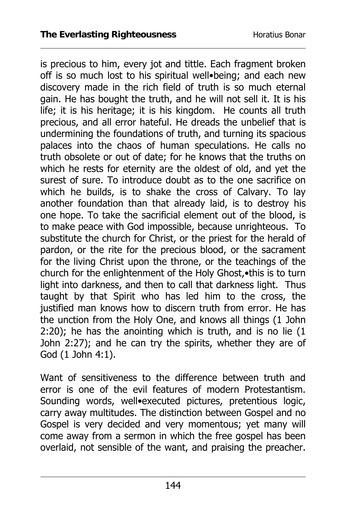is precious to him, every jot and tittle. Each fragment broken off is so much lost to his spiritual well•being; and each new discovery made in the rich field of truth is so much eternal gain. He has bought the truth, and he will not sell it. It is his life; it is his heritage; it is his kingdom. He counts all truth precious, and all error hateful. He dreads the unbelief that is undermining the foundations of truth, and turning its spacious palaces into the chaos of human speculations. He calls no truth obsolete or out of date; for he knows that the truths on which he rests for eternity are the oldest of old, and yet the surest of sure. To introduce doubt as to the one sacrifice on which he builds, is to shake the cross of Calvary. To lay another foundation than that already laid, is to destroy his one hope. To take the sacrificial element out of the blood, is to make peace with God impossible, because unrighteous. To substitute the church for Christ, or the priest for the herald of pardon, or the rite for the precious blood, or the sacrament for the living Christ upon the throne, or the teachings of the church for the enlightenment of the Holy Ghost,•this is to turn light into darkness, and then to call that darkness light. Thus taught by that Spirit who has led him to the cross, the justified man knows how to discern truth from error. He has the unction from the Holy One, and knows all things (1 John 2:20); he has the anointing which is truth, and is no lie (1 John 2:27); and he can try the spirits, whether they are of God (1 John 4:1).

Want of sensitiveness to the difference between truth and error is one of the evil features of modern Protestantism. Sounding words, well•executed pictures, pretentious logic, carry away multitudes. The distinction between Gospel and no Gospel is very decided and very momentous; yet many will come away from a sermon in which the free gospel has been overlaid, not sensible of the want, and praising the preacher.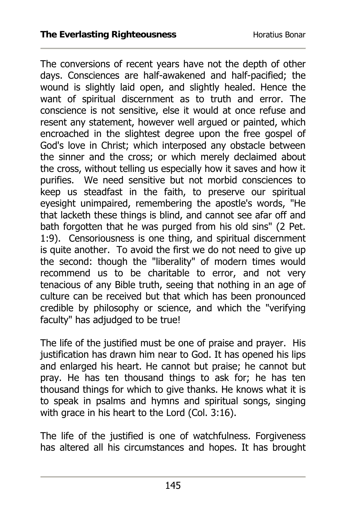The conversions of recent years have not the depth of other days. Consciences are half-awakened and half-pacified; the wound is slightly laid open, and slightly healed. Hence the want of spiritual discernment as to truth and error. The conscience is not sensitive, else it would at once refuse and resent any statement, however well argued or painted, which encroached in the slightest degree upon the free gospel of God's love in Christ; which interposed any obstacle between the sinner and the cross; or which merely declaimed about the cross, without telling us especially how it saves and how it purifies. We need sensitive but not morbid consciences to keep us steadfast in the faith, to preserve our spiritual eyesight unimpaired, remembering the apostle's words, "He that lacketh these things is blind, and cannot see afar off and bath forgotten that he was purged from his old sins" (2 Pet. 1:9). Censoriousness is one thing, and spiritual discernment is quite another. To avoid the first we do not need to give up the second: though the "liberality" of modern times would recommend us to be charitable to error, and not very tenacious of any Bible truth, seeing that nothing in an age of culture can be received but that which has been pronounced credible by philosophy or science, and which the "verifying faculty" has adjudged to be true!

The life of the justified must be one of praise and prayer. His justification has drawn him near to God. It has opened his lips and enlarged his heart. He cannot but praise; he cannot but pray. He has ten thousand things to ask for; he has ten thousand things for which to give thanks. He knows what it is to speak in psalms and hymns and spiritual songs, singing with grace in his heart to the Lord (Col. 3:16).

The life of the justified is one of watchfulness. Forgiveness has altered all his circumstances and hopes. It has brought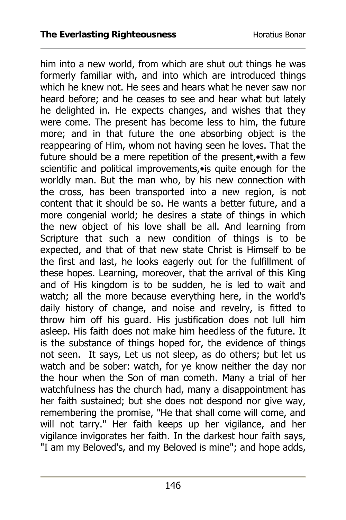him into a new world, from which are shut out things he was formerly familiar with, and into which are introduced things which he knew not. He sees and hears what he never saw nor heard before; and he ceases to see and hear what but lately he delighted in. He expects changes, and wishes that they were come. The present has become less to him, the future more; and in that future the one absorbing object is the reappearing of Him, whom not having seen he loves. That the future should be a mere repetition of the present,•with a few scientific and political improvements, is quite enough for the worldly man. But the man who, by his new connection with the cross, has been transported into a new region, is not content that it should be so. He wants a better future, and a more congenial world; he desires a state of things in which the new object of his love shall be all. And learning from Scripture that such a new condition of things is to be expected, and that of that new state Christ is Himself to be the first and last, he looks eagerly out for the fulfillment of these hopes. Learning, moreover, that the arrival of this King and of His kingdom is to be sudden, he is led to wait and watch; all the more because everything here, in the world's daily history of change, and noise and revelry, is fitted to throw him off his guard. His justification does not lull him asleep. His faith does not make him heedless of the future. It is the substance of things hoped for, the evidence of things not seen. It says, Let us not sleep, as do others; but let us watch and be sober: watch, for ye know neither the day nor the hour when the Son of man cometh. Many a trial of her watchfulness has the church had, many a disappointment has her faith sustained; but she does not despond nor give way, remembering the promise, "He that shall come will come, and will not tarry." Her faith keeps up her vigilance, and her vigilance invigorates her faith. In the darkest hour faith says, "I am my Beloved's, and my Beloved is mine"; and hope adds,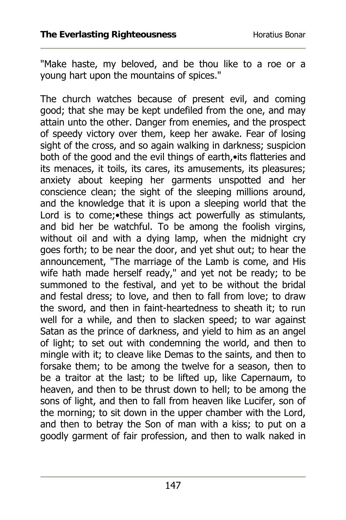"Make haste, my beloved, and be thou like to a roe or a young hart upon the mountains of spices."

The church watches because of present evil, and coming good; that she may be kept undefiled from the one, and may attain unto the other. Danger from enemies, and the prospect of speedy victory over them, keep her awake. Fear of losing sight of the cross, and so again walking in darkness; suspicion both of the good and the evil things of earth,•its flatteries and its menaces, it toils, its cares, its amusements, its pleasures; anxiety about keeping her garments unspotted and her conscience clean; the sight of the sleeping millions around, and the knowledge that it is upon a sleeping world that the Lord is to come;•these things act powerfully as stimulants, and bid her be watchful. To be among the foolish virgins, without oil and with a dying lamp, when the midnight cry goes forth; to be near the door, and yet shut out; to hear the announcement, "The marriage of the Lamb is come, and His wife hath made herself ready," and yet not be ready; to be summoned to the festival, and yet to be without the bridal and festal dress; to love, and then to fall from love; to draw the sword, and then in faint-heartedness to sheath it; to run well for a while, and then to slacken speed; to war against Satan as the prince of darkness, and yield to him as an angel of light; to set out with condemning the world, and then to mingle with it; to cleave like Demas to the saints, and then to forsake them; to be among the twelve for a season, then to be a traitor at the last; to be lifted up, like Capernaum, to heaven, and then to be thrust down to hell; to be among the sons of light, and then to fall from heaven like Lucifer, son of the morning; to sit down in the upper chamber with the Lord, and then to betray the Son of man with a kiss; to put on a goodly garment of fair profession, and then to walk naked in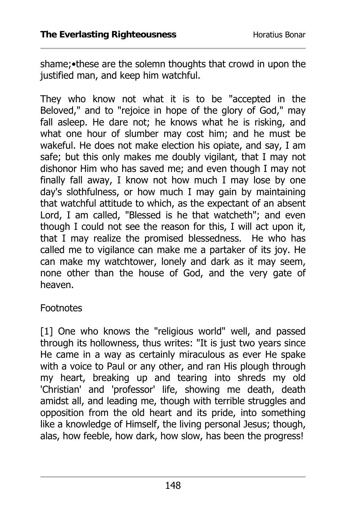shame;•these are the solemn thoughts that crowd in upon the justified man, and keep him watchful.

They who know not what it is to be "accepted in the Beloved," and to "rejoice in hope of the glory of God," may fall asleep. He dare not; he knows what he is risking, and what one hour of slumber may cost him; and he must be wakeful. He does not make election his opiate, and say, I am safe; but this only makes me doubly vigilant, that I may not dishonor Him who has saved me; and even though I may not finally fall away, I know not how much I may lose by one day's slothfulness, or how much I may gain by maintaining that watchful attitude to which, as the expectant of an absent Lord, I am called, "Blessed is he that watcheth"; and even though I could not see the reason for this, I will act upon it, that I may realize the promised blessedness. He who has called me to vigilance can make me a partaker of its joy. He can make my watchtower, lonely and dark as it may seem, none other than the house of God, and the very gate of heaven.

## Footnotes

[1] One who knows the "religious world" well, and passed through its hollowness, thus writes: "It is just two years since He came in a way as certainly miraculous as ever He spake with a voice to Paul or any other, and ran His plough through my heart, breaking up and tearing into shreds my old 'Christian' and 'professor' life, showing me death, death amidst all, and leading me, though with terrible struggles and opposition from the old heart and its pride, into something like a knowledge of Himself, the living personal Jesus; though, alas, how feeble, how dark, how slow, has been the progress!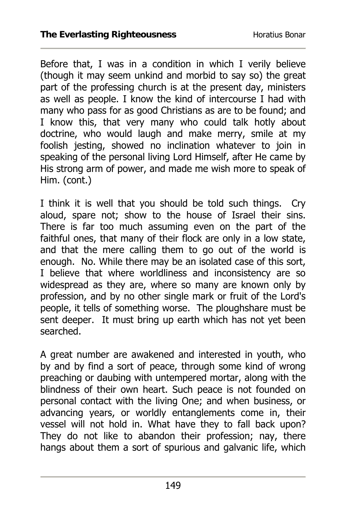Before that, I was in a condition in which I verily believe (though it may seem unkind and morbid to say so) the great part of the professing church is at the present day, ministers as well as people. I know the kind of intercourse I had with many who pass for as good Christians as are to be found; and I know this, that very many who could talk hotly about doctrine, who would laugh and make merry, smile at my foolish jesting, showed no inclination whatever to join in speaking of the personal living Lord Himself, after He came by His strong arm of power, and made me wish more to speak of Him. (cont.)

I think it is well that you should be told such things. Cry aloud, spare not; show to the house of Israel their sins. There is far too much assuming even on the part of the faithful ones, that many of their flock are only in a low state, and that the mere calling them to go out of the world is enough. No. While there may be an isolated case of this sort, I believe that where worldliness and inconsistency are so widespread as they are, where so many are known only by profession, and by no other single mark or fruit of the Lord's people, it tells of something worse. The ploughshare must be sent deeper. It must bring up earth which has not yet been searched.

A great number are awakened and interested in youth, who by and by find a sort of peace, through some kind of wrong preaching or daubing with untempered mortar, along with the blindness of their own heart. Such peace is not founded on personal contact with the living One; and when business, or advancing years, or worldly entanglements come in, their vessel will not hold in. What have they to fall back upon? They do not like to abandon their profession; nay, there hangs about them a sort of spurious and galvanic life, which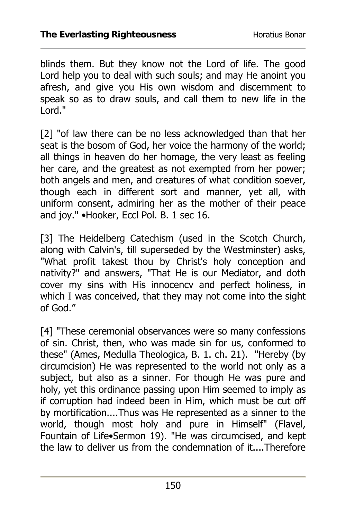blinds them. But they know not the Lord of life. The good Lord help you to deal with such souls; and may He anoint you afresh, and give you His own wisdom and discernment to speak so as to draw souls, and call them to new life in the Lord."

[2] "of law there can be no less acknowledged than that her seat is the bosom of God, her voice the harmony of the world; all things in heaven do her homage, the very least as feeling her care, and the greatest as not exempted from her power; both angels and men, and creatures of what condition soever, though each in different sort and manner, yet all, with uniform consent, admiring her as the mother of their peace and joy." •Hooker, Eccl Pol. B. 1 sec 16.

[3] The Heidelberg Catechism (used in the Scotch Church, along with Calvin's, till superseded by the Westminster) asks, "What profit takest thou by Christ's holy conception and nativity?" and answers, "That He is our Mediator, and doth cover my sins with His innocencv and perfect holiness, in which I was conceived, that they may not come into the sight of God."

[4] "These ceremonial observances were so many confessions of sin. Christ, then, who was made sin for us, conformed to these" (Ames, Medulla Theologica, B. 1. ch. 21). "Hereby (by circumcision) He was represented to the world not only as a subject, but also as a sinner. For though He was pure and holy, yet this ordinance passing upon Him seemed to imply as if corruption had indeed been in Him, which must be cut off by mortification....Thus was He represented as a sinner to the world, though most holy and pure in Himself" (Flavel, Fountain of Life•Sermon 19). "He was circumcised, and kept the law to deliver us from the condemnation of it....Therefore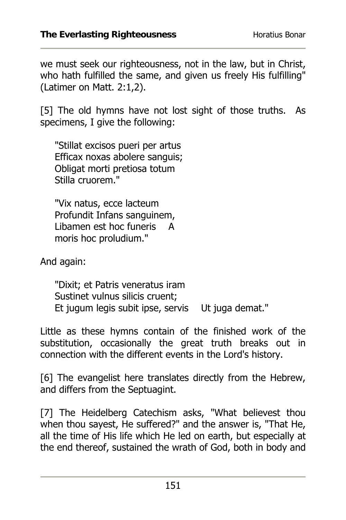we must seek our righteousness, not in the law, but in Christ, who hath fulfilled the same, and given us freely His fulfilling" (Latimer on Matt. 2:1,2).

[5] The old hymns have not lost sight of those truths. As specimens, I give the following:

"Stillat excisos pueri per artus Efficax noxas abolere sanguis; Obligat morti pretiosa totum Stilla cruorem."

"Vix natus, ecce lacteum Profundit Infans sanguinem, Libamen est hoc funeris A moris hoc proludium."

And again:

"Dixit; et Patris veneratus iram Sustinet vulnus silicis cruent; Et jugum legis subit ipse, servis Ut juga demat."

Little as these hymns contain of the finished work of the substitution, occasionally the great truth breaks out in connection with the different events in the Lord's history.

[6] The evangelist here translates directly from the Hebrew, and differs from the Septuagint.

[7] The Heidelberg Catechism asks, "What believest thou when thou sayest, He suffered?" and the answer is, "That He, all the time of His life which He led on earth, but especially at the end thereof, sustained the wrath of God, both in body and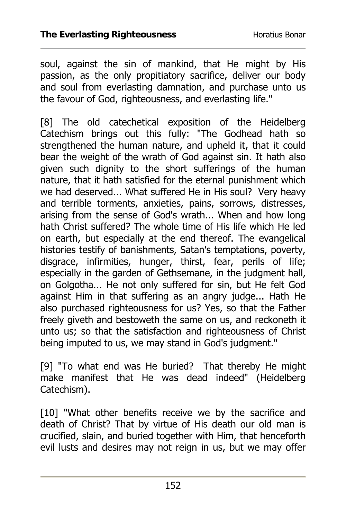soul, against the sin of mankind, that He might by His passion, as the only propitiatory sacrifice, deliver our body and soul from everlasting damnation, and purchase unto us the favour of God, righteousness, and everlasting life."

[8] The old catechetical exposition of the Heidelberg Catechism brings out this fully: "The Godhead hath so strengthened the human nature, and upheld it, that it could bear the weight of the wrath of God against sin. It hath also given such dignity to the short sufferings of the human nature, that it hath satisfied for the eternal punishment which we had deserved... What suffered He in His soul? Very heavy and terrible torments, anxieties, pains, sorrows, distresses, arising from the sense of God's wrath... When and how long hath Christ suffered? The whole time of His life which He led on earth, but especially at the end thereof. The evangelical histories testify of banishments, Satan's temptations, poverty, disgrace, infirmities, hunger, thirst, fear, perils of life; especially in the garden of Gethsemane, in the judgment hall, on Golgotha... He not only suffered for sin, but He felt God against Him in that suffering as an angry judge... Hath He also purchased righteousness for us? Yes, so that the Father freely giveth and bestoweth the same on us, and reckoneth it unto us; so that the satisfaction and righteousness of Christ being imputed to us, we may stand in God's judgment."

[9] "To what end was He buried? That thereby He might make manifest that He was dead indeed" (Heidelberg Catechism).

[10] "What other benefits receive we by the sacrifice and death of Christ? That by virtue of His death our old man is crucified, slain, and buried together with Him, that henceforth evil lusts and desires may not reign in us, but we may offer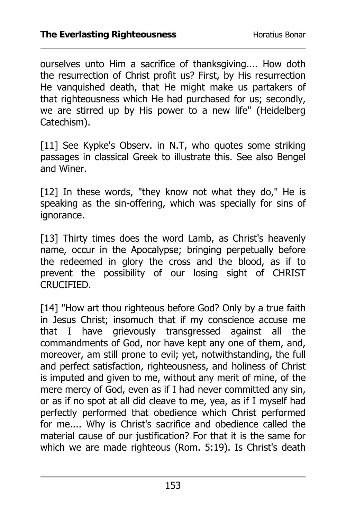ourselves unto Him a sacrifice of thanksgiving.... How doth the resurrection of Christ profit us? First, by His resurrection He vanquished death, that He might make us partakers of that righteousness which He had purchased for us; secondly, we are stirred up by His power to a new life" (Heidelberg Catechism).

[11] See Kypke's Observ. in N.T, who quotes some striking passages in classical Greek to illustrate this. See also Bengel and Winer.

[12] In these words, "they know not what they do," He is speaking as the sin-offering, which was specially for sins of ignorance.

[13] Thirty times does the word Lamb, as Christ's heavenly name, occur in the Apocalypse; bringing perpetually before the redeemed in glory the cross and the blood, as if to prevent the possibility of our losing sight of CHRIST CRUCIFIED.

[14] "How art thou righteous before God? Only by a true faith in Jesus Christ; insomuch that if my conscience accuse me that I have grievously transgressed against all the commandments of God, nor have kept any one of them, and, moreover, am still prone to evil; yet, notwithstanding, the full and perfect satisfaction, righteousness, and holiness of Christ is imputed and given to me, without any merit of mine, of the mere mercy of God, even as if I had never committed any sin, or as if no spot at all did cleave to me, yea, as if I myself had perfectly performed that obedience which Christ performed for me.... Why is Christ's sacrifice and obedience called the material cause of our justification? For that it is the same for which we are made righteous (Rom. 5:19). Is Christ's death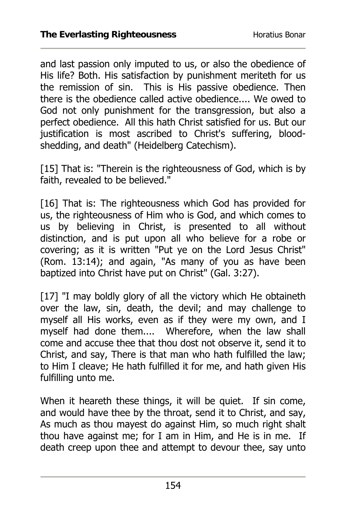and last passion only imputed to us, or also the obedience of His life? Both. His satisfaction by punishment meriteth for us the remission of sin. This is His passive obedience. Then there is the obedience called active obedience.... We owed to God not only punishment for the transgression, but also a perfect obedience. All this hath Christ satisfied for us. But our justification is most ascribed to Christ's suffering, bloodshedding, and death" (Heidelberg Catechism).

[15] That is: "Therein is the righteousness of God, which is by faith, revealed to be believed."

[16] That is: The righteousness which God has provided for us, the righteousness of Him who is God, and which comes to us by believing in Christ, is presented to all without distinction, and is put upon all who believe for a robe or covering; as it is written "Put ye on the Lord Jesus Christ" (Rom. 13:14); and again, "As many of you as have been baptized into Christ have put on Christ" (Gal. 3:27).

[17] "I may boldly glory of all the victory which He obtaineth over the law, sin, death, the devil; and may challenge to myself all His works, even as if they were my own, and I myself had done them.... Wherefore, when the law shall come and accuse thee that thou dost not observe it, send it to Christ, and say, There is that man who hath fulfilled the law; to Him I cleave; He hath fulfilled it for me, and hath given His fulfilling unto me.

When it heareth these things, it will be quiet. If sin come, and would have thee by the throat, send it to Christ, and say, As much as thou mayest do against Him, so much right shalt thou have against me; for I am in Him, and He is in me. If death creep upon thee and attempt to devour thee, say unto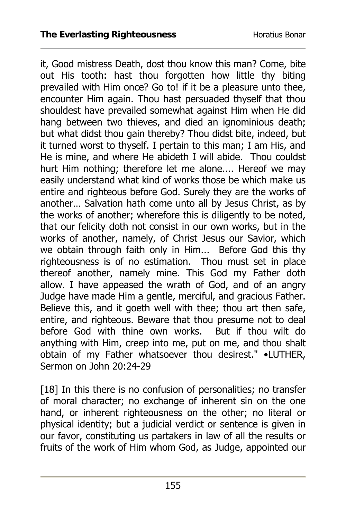it, Good mistress Death, dost thou know this man? Come, bite out His tooth: hast thou forgotten how little thy biting prevailed with Him once? Go to! if it be a pleasure unto thee, encounter Him again. Thou hast persuaded thyself that thou shouldest have prevailed somewhat against Him when He did hang between two thieves, and died an ignominious death; but what didst thou gain thereby? Thou didst bite, indeed, but it turned worst to thyself. I pertain to this man; I am His, and He is mine, and where He abideth I will abide. Thou couldst hurt Him nothing; therefore let me alone.... Hereof we may easily understand what kind of works those be which make us entire and righteous before God. Surely they are the works of another… Salvation hath come unto all by Jesus Christ, as by the works of another; wherefore this is diligently to be noted, that our felicity doth not consist in our own works, but in the works of another, namely, of Christ Jesus our Savior, which we obtain through faith only in Him... Before God this thy righteousness is of no estimation. Thou must set in place thereof another, namely mine. This God my Father doth allow. I have appeased the wrath of God, and of an angry Judge have made Him a gentle, merciful, and gracious Father. Believe this, and it goeth well with thee; thou art then safe, entire, and righteous. Beware that thou presume not to deal before God with thine own works. But if thou wilt do anything with Him, creep into me, put on me, and thou shalt obtain of my Father whatsoever thou desirest." •LUTHER, Sermon on John 20:24-29

[18] In this there is no confusion of personalities; no transfer of moral character; no exchange of inherent sin on the one hand, or inherent righteousness on the other; no literal or physical identity; but a judicial verdict or sentence is given in our favor, constituting us partakers in law of all the results or fruits of the work of Him whom God, as Judge, appointed our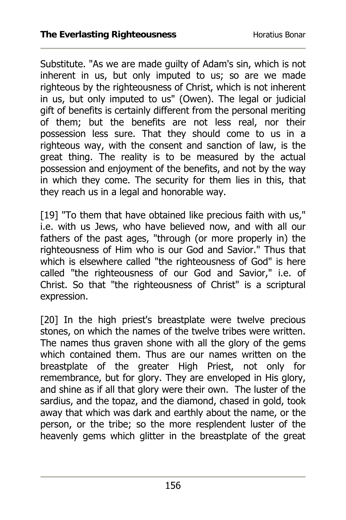Substitute. "As we are made guilty of Adam's sin, which is not inherent in us, but only imputed to us; so are we made righteous by the righteousness of Christ, which is not inherent in us, but only imputed to us" (Owen). The legal or judicial gift of benefits is certainly different from the personal meriting of them; but the benefits are not less real, nor their possession less sure. That they should come to us in a righteous way, with the consent and sanction of law, is the great thing. The reality is to be measured by the actual possession and enjoyment of the benefits, and not by the way in which they come. The security for them lies in this, that they reach us in a legal and honorable way.

[19] "To them that have obtained like precious faith with us," i.e. with us Jews, who have believed now, and with all our fathers of the past ages, "through (or more properly in) the righteousness of Him who is our God and Savior." Thus that which is elsewhere called "the righteousness of God" is here called "the righteousness of our God and Savior," i.e. of Christ. So that "the righteousness of Christ" is a scriptural expression.

[20] In the high priest's breastplate were twelve precious stones, on which the names of the twelve tribes were written. The names thus graven shone with all the glory of the gems which contained them. Thus are our names written on the breastplate of the greater High Priest, not only for remembrance, but for glory. They are enveloped in His glory, and shine as if all that glory were their own. The luster of the sardius, and the topaz, and the diamond, chased in gold, took away that which was dark and earthly about the name, or the person, or the tribe; so the more resplendent luster of the heavenly gems which glitter in the breastplate of the great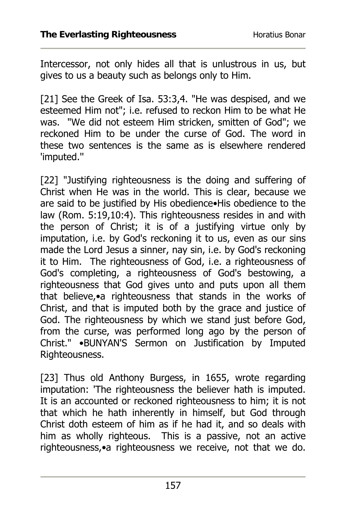Intercessor, not only hides all that is unlustrous in us, but gives to us a beauty such as belongs only to Him.

[21] See the Greek of Isa. 53:3,4. "He was despised, and we esteemed Him not"; i.e. refused to reckon Him to be what He was. "We did not esteem Him stricken, smitten of God"; we reckoned Him to be under the curse of God. The word in these two sentences is the same as is elsewhere rendered 'imputed.''

[22] "Justifying righteousness is the doing and suffering of Christ when He was in the world. This is clear, because we are said to be justified by His obedience•His obedience to the law (Rom. 5:19,10:4). This righteousness resides in and with the person of Christ; it is of a justifying virtue only by imputation, i.e. by God's reckoning it to us, even as our sins made the Lord Jesus a sinner, nay sin, i.e. by God's reckoning it to Him. The righteousness of God, i.e. a righteousness of God's completing, a righteousness of God's bestowing, a righteousness that God gives unto and puts upon all them that believe,•a righteousness that stands in the works of Christ, and that is imputed both by the grace and justice of God. The righteousness by which we stand just before God, from the curse, was performed long ago by the person of Christ." •BUNYAN'S Sermon on Justification by Imputed Righteousness.

[23] Thus old Anthony Burgess, in 1655, wrote regarding imputation: 'The righteousness the believer hath is imputed. It is an accounted or reckoned righteousness to him; it is not that which he hath inherently in himself, but God through Christ doth esteem of him as if he had it, and so deals with him as wholly righteous. This is a passive, not an active righteousness,•a righteousness we receive, not that we do.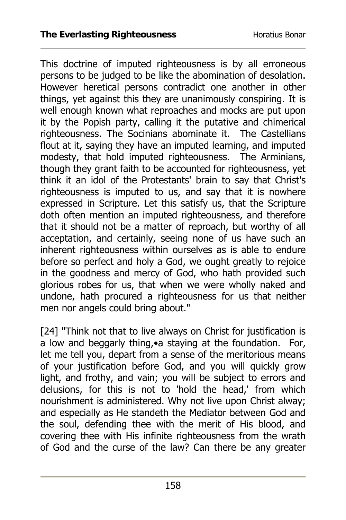This doctrine of imputed righteousness is by all erroneous persons to be judged to be like the abomination of desolation. However heretical persons contradict one another in other things, yet against this they are unanimously conspiring. It is well enough known what reproaches and mocks are put upon it by the Popish party, calling it the putative and chimerical righteousness. The Socinians abominate it. The Castellians flout at it, saying they have an imputed learning, and imputed modesty, that hold imputed righteousness. The Arminians, though they grant faith to be accounted for righteousness, yet think it an idol of the Protestants' brain to say that Christ's righteousness is imputed to us, and say that it is nowhere expressed in Scripture. Let this satisfy us, that the Scripture doth often mention an imputed righteousness, and therefore that it should not be a matter of reproach, but worthy of all acceptation, and certainly, seeing none of us have such an inherent righteousness within ourselves as is able to endure before so perfect and holy a God, we ought greatly to rejoice in the goodness and mercy of God, who hath provided such glorious robes for us, that when we were wholly naked and undone, hath procured a righteousness for us that neither men nor angels could bring about."

[24] "Think not that to live always on Christ for justification is a low and beggarly thing,•a staying at the foundation. For, let me tell you, depart from a sense of the meritorious means of your justification before God, and you will quickly grow light, and frothy, and vain; you will be subject to errors and delusions, for this is not to 'hold the head,' from which nourishment is administered. Why not live upon Christ alway; and especially as He standeth the Mediator between God and the soul, defending thee with the merit of His blood, and covering thee with His infinite righteousness from the wrath of God and the curse of the law? Can there be any greater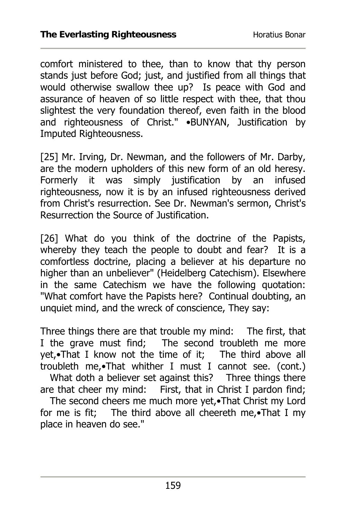comfort ministered to thee, than to know that thy person stands just before God; just, and justified from all things that would otherwise swallow thee up? Is peace with God and assurance of heaven of so little respect with thee, that thou slightest the very foundation thereof, even faith in the blood and righteousness of Christ." •BUNYAN, Justification by Imputed Righteousness.

[25] Mr. Irving, Dr. Newman, and the followers of Mr. Darby, are the modern upholders of this new form of an old heresy. Formerly it was simply justification by an infused righteousness, now it is by an infused righteousness derived from Christ's resurrection. See Dr. Newman's sermon, Christ's Resurrection the Source of Justification.

[26] What do you think of the doctrine of the Papists, whereby they teach the people to doubt and fear? It is a comfortless doctrine, placing a believer at his departure no higher than an unbeliever" (Heidelberg Catechism). Elsewhere in the same Catechism we have the following quotation: "What comfort have the Papists here? Continual doubting, an unquiet mind, and the wreck of conscience, They say:

Three things there are that trouble my mind: The first, that I the grave must find; The second troubleth me more yet,•That I know not the time of it; The third above all troubleth me,•That whither I must I cannot see. (cont.) What doth a believer set against this? Three things there are that cheer my mind: First, that in Christ I pardon find; The second cheers me much more yet,•That Christ my Lord for me is fit; The third above all cheereth me,•That I my place in heaven do see."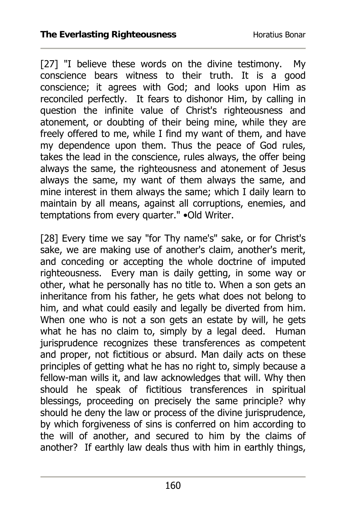[27] "I believe these words on the divine testimony. My conscience bears witness to their truth. It is a good conscience; it agrees with God; and looks upon Him as reconciled perfectly. It fears to dishonor Him, by calling in question the infinite value of Christ's righteousness and atonement, or doubting of their being mine, while they are freely offered to me, while I find my want of them, and have my dependence upon them. Thus the peace of God rules, takes the lead in the conscience, rules always, the offer being always the same, the righteousness and atonement of Jesus always the same, my want of them always the same, and mine interest in them always the same; which I daily learn to maintain by all means, against all corruptions, enemies, and temptations from every quarter." •Old Writer.

[28] Every time we say "for Thy name's" sake, or for Christ's sake, we are making use of another's claim, another's merit, and conceding or accepting the whole doctrine of imputed righteousness. Every man is daily getting, in some way or other, what he personally has no title to. When a son gets an inheritance from his father, he gets what does not belong to him, and what could easily and legally be diverted from him. When one who is not a son gets an estate by will, he gets what he has no claim to, simply by a legal deed. Human jurisprudence recognizes these transferences as competent and proper, not fictitious or absurd. Man daily acts on these principles of getting what he has no right to, simply because a fellow-man wills it, and law acknowledges that will. Why then should he speak of fictitious transferences in spiritual blessings, proceeding on precisely the same principle? why should he deny the law or process of the divine jurisprudence, by which forgiveness of sins is conferred on him according to the will of another, and secured to him by the claims of another? If earthly law deals thus with him in earthly things,